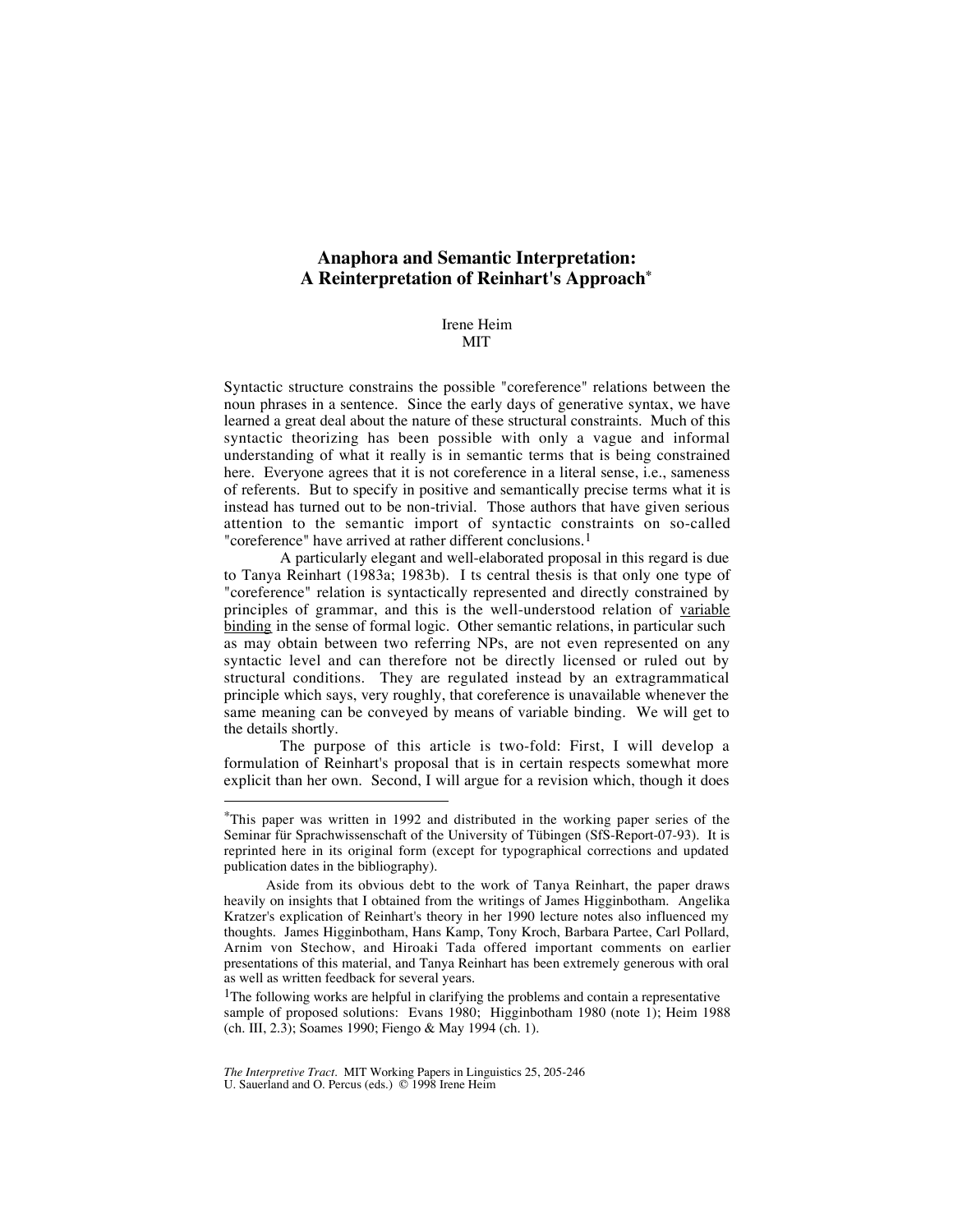# **Anaphora and Semantic Interpretation: A Reinterpretation of Reinhart's Approach\***

Irene Heim MIT

Syntactic structure constrains the possible "coreference" relations between the noun phrases in a sentence. Since the early days of generative syntax, we have learned a great deal about the nature of these structural constraints. Much of this syntactic theorizing has been possible with only a vague and informal understanding of what it really is in semantic terms that is being constrained here. Everyone agrees that it is not coreference in a literal sense, i.e., sameness of referents. But to specify in positive and semantically precise terms what it is instead has turned out to be non-trivial. Those authors that have given serious attention to the semantic import of syntactic constraints on so-called "coreference" have arrived at rather different conclusions.<sup>1</sup>

A particularly elegant and well-elaborated proposal in this regard is due to Tanya Reinhart (1983a; 1983b). I ts central thesis is that only one type of "coreference" relation is syntactically represented and directly constrained by principles of grammar, and this is the well-understood relation of variable binding in the sense of formal logic. Other semantic relations, in particular such as may obtain between two referring NPs, are not even represented on any syntactic level and can therefore not be directly licensed or ruled out by structural conditions. They are regulated instead by an extragrammatical principle which says, very roughly, that coreference is unavailable whenever the same meaning can be conveyed by means of variable binding. We will get to the details shortly.

The purpose of this article is two-fold: First, I will develop a formulation of Reinhart's proposal that is in certain respects somewhat more explicit than her own. Second, I will argue for a revision which, though it does

 <sup>\*</sup>This paper was written in 1992 and distributed in the working paper series of the Seminar für Sprachwissenschaft of the University of Tübingen (SfS-Report-07-93). It is reprinted here in its original form (except for typographical corrections and updated publication dates in the bibliography).

Aside from its obvious debt to the work of Tanya Reinhart, the paper draws heavily on insights that I obtained from the writings of James Higginbotham. Angelika Kratzer's explication of Reinhart's theory in her 1990 lecture notes also influenced my thoughts. James Higginbotham, Hans Kamp, Tony Kroch, Barbara Partee, Carl Pollard, Arnim von Stechow, and Hiroaki Tada offered important comments on earlier presentations of this material, and Tanya Reinhart has been extremely generous with oral as well as written feedback for several years.

<sup>&</sup>lt;sup>1</sup>The following works are helpful in clarifying the problems and contain a representative sample of proposed solutions: Evans 1980; Higginbotham 1980 (note 1); Heim 1988 (ch. III, 2.3); Soames 1990; Fiengo & May 1994 (ch. 1).

*The Interpretive Tract.* MIT Working Papers in Linguistics 25, 205-246 U. Sauerland and O. Percus (eds.) © 1998 Irene Heim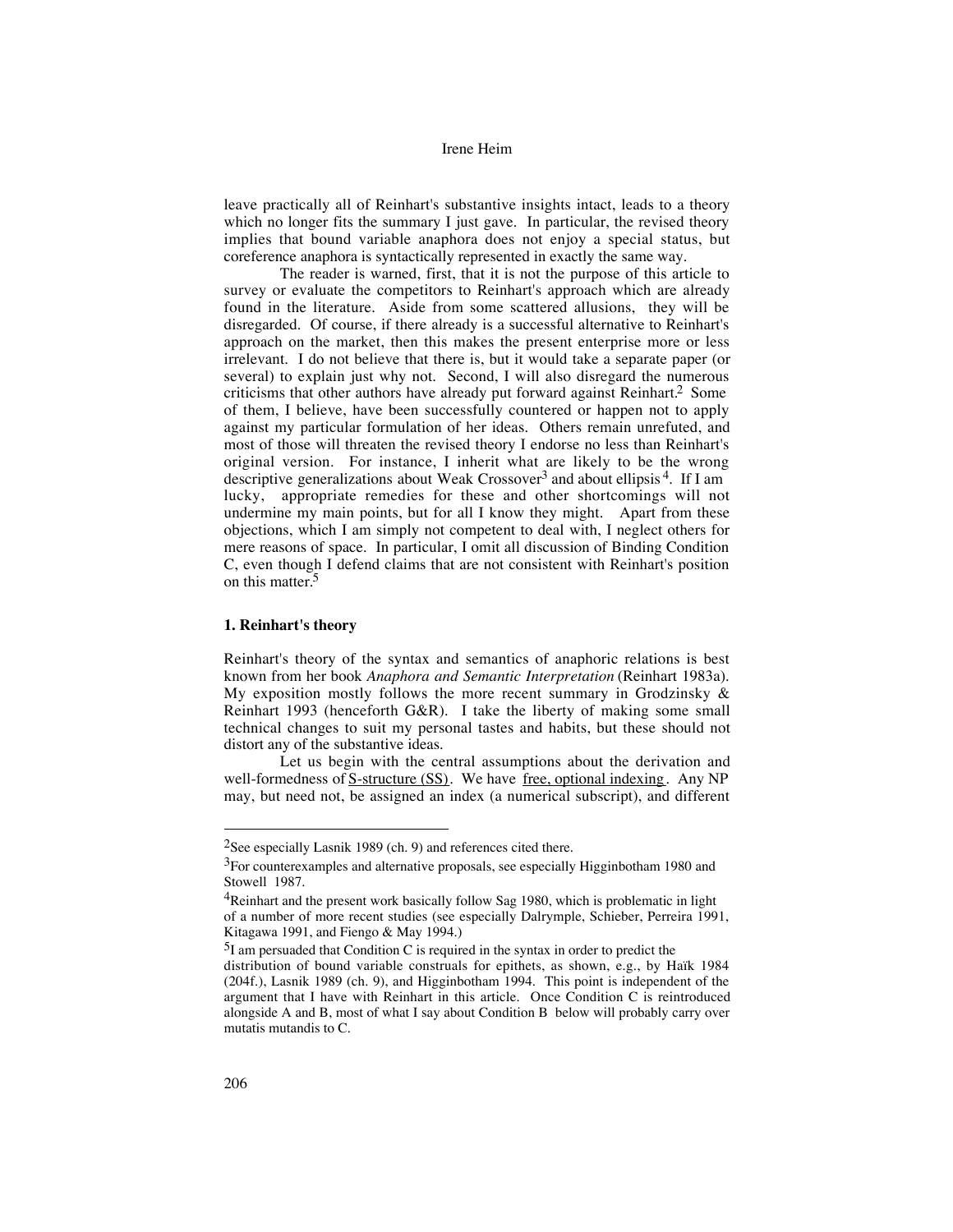leave practically all of Reinhart's substantive insights intact, leads to a theory which no longer fits the summary I just gave. In particular, the revised theory implies that bound variable anaphora does not enjoy a special status, but coreference anaphora is syntactically represented in exactly the same way.

The reader is warned, first, that it is not the purpose of this article to survey or evaluate the competitors to Reinhart's approach which are already found in the literature. Aside from some scattered allusions, they will be disregarded. Of course, if there already is a successful alternative to Reinhart's approach on the market, then this makes the present enterprise more or less irrelevant. I do not believe that there is, but it would take a separate paper (or several) to explain just why not. Second, I will also disregard the numerous criticisms that other authors have already put forward against Reinhart.2 Some of them, I believe, have been successfully countered or happen not to apply against my particular formulation of her ideas. Others remain unrefuted, and most of those will threaten the revised theory I endorse no less than Reinhart's original version. For instance, I inherit what are likely to be the wrong descriptive generalizations about Weak Crossover<sup>3</sup> and about ellipsis<sup>4</sup>. If I am lucky, appropriate remedies for these and other shortcomings will not undermine my main points, but for all I know they might. Apart from these objections, which I am simply not competent to deal with, I neglect others for mere reasons of space. In particular, I omit all discussion of Binding Condition C, even though I defend claims that are not consistent with Reinhart's position on this matter.<sup>5</sup>

## **1. Reinhart's theory**

Reinhart's theory of the syntax and semantics of anaphoric relations is best known from her book *Anaphora and Semantic Interpretation* (Reinhart 1983a). My exposition mostly follows the more recent summary in Grodzinsky  $\&$ Reinhart 1993 (henceforth G&R). I take the liberty of making some small technical changes to suit my personal tastes and habits, but these should not distort any of the substantive ideas.

Let us begin with the central assumptions about the derivation and well-formedness of S-structure (SS). We have free, optional indexing. Any NP may, but need not, be assigned an index (a numerical subscript), and different

 <sup>2</sup>See especially Lasnik 1989 (ch. 9) and references cited there.

 $3$ For counterexamples and alternative proposals, see especially Higginbotham 1980 and Stowell 1987.

<sup>&</sup>lt;sup>4</sup>Reinhart and the present work basically follow Sag 1980, which is problematic in light of a number of more recent studies (see especially Dalrymple, Schieber, Perreira 1991, Kitagawa 1991, and Fiengo & May 1994.)

 $5I$  am persuaded that Condition C is required in the syntax in order to predict the

distribution of bound variable construals for epithets, as shown, e.g., by Haïk 1984 (204f.), Lasnik 1989 (ch. 9), and Higginbotham 1994. This point is independent of the argument that I have with Reinhart in this article. Once Condition C is reintroduced alongside A and B, most of what I say about Condition B below will probably carry over mutatis mutandis to C.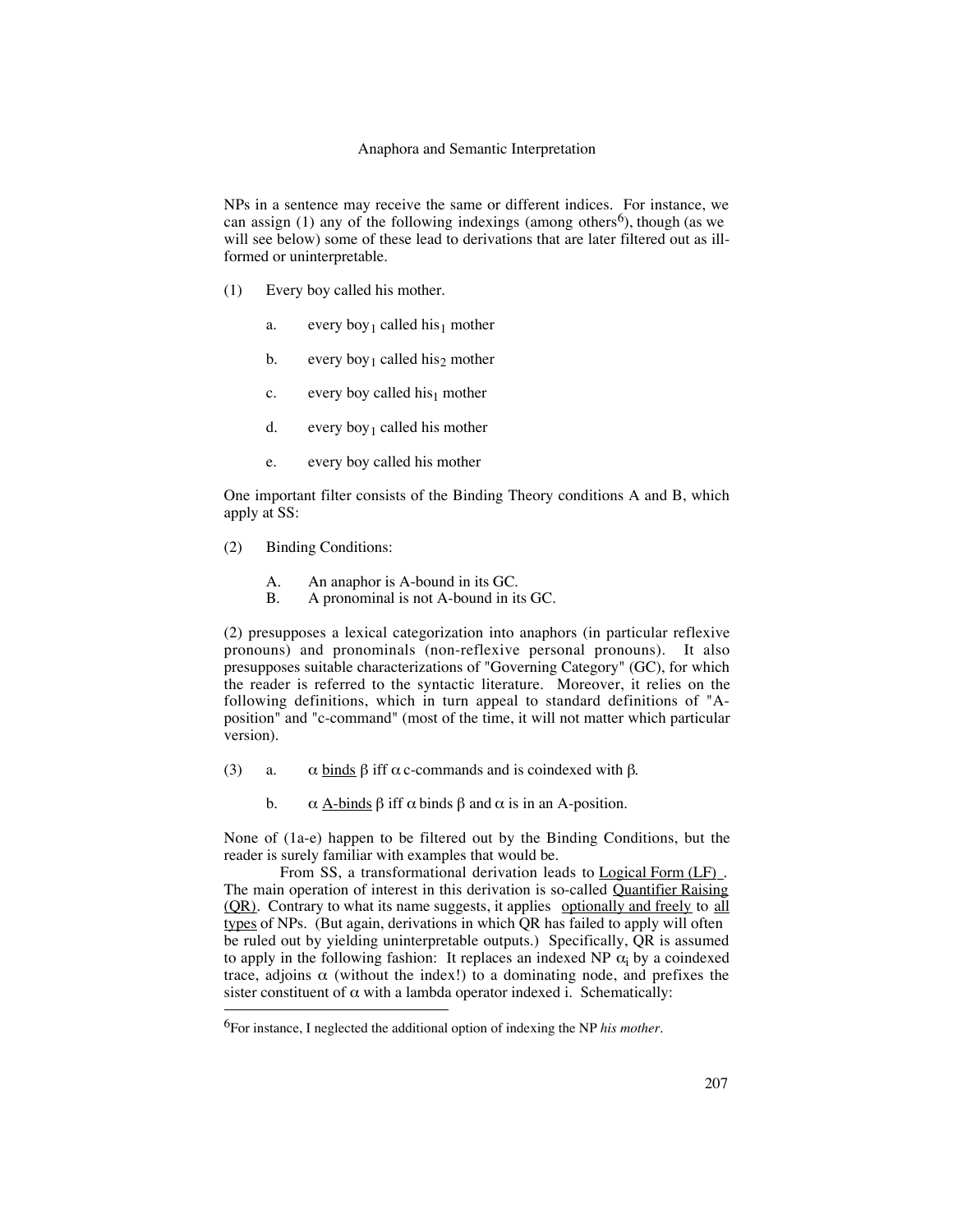## Anaphora and Semantic Interpretation

NPs in a sentence may receive the same or different indices. For instance, we can assign (1) any of the following indexings (among others<sup>6</sup>), though (as we will see below) some of these lead to derivations that are later filtered out as illformed or uninterpretable.

- (1) Every boy called his mother.
	- a. every boy<sub>1</sub> called his<sub>1</sub> mother
	- b. every boy<sub>1</sub> called his<sub>2</sub> mother
	- c. every boy called his<sub>1</sub> mother
	- d. every boy<sub>1</sub> called his mother
	- e. every boy called his mother

One important filter consists of the Binding Theory conditions A and B, which apply at SS:

- (2) Binding Conditions:
	- A. An anaphor is A-bound in its GC.
	- B. A pronominal is not A-bound in its GC.

(2) presupposes a lexical categorization into anaphors (in particular reflexive pronouns) and pronominals (non-reflexive personal pronouns). It also presupposes suitable characterizations of "Governing Category" (GC), for which the reader is referred to the syntactic literature. Moreover, it relies on the following definitions, which in turn appeal to standard definitions of "Aposition" and "c-command" (most of the time, it will not matter which particular version).

- (3) a.  $\alpha$  binds  $\beta$  iff  $\alpha$  c-commands and is coindexed with  $\beta$ .
	- b.  $\alpha$  A-binds  $\beta$  iff  $\alpha$  binds  $\beta$  and  $\alpha$  is in an A-position.

None of (1a-e) happen to be filtered out by the Binding Conditions, but the reader is surely familiar with examples that would be.

From SS, a transformational derivation leads to Logical Form (LF). The main operation of interest in this derivation is so-called Quantifier Raising (OR). Contrary to what its name suggests, it applies optionally and freely to all types of NPs. (But again, derivations in which QR has failed to apply will often be ruled out by yielding uninterpretable outputs.) Specifically, QR is assumed to apply in the following fashion: It replaces an indexed NP  $\alpha_i$  by a coindexed trace, adjoins  $\alpha$  (without the index!) to a dominating node, and prefixes the sister constituent of  $\alpha$  with a lambda operator indexed i. Schematically:

 <sup>6</sup>For instance, I neglected the additional option of indexing the NP *his mother*.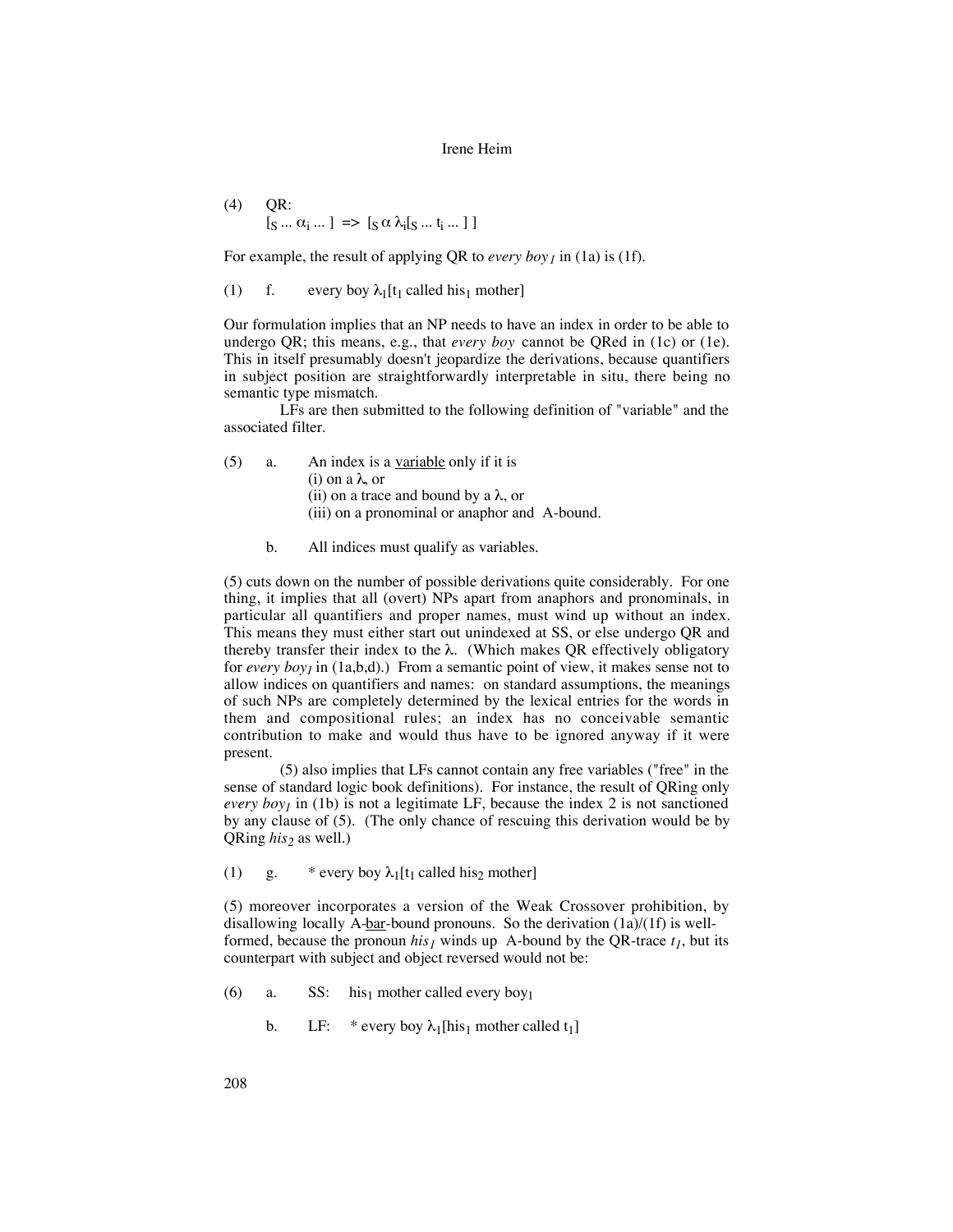$(4)$  QR:  $[s \dots \alpha_i \dots] \Rightarrow [s \alpha \lambda_i [s \dots t_i \dots] ]$ 

For example, the result of applying QR to *every boy<sub>1</sub>* in (1a) is (1f).

(1) f. every boy  $\lambda_1[t_1]$  called his<sub>1</sub> mother]

Our formulation implies that an NP needs to have an index in order to be able to undergo QR; this means, e.g., that *every boy* cannot be QRed in (1c) or (1e). This in itself presumably doesn't jeopardize the derivations, because quantifiers in subject position are straightforwardly interpretable in situ, there being no semantic type mismatch.

LFs are then submitted to the following definition of "variable" and the associated filter.

 $(5)$  a. An index is a variable only if it is (i) on a λ, or (ii) on a trace and bound by a  $\lambda$ , or (iii) on a pronominal or anaphor and A-bound.

b. All indices must qualify as variables.

(5) cuts down on the number of possible derivations quite considerably. For one thing, it implies that all (overt) NPs apart from anaphors and pronominals, in particular all quantifiers and proper names, must wind up without an index. This means they must either start out unindexed at SS, or else undergo QR and thereby transfer their index to the  $\lambda$ . (Which makes QR effectively obligatory for *every boy1* in (1a,b,d).) From a semantic point of view, it makes sense not to allow indices on quantifiers and names: on standard assumptions, the meanings of such NPs are completely determined by the lexical entries for the words in them and compositional rules; an index has no conceivable semantic contribution to make and would thus have to be ignored anyway if it were present.

(5) also implies that LFs cannot contain any free variables ("free" in the sense of standard logic book definitions). For instance, the result of QRing only *every boy<sub>1</sub>* in (1b) is not a legitimate LF, because the index 2 is not sanctioned by any clause of (5). (The only chance of rescuing this derivation would be by QRing *his*<sub>2</sub> as well.)

(1) g. \* every boy  $\lambda_1[t_1 \text{ called his}_2 \text{ mother}]$ 

(5) moreover incorporates a version of the Weak Crossover prohibition, by disallowing locally A-bar-bound pronouns. So the derivation  $(1a)/(1f)$  is wellformed, because the pronoun  $his_j$  winds up A-bound by the QR-trace  $t_j$ , but its counterpart with subject and object reversed would not be:

- (6) a. SS: his<sub>1</sub> mother called every boy<sub>1</sub>
	- b. LF: \* every boy  $\lambda_1$ [his<sub>1</sub> mother called t<sub>1</sub>]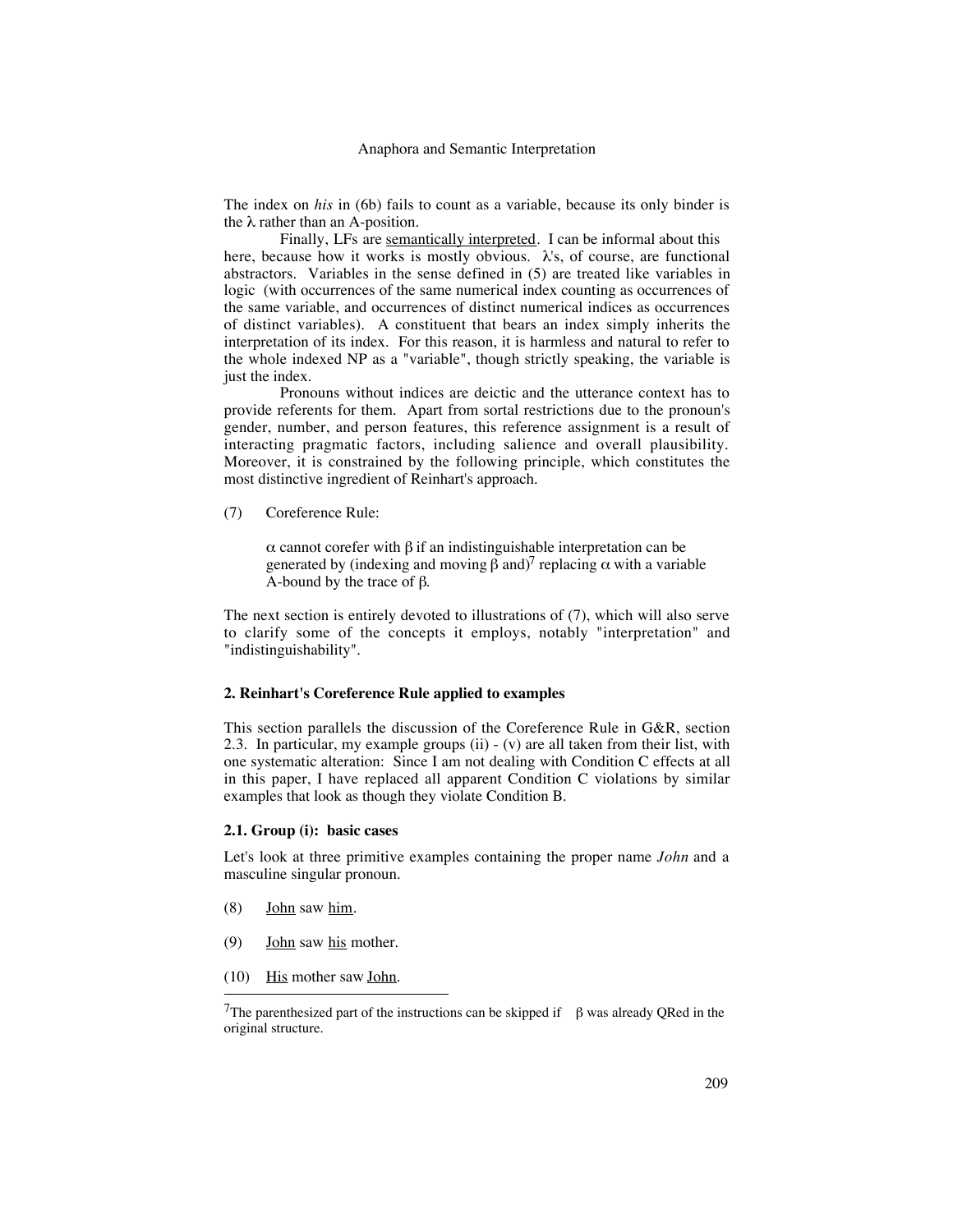The index on *his* in (6b) fails to count as a variable, because its only binder is the  $\lambda$  rather than an A-position.

Finally, LFs are semantically interpreted. I can be informal about this here, because how it works is mostly obvious.  $\lambda$ 's, of course, are functional abstractors. Variables in the sense defined in (5) are treated like variables in logic (with occurrences of the same numerical index counting as occurrences of the same variable, and occurrences of distinct numerical indices as occurrences of distinct variables). A constituent that bears an index simply inherits the interpretation of its index. For this reason, it is harmless and natural to refer to the whole indexed NP as a "variable", though strictly speaking, the variable is just the index.

Pronouns without indices are deictic and the utterance context has to provide referents for them. Apart from sortal restrictions due to the pronoun's gender, number, and person features, this reference assignment is a result of interacting pragmatic factors, including salience and overall plausibility. Moreover, it is constrained by the following principle, which constitutes the most distinctive ingredient of Reinhart's approach.

(7) Coreference Rule:

α cannot corefer with β if an indistinguishable interpretation can be generated by (indexing and moving β and)<sup>7</sup> replacing  $\alpha$  with a variable A-bound by the trace of  $β$ .

The next section is entirely devoted to illustrations of (7), which will also serve to clarify some of the concepts it employs, notably "interpretation" and "indistinguishability".

## **2. Reinhart's Coreference Rule applied to examples**

This section parallels the discussion of the Coreference Rule in G&R, section 2.3. In particular, my example groups (ii) - (v) are all taken from their list, with one systematic alteration: Since I am not dealing with Condition C effects at all in this paper, I have replaced all apparent Condition C violations by similar examples that look as though they violate Condition B.

## **2.1. Group (i): basic cases**

Let's look at three primitive examples containing the proper name *John* and a masculine singular pronoun.

- $(8)$  John saw him.
- (9) John saw his mother.
- $(10)$  His mother saw John.

<sup>&</sup>lt;sup>7</sup>The parenthesized part of the instructions can be skipped if  $\beta$  was already QRed in the original structure.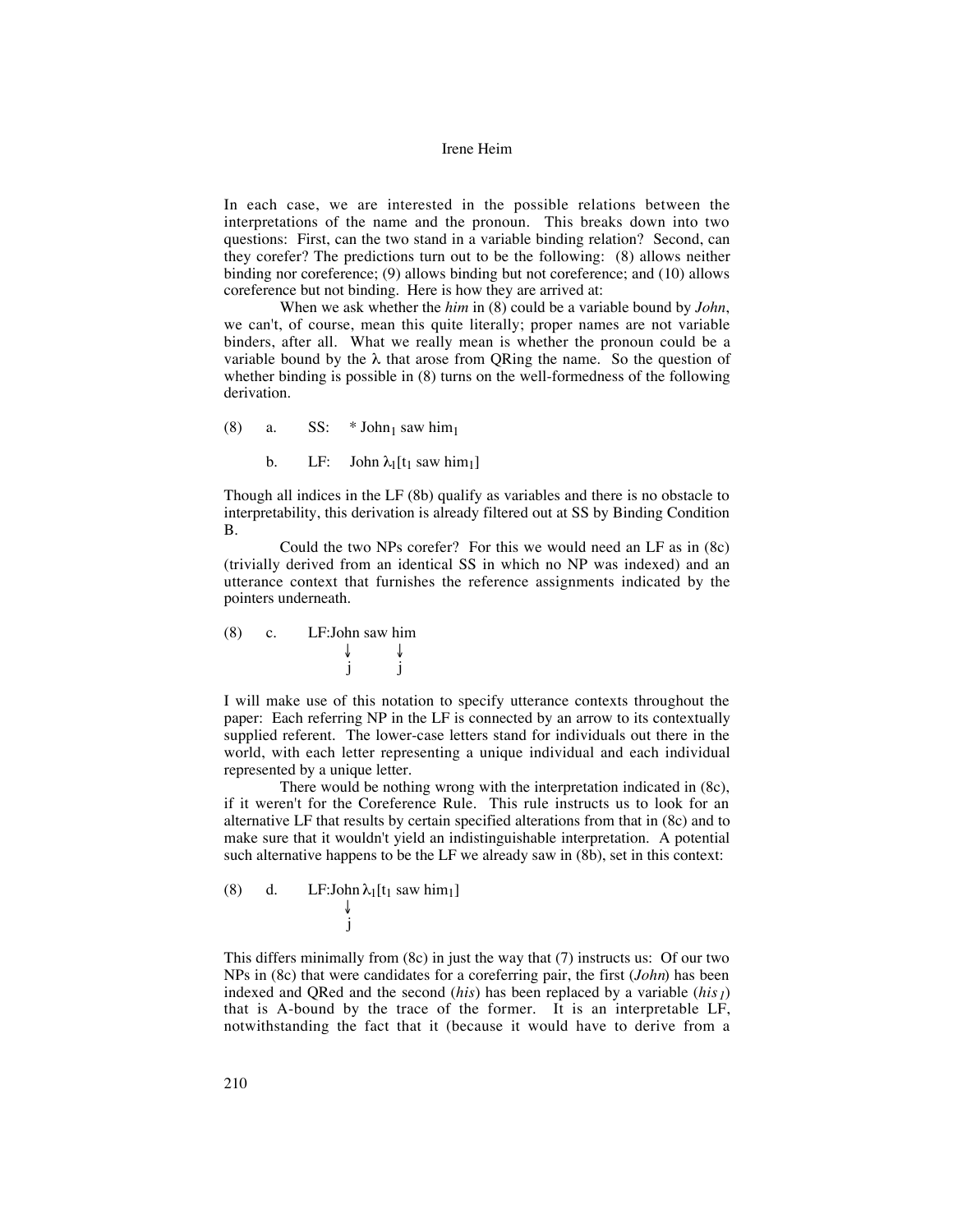In each case, we are interested in the possible relations between the interpretations of the name and the pronoun. This breaks down into two questions: First, can the two stand in a variable binding relation? Second, can they corefer? The predictions turn out to be the following: (8) allows neither binding nor coreference; (9) allows binding but not coreference; and (10) allows coreference but not binding. Here is how they are arrived at:

When we ask whether the *him* in (8) could be a variable bound by *John*, we can't, of course, mean this quite literally; proper names are not variable binders, after all. What we really mean is whether the pronoun could be a variable bound by the  $\lambda$  that arose from QRing the name. So the question of whether binding is possible in  $(8)$  turns on the well-formedness of the following derivation.

(8) a. SS:  $*$  John<sub>1</sub> saw him<sub>1</sub>

b. LF: John  $\lambda_1[t_1 \text{ saw him}_1]$ 

Though all indices in the LF (8b) qualify as variables and there is no obstacle to interpretability, this derivation is already filtered out at SS by Binding Condition B.

Could the two NPs corefer? For this we would need an LF as in (8c) (trivially derived from an identical SS in which no NP was indexed) and an utterance context that furnishes the reference assignments indicated by the pointers underneath.

(8) c. LF:John saw him ↓ ↓ j j

I will make use of this notation to specify utterance contexts throughout the paper: Each referring NP in the LF is connected by an arrow to its contextually supplied referent. The lower-case letters stand for individuals out there in the world, with each letter representing a unique individual and each individual represented by a unique letter.

There would be nothing wrong with the interpretation indicated in (8c), if it weren't for the Coreference Rule. This rule instructs us to look for an alternative LF that results by certain specified alterations from that in (8c) and to make sure that it wouldn't yield an indistinguishable interpretation. A potential such alternative happens to be the LF we already saw in (8b), set in this context:

(8) d. LF: John 
$$
\lambda_1[t_1 \text{ saw him}_1]
$$
  
 $\downarrow$   
j

This differs minimally from (8c) in just the way that (7) instructs us: Of our two NPs in (8c) that were candidates for a coreferring pair, the first (*John*) has been indexed and QRed and the second  $(his)$  has been replaced by a variable  $(his)$ that is A-bound by the trace of the former. It is an interpretable LF, notwithstanding the fact that it (because it would have to derive from a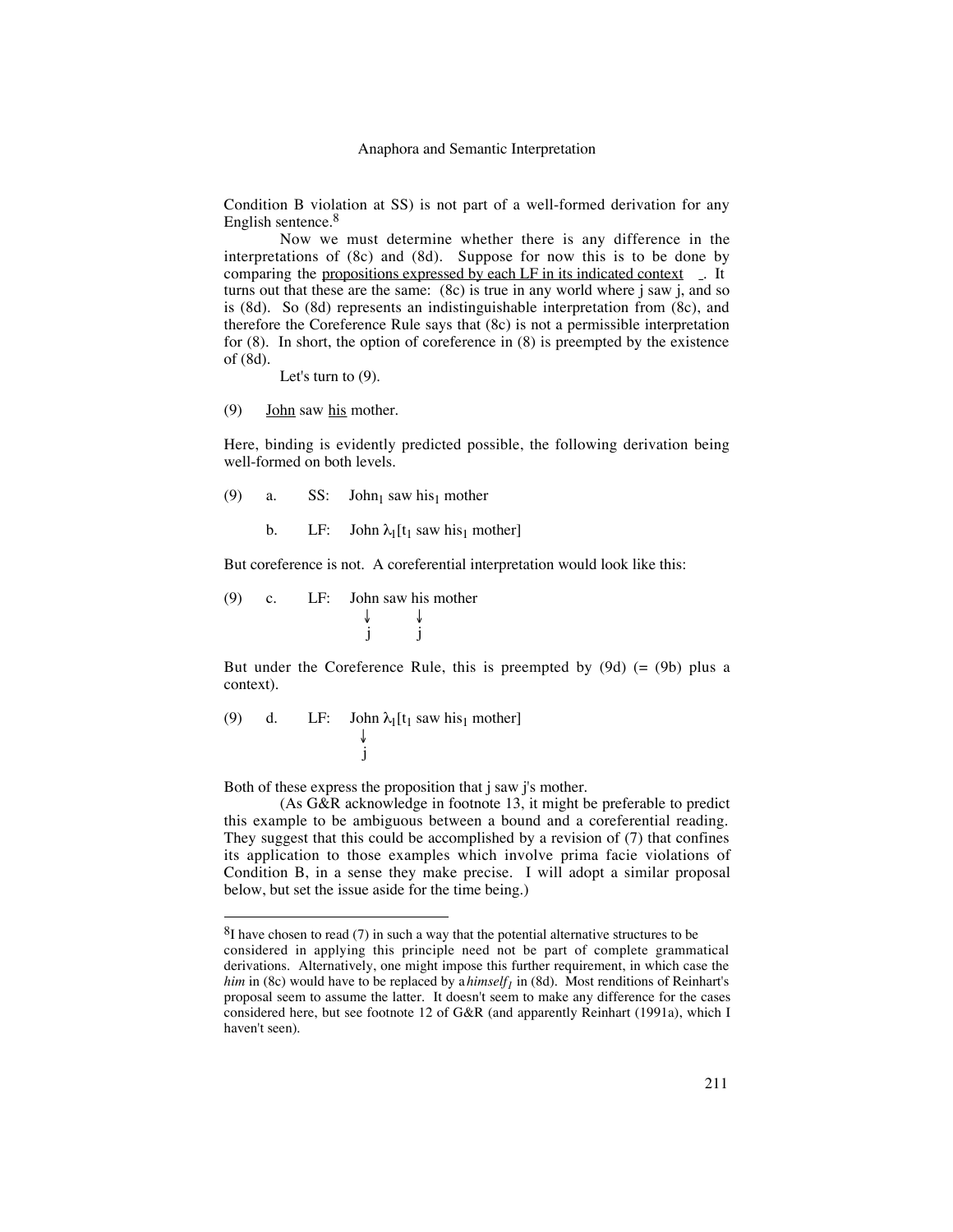Condition B violation at SS) is not part of a well-formed derivation for any English sentence.<sup>8</sup>

Now we must determine whether there is any difference in the interpretations of (8c) and (8d). Suppose for now this is to be done by comparing the propositions expressed by each LF in its indicated context . It turns out that these are the same:  $(8c)$  is true in any world where j saw j, and so is (8d). So (8d) represents an indistinguishable interpretation from (8c), and therefore the Coreference Rule says that (8c) is not a permissible interpretation for (8). In short, the option of coreference in (8) is preempted by the existence of (8d).

Let's turn to (9).

 $(9)$  **John** saw his mother.

Here, binding is evidently predicted possible, the following derivation being well-formed on both levels.

- (9) a. SS: John<sub>1</sub> saw his<sub>1</sub> mother
	- b. LF: John  $\lambda_1[t_1]$  saw his<sub>1</sub> mother]

But coreference is not. A coreferential interpretation would look like this:

(9) c. LF: John saw his mother ↓ ↓ j j

But under the Coreference Rule, this is preempted by  $(9d)$  (=  $(9b)$  plus a context).

(9) d. LF: John 
$$
\lambda_1[t_1 \text{ saw his}_1 \text{ mother}]
$$
  
\n $\downarrow$   
\n $\text{j}$ 

Both of these express the proposition that j saw j's mother.

(As G&R acknowledge in footnote 13, it might be preferable to predict this example to be ambiguous between a bound and a coreferential reading. They suggest that this could be accomplished by a revision of (7) that confines its application to those examples which involve prima facie violations of Condition B, in a sense they make precise. I will adopt a similar proposal below, but set the issue aside for the time being.)

 ${}^{8}$ I have chosen to read (7) in such a way that the potential alternative structures to be considered in applying this principle need not be part of complete grammatical derivations. Alternatively, one might impose this further requirement, in which case the *him* in (8c) would have to be replaced by a *himself<sub>1</sub>* in (8d). Most renditions of Reinhart's proposal seem to assume the latter. It doesn't seem to make any difference for the cases considered here, but see footnote 12 of G&R (and apparently Reinhart (1991a), which I haven't seen).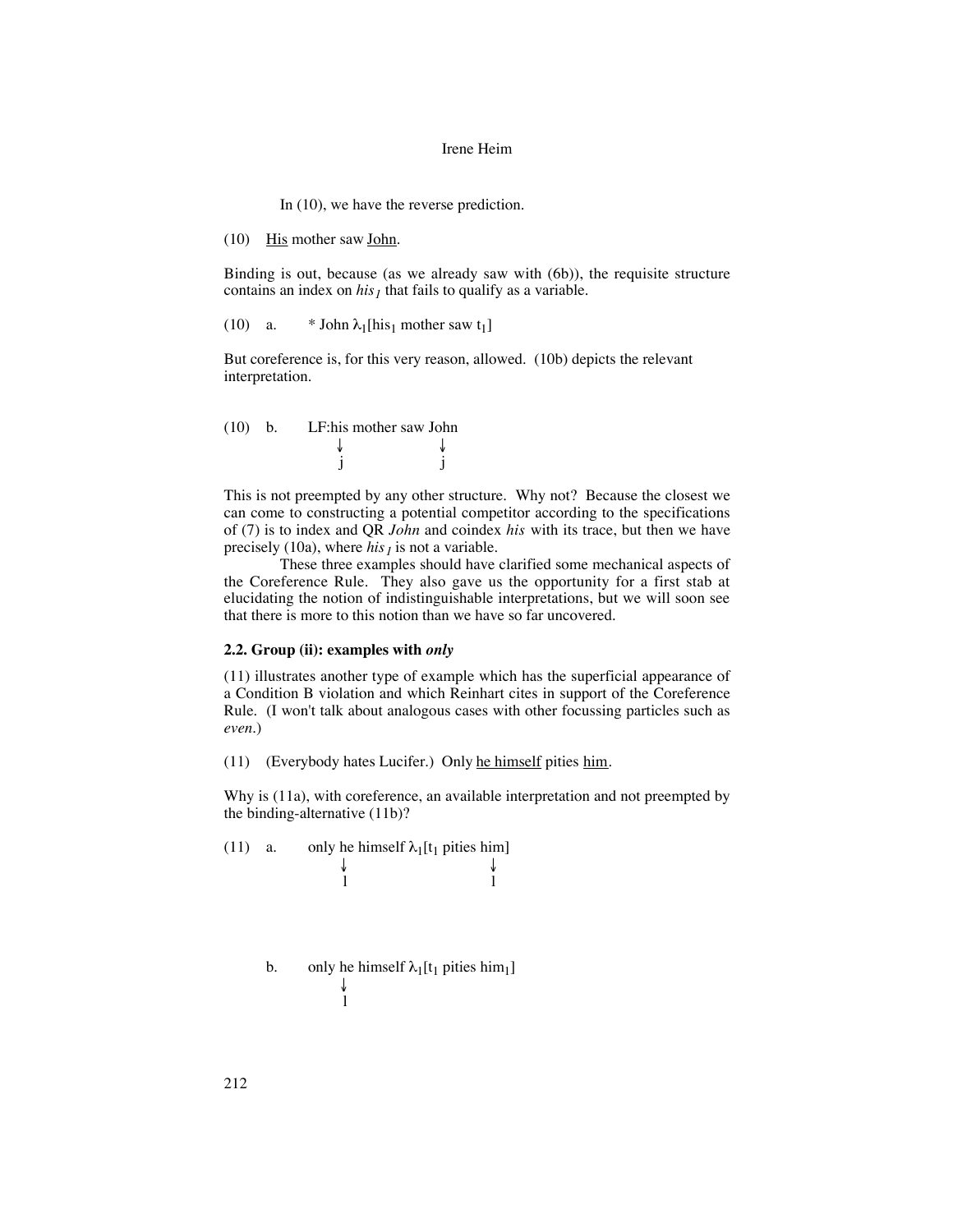In (10), we have the reverse prediction.

(10) His mother saw John.

Binding is out, because (as we already saw with (6b)), the requisite structure contains an index on  $his<sub>1</sub>$  that fails to qualify as a variable.

(10) a. \* John  $\lambda_1$ [his<sub>1</sub> mother saw t<sub>1</sub>]

But coreference is, for this very reason, allowed. (10b) depicts the relevant interpretation.



This is not preempted by any other structure. Why not? Because the closest we can come to constructing a potential competitor according to the specifications of (7) is to index and QR *John* and coindex *his* with its trace, but then we have precisely (10a), where  $his<sub>1</sub>$  is not a variable.

These three examples should have clarified some mechanical aspects of the Coreference Rule. They also gave us the opportunity for a first stab at elucidating the notion of indistinguishable interpretations, but we will soon see that there is more to this notion than we have so far uncovered.

## **2.2. Group (ii): examples with** *only*

(11) illustrates another type of example which has the superficial appearance of a Condition B violation and which Reinhart cites in support of the Coreference Rule. (I won't talk about analogous cases with other focussing particles such as *even*.)

(11) (Everybody hates Lucifer.) Only he himself pities him.

Why is (11a), with coreference, an available interpretation and not preempted by the binding-alternative (11b)?

(11) a. only he himself  $\lambda_1[t_1$  pities him]  $\downarrow$  ↓ ↓ l l

```
b. only he himself \lambda_1[t_1] pities him<sub>1</sub>]
      ↓
l
```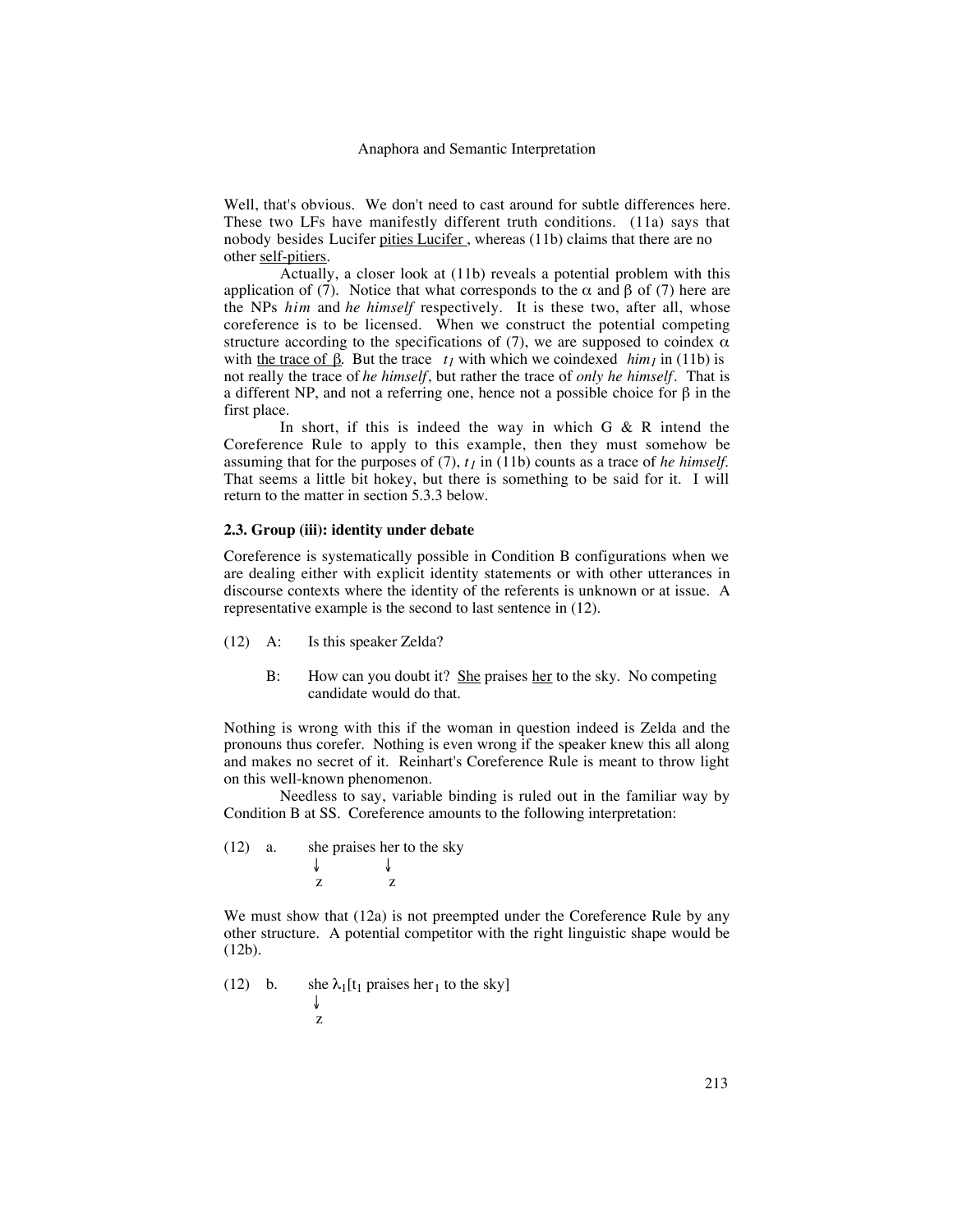Well, that's obvious. We don't need to cast around for subtle differences here. These two LFs have manifestly different truth conditions. (11a) says that nobody besides Lucifer pities Lucifer, whereas (11b) claims that there are no other self-pitiers.

Actually, a closer look at (11b) reveals a potential problem with this application of (7). Notice that what corresponds to the α and β of (7) here are the NPs *him* and *he himself* respectively. It is these two, after all, whose coreference is to be licensed. When we construct the potential competing structure according to the specifications of  $(7)$ , we are supposed to coindex  $\alpha$ with the trace of  $\beta$ . But the trace  $t_1$  with which we coindexed  $\lim_{t \to \infty} (11b)$  is not really the trace of *he himself*, but rather the trace of *only he himself*. That is a different NP, and not a referring one, hence not a possible choice for β in the first place.

In short, if this is indeed the way in which  $G \& R$  intend the Coreference Rule to apply to this example, then they must somehow be assuming that for the purposes of  $(7)$ ,  $t<sub>1</sub>$  in  $(11b)$  counts as a trace of *he himself*. That seems a little bit hokey, but there is something to be said for it. I will return to the matter in section 5.3.3 below.

## **2.3. Group (iii): identity under debate**

Coreference is systematically possible in Condition B configurations when we are dealing either with explicit identity statements or with other utterances in discourse contexts where the identity of the referents is unknown or at issue. A representative example is the second to last sentence in (12).

- (12) A: Is this speaker Zelda?
	- B: How can you doubt it? She praises her to the sky. No competing candidate would do that.

Nothing is wrong with this if the woman in question indeed is Zelda and the pronouns thus corefer. Nothing is even wrong if the speaker knew this all along and makes no secret of it. Reinhart's Coreference Rule is meant to throw light on this well-known phenomenon.

Needless to say, variable binding is ruled out in the familiar way by Condition B at SS. Coreference amounts to the following interpretation:

(12) a. she praises her to the sky ↓ ↓ z z

We must show that (12a) is not preempted under the Coreference Rule by any other structure. A potential competitor with the right linguistic shape would be (12b).

(12) b. she  $\lambda_1[t_1]$  praises her<sub>1</sub> to the sky] ↓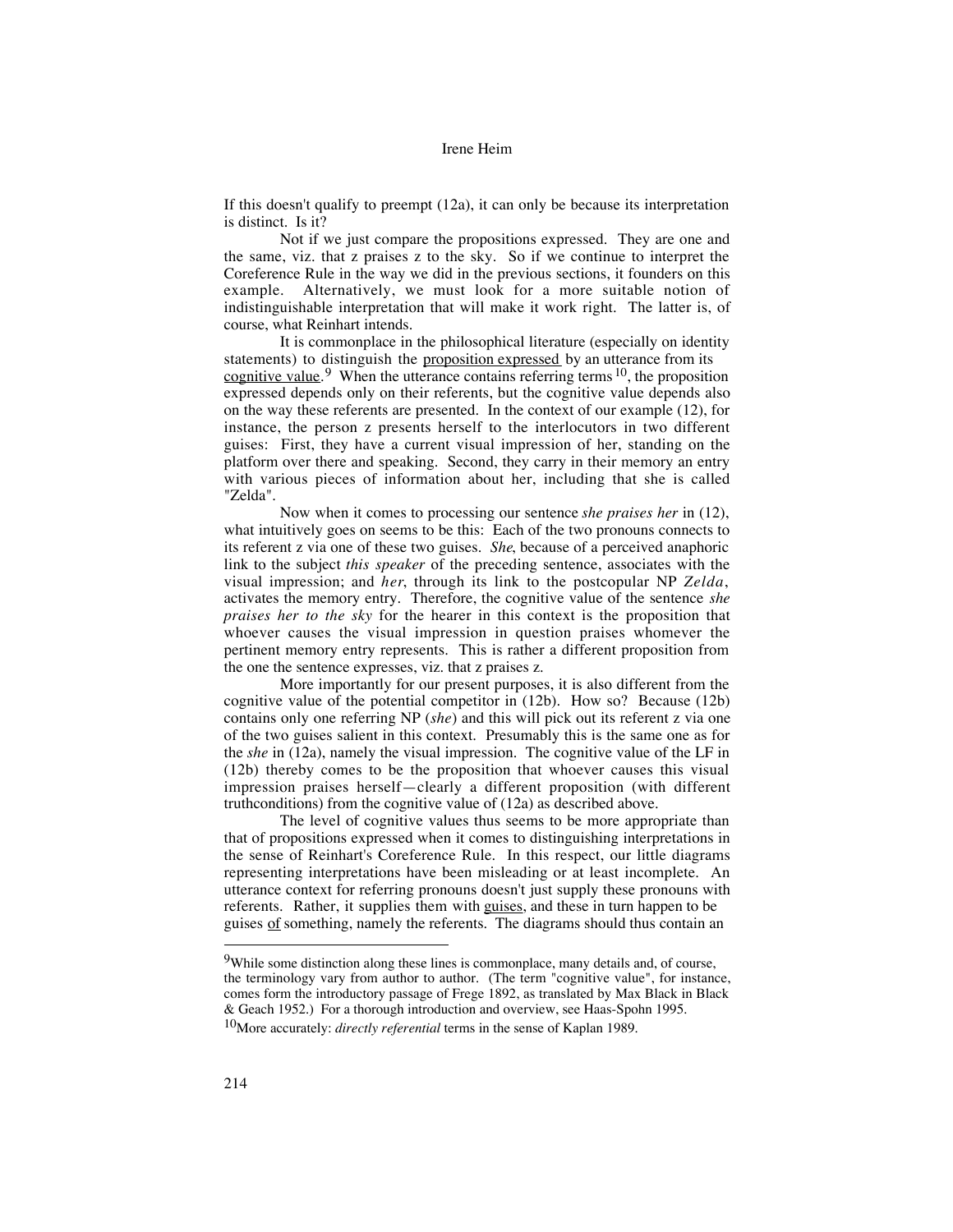If this doesn't qualify to preempt (12a), it can only be because its interpretation is distinct. Is it?

Not if we just compare the propositions expressed. They are one and the same, viz. that z praises z to the sky. So if we continue to interpret the Coreference Rule in the way we did in the previous sections, it founders on this example. Alternatively, we must look for a more suitable notion of indistinguishable interpretation that will make it work right. The latter is, of course, what Reinhart intends.

It is commonplace in the philosophical literature (especially on identity statements) to distinguish the proposition expressed by an utterance from its cognitive value.<sup>9</sup> When the utterance contains referring terms  $10$ , the proposition expressed depends only on their referents, but the cognitive value depends also on the way these referents are presented. In the context of our example (12), for instance, the person z presents herself to the interlocutors in two different guises: First, they have a current visual impression of her, standing on the platform over there and speaking. Second, they carry in their memory an entry with various pieces of information about her, including that she is called "Zelda".

Now when it comes to processing our sentence *she praises her* in (12), what intuitively goes on seems to be this: Each of the two pronouns connects to its referent z via one of these two guises. *She*, because of a perceived anaphoric link to the subject *this speaker* of the preceding sentence, associates with the visual impression; and *her*, through its link to the postcopular NP *Zelda*, activates the memory entry. Therefore, the cognitive value of the sentence *she praises her to the sky* for the hearer in this context is the proposition that whoever causes the visual impression in question praises whomever the pertinent memory entry represents. This is rather a different proposition from the one the sentence expresses, viz. that z praises z.

More importantly for our present purposes, it is also different from the cognitive value of the potential competitor in (12b). How so? Because (12b) contains only one referring NP (*she*) and this will pick out its referent z via one of the two guises salient in this context. Presumably this is the same one as for the *she* in (12a), namely the visual impression. The cognitive value of the LF in (12b) thereby comes to be the proposition that whoever causes this visual impression praises herself—clearly a different proposition (with different truthconditions) from the cognitive value of (12a) as described above.

The level of cognitive values thus seems to be more appropriate than that of propositions expressed when it comes to distinguishing interpretations in the sense of Reinhart's Coreference Rule. In this respect, our little diagrams representing interpretations have been misleading or at least incomplete. An utterance context for referring pronouns doesn't just supply these pronouns with referents. Rather, it supplies them with guises, and these in turn happen to be guises of something, namely the referents. The diagrams should thus contain an

 <sup>9</sup>While some distinction along these lines is commonplace, many details and, of course, the terminology vary from author to author. (The term "cognitive value", for instance, comes form the introductory passage of Frege 1892, as translated by Max Black in Black & Geach 1952.) For a thorough introduction and overview, see Haas-Spohn 1995.

<sup>10</sup>More accurately: *directly referential* terms in the sense of Kaplan 1989.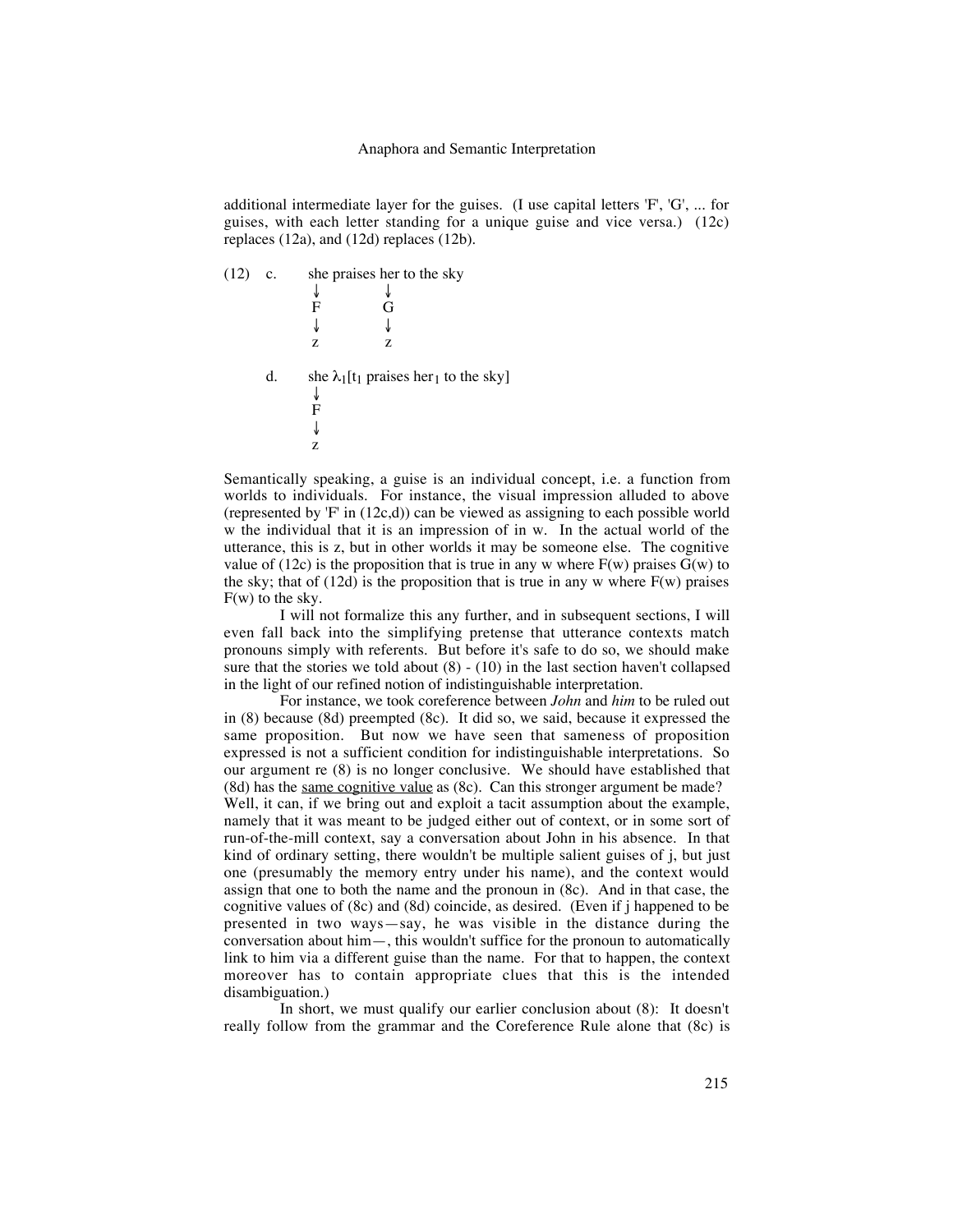additional intermediate layer for the guises. (I use capital letters 'F', 'G', ... for guises, with each letter standing for a unique guise and vice versa.) (12c) replaces (12a), and (12d) replaces (12b).

(12) c. she praises her to the sky ↓ ↓ F G ↓ ↓ z z d. she  $\lambda_1[t_1]$  praises her<sub>1</sub> to the sky] ↓ F ↓ z

Semantically speaking, a guise is an individual concept, i.e. a function from worlds to individuals. For instance, the visual impression alluded to above (represented by  $F'$  in (12c,d)) can be viewed as assigning to each possible world w the individual that it is an impression of in w. In the actual world of the utterance, this is z, but in other worlds it may be someone else. The cognitive value of (12c) is the proposition that is true in any w where  $F(w)$  praises  $\bar{G}(w)$  to the sky; that of  $(12d)$  is the proposition that is true in any w where  $F(w)$  praises F(w) to the sky.

I will not formalize this any further, and in subsequent sections, I will even fall back into the simplifying pretense that utterance contexts match pronouns simply with referents. But before it's safe to do so, we should make sure that the stories we told about  $(8) - (10)$  in the last section haven't collapsed in the light of our refined notion of indistinguishable interpretation.

For instance, we took coreference between *John* and *him* to be ruled out in (8) because (8d) preempted (8c). It did so, we said, because it expressed the same proposition. But now we have seen that sameness of proposition expressed is not a sufficient condition for indistinguishable interpretations. So our argument re (8) is no longer conclusive. We should have established that (8d) has the same cognitive value as (8c). Can this stronger argument be made? Well, it can, if we bring out and exploit a tacit assumption about the example, namely that it was meant to be judged either out of context, or in some sort of run-of-the-mill context, say a conversation about John in his absence. In that kind of ordinary setting, there wouldn't be multiple salient guises of j, but just one (presumably the memory entry under his name), and the context would assign that one to both the name and the pronoun in (8c). And in that case, the cognitive values of (8c) and (8d) coincide, as desired. (Even if j happened to be presented in two ways—say, he was visible in the distance during the conversation about him—, this wouldn't suffice for the pronoun to automatically link to him via a different guise than the name. For that to happen, the context moreover has to contain appropriate clues that this is the intended disambiguation.)

In short, we must qualify our earlier conclusion about (8): It doesn't really follow from the grammar and the Coreference Rule alone that (8c) is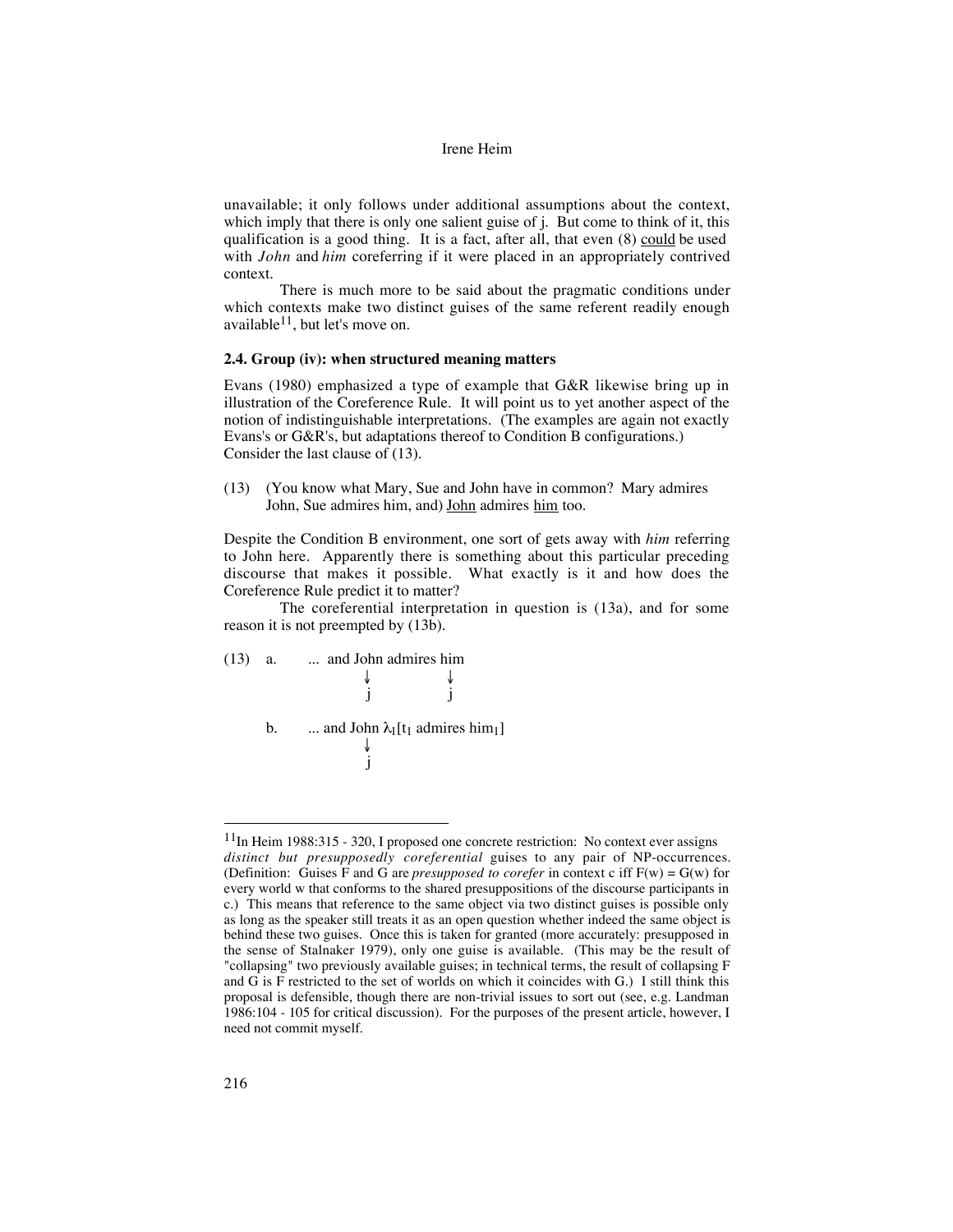unavailable; it only follows under additional assumptions about the context, which imply that there is only one salient guise of j. But come to think of it, this qualification is a good thing. It is a fact, after all, that even (8) could be used with *John* and *him* coreferring if it were placed in an appropriately contrived context.

There is much more to be said about the pragmatic conditions under which contexts make two distinct guises of the same referent readily enough available $11$ , but let's move on.

## **2.4. Group (iv): when structured meaning matters**

Evans (1980) emphasized a type of example that G&R likewise bring up in illustration of the Coreference Rule. It will point us to yet another aspect of the notion of indistinguishable interpretations. (The examples are again not exactly Evans's or G&R's, but adaptations thereof to Condition B configurations.) Consider the last clause of (13).

(13) (You know what Mary, Sue and John have in common? Mary admires John, Sue admires him, and) John admires him too.

Despite the Condition B environment, one sort of gets away with *him* referring to John here. Apparently there is something about this particular preceding discourse that makes it possible. What exactly is it and how does the Coreference Rule predict it to matter?

The coreferential interpretation in question is (13a), and for some reason it is not preempted by (13b).



 $11$ In Heim 1988:315 - 320, I proposed one concrete restriction: No context ever assigns *distinct but presupposedly coreferential* guises to any pair of NP-occurrences. (Definition: Guises F and G are *presupposed to corefer* in context c iff  $F(w) = G(w)$  for every world w that conforms to the shared presuppositions of the discourse participants in c.) This means that reference to the same object via two distinct guises is possible only as long as the speaker still treats it as an open question whether indeed the same object is behind these two guises. Once this is taken for granted (more accurately: presupposed in the sense of Stalnaker 1979), only one guise is available. (This may be the result of "collapsing" two previously available guises; in technical terms, the result of collapsing F and G is F restricted to the set of worlds on which it coincides with G.) I still think this proposal is defensible, though there are non-trivial issues to sort out (see, e.g. Landman 1986:104 - 105 for critical discussion). For the purposes of the present article, however, I need not commit myself.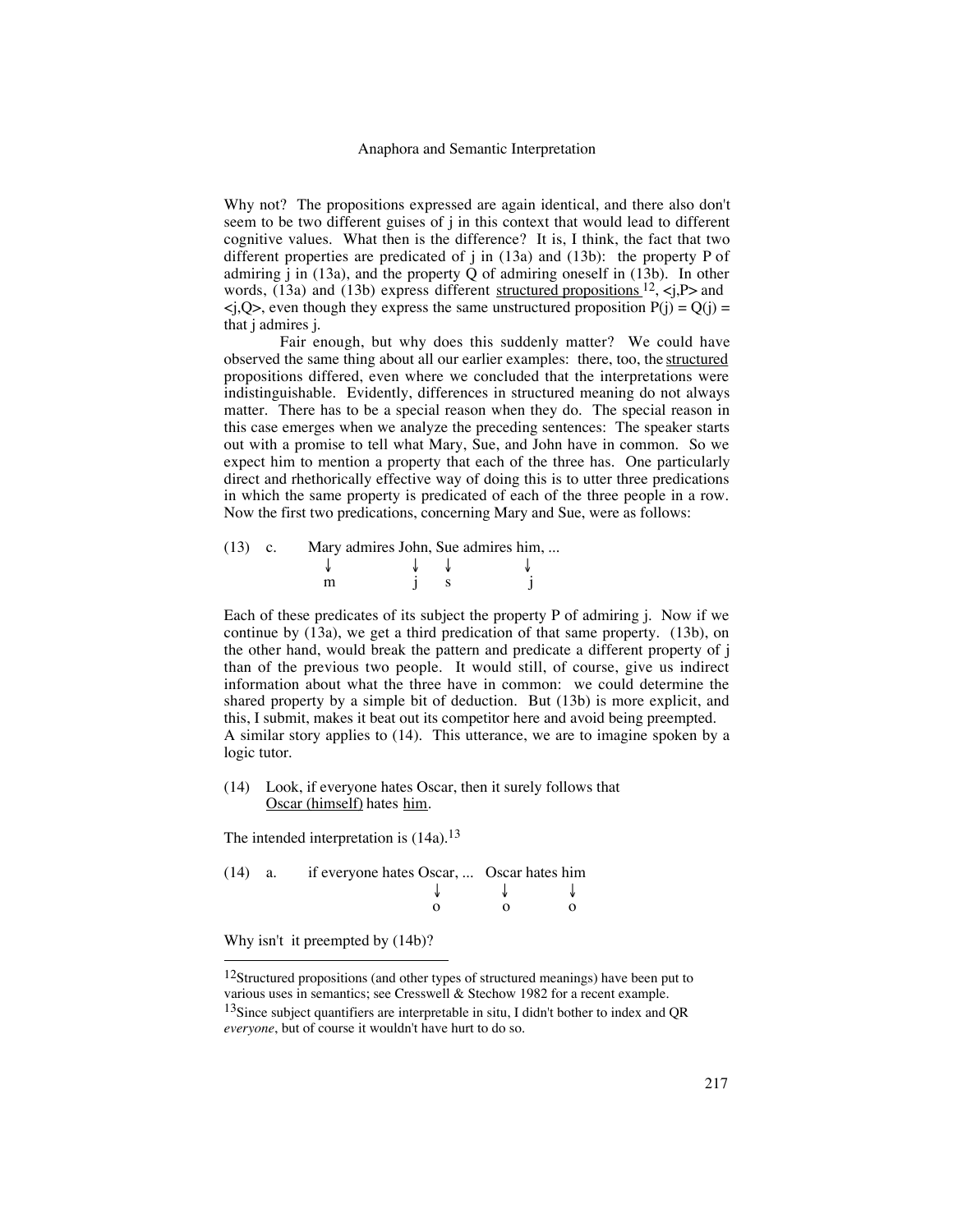Why not? The propositions expressed are again identical, and there also don't seem to be two different guises of j in this context that would lead to different cognitive values. What then is the difference? It is, I think, the fact that two different properties are predicated of j in (13a) and (13b): the property P of admiring j in (13a), and the property Q of admiring oneself in (13b). In other words,  $(13a)$  and  $(13b)$  express different structured propositions  $^{12}$ , <j,P> and  $\langle j, Q \rangle$ , even though they express the same unstructured proposition  $P(j) = Q(j) =$ that j admires j.

Fair enough, but why does this suddenly matter? We could have observed the same thing about all our earlier examples: there, too, the structured propositions differed, even where we concluded that the interpretations were indistinguishable. Evidently, differences in structured meaning do not always matter. There has to be a special reason when they do. The special reason in this case emerges when we analyze the preceding sentences: The speaker starts out with a promise to tell what Mary, Sue, and John have in common. So we expect him to mention a property that each of the three has. One particularly direct and rhethorically effective way of doing this is to utter three predications in which the same property is predicated of each of the three people in a row. Now the first two predications, concerning Mary and Sue, were as follows:

| $(13)$ c. | Mary admires John, Sue admires him, |  |  |  |
|-----------|-------------------------------------|--|--|--|
|           |                                     |  |  |  |
|           |                                     |  |  |  |

Each of these predicates of its subject the property P of admiring j. Now if we continue by (13a), we get a third predication of that same property. (13b), on the other hand, would break the pattern and predicate a different property of j than of the previous two people. It would still, of course, give us indirect information about what the three have in common: we could determine the shared property by a simple bit of deduction. But (13b) is more explicit, and this, I submit, makes it beat out its competitor here and avoid being preempted. A similar story applies to (14). This utterance, we are to imagine spoken by a logic tutor.

(14) Look, if everyone hates Oscar, then it surely follows that Oscar (himself) hates him.

The intended interpretation is  $(14a).<sup>13</sup>$ 

|  | $(14)$ a. if everyone hates Oscar,  Oscar hates him |  |  |  |
|--|-----------------------------------------------------|--|--|--|
|  |                                                     |  |  |  |
|  |                                                     |  |  |  |

Why isn't it preempted by (14b)?

 $12$ Structured propositions (and other types of structured meanings) have been put to various uses in semantics; see Cresswell & Stechow 1982 for a recent example.

 $13$ Since subject quantifiers are interpretable in situ, I didn't bother to index and QR *everyone*, but of course it wouldn't have hurt to do so.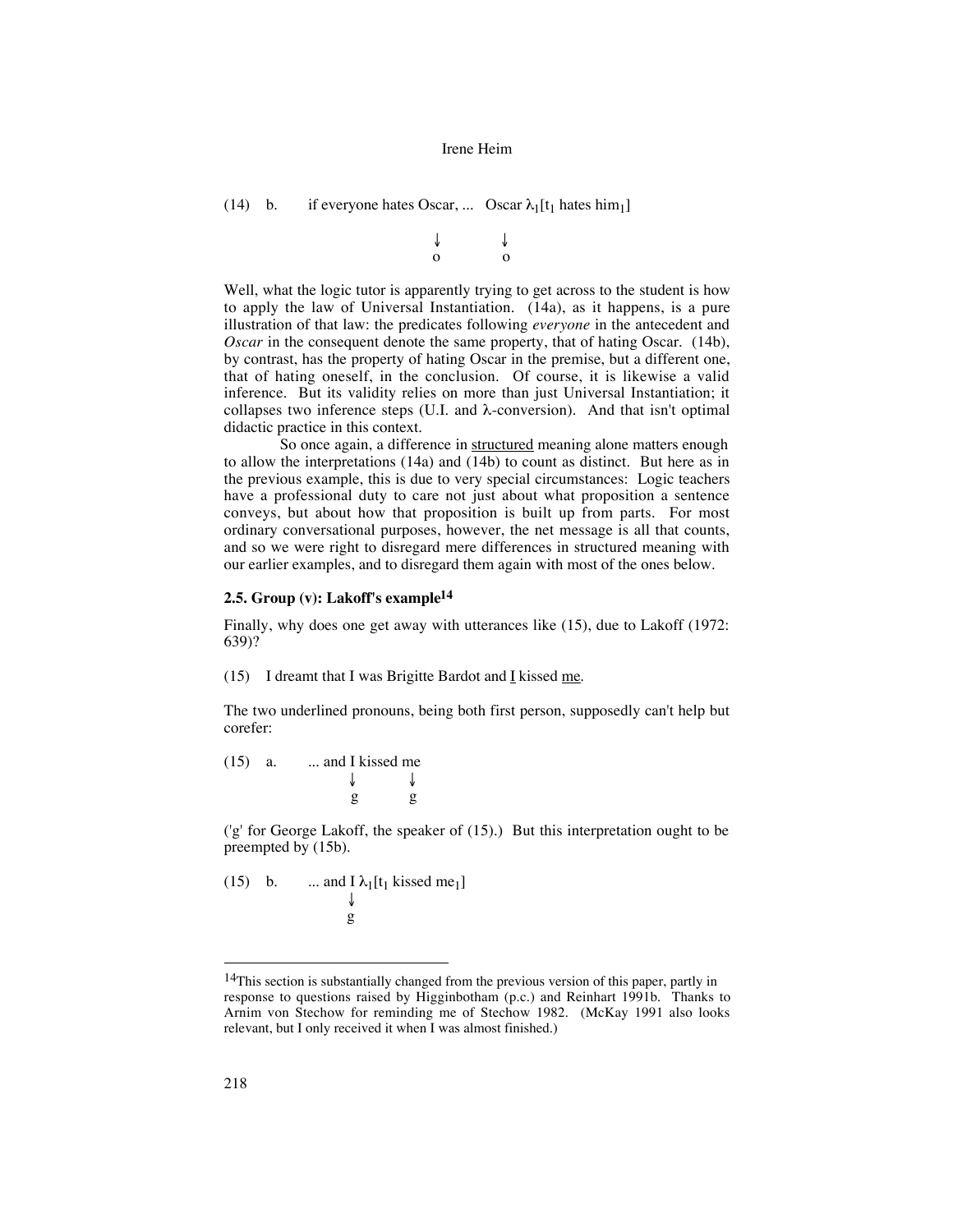```
(14) b. if everyone hates Oscar, ... Oscar \lambda_1[t_1] hates him<sub>1</sub>]
```
 ↓ ↓ o o

Well, what the logic tutor is apparently trying to get across to the student is how to apply the law of Universal Instantiation. (14a), as it happens, is a pure illustration of that law: the predicates following *everyone* in the antecedent and *Oscar* in the consequent denote the same property, that of hating Oscar. (14b), by contrast, has the property of hating Oscar in the premise, but a different one, that of hating oneself, in the conclusion. Of course, it is likewise a valid inference. But its validity relies on more than just Universal Instantiation; it collapses two inference steps (U.I. and  $\lambda$ -conversion). And that isn't optimal didactic practice in this context.

So once again, a difference in structured meaning alone matters enough to allow the interpretations (14a) and (14b) to count as distinct. But here as in the previous example, this is due to very special circumstances: Logic teachers have a professional duty to care not just about what proposition a sentence conveys, but about how that proposition is built up from parts. For most ordinary conversational purposes, however, the net message is all that counts, and so we were right to disregard mere differences in structured meaning with our earlier examples, and to disregard them again with most of the ones below.

## **2.5. Group (v): Lakoff's example14**

Finally, why does one get away with utterances like (15), due to Lakoff (1972: 639)?

(15) I dreamt that I was Brigitte Bardot and  $I$  kissed me.</u>

The two underlined pronouns, being both first person, supposedly can't help but corefer:

 $(15)$  a. ... and I kissed me

 ↓ ↓ g g

('g' for George Lakoff, the speaker of (15).) But this interpretation ought to be preempted by (15b).

(15) b. ... and 
$$
\lceil \lambda_1[t_1 \text{ kissed me}_1] \rceil
$$
  
g

<sup>&</sup>lt;sup>14</sup>This section is substantially changed from the previous version of this paper, partly in response to questions raised by Higginbotham (p.c.) and Reinhart 1991b. Thanks to Arnim von Stechow for reminding me of Stechow 1982. (McKay 1991 also looks relevant, but I only received it when I was almost finished.)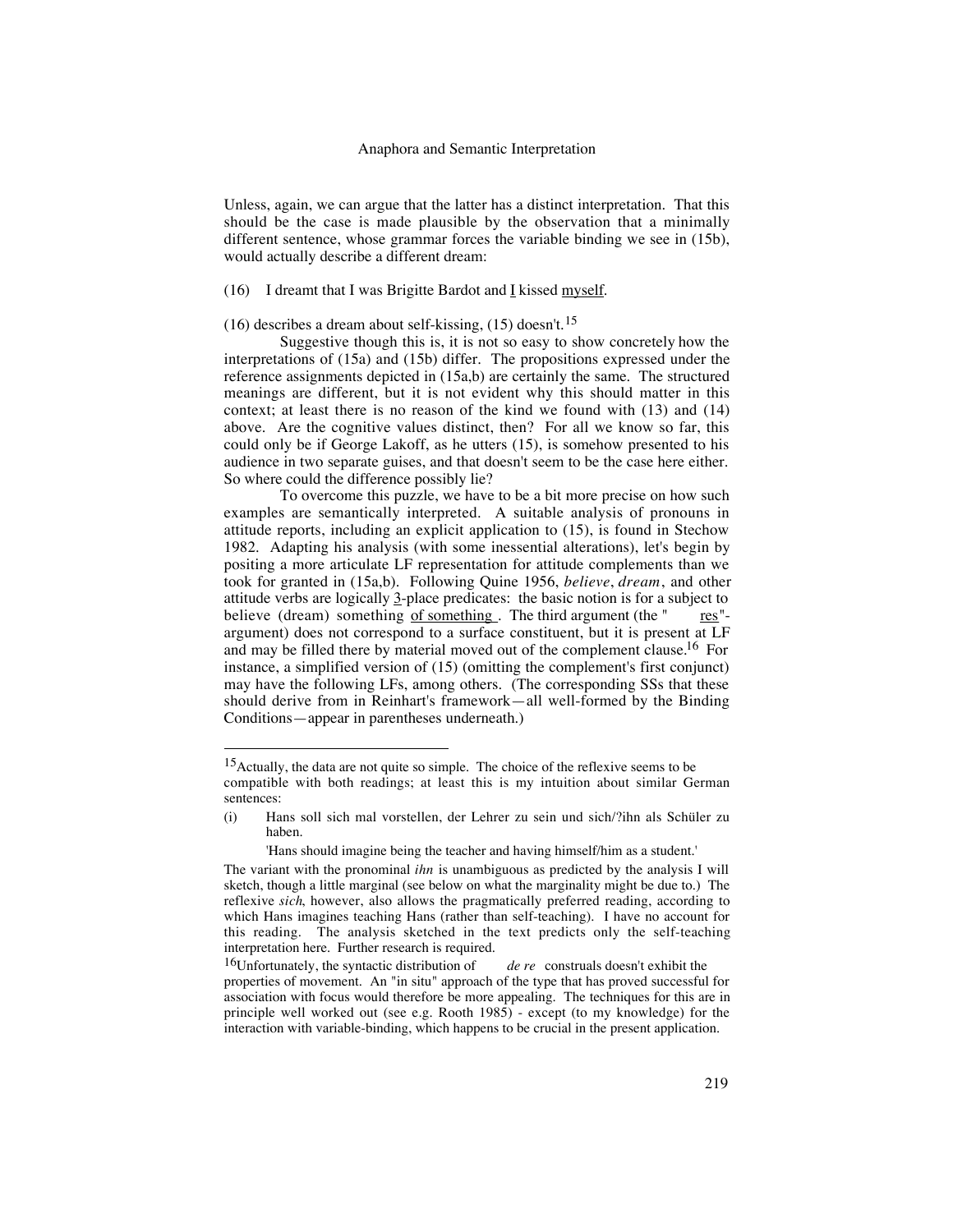Unless, again, we can argue that the latter has a distinct interpretation. That this should be the case is made plausible by the observation that a minimally different sentence, whose grammar forces the variable binding we see in (15b), would actually describe a different dream:

## (16) I dreamt that I was Brigitte Bardot and I kissed myself.

## (16) describes a dream about self-kissing, (15) doesn't.<sup>15</sup>

Suggestive though this is, it is not so easy to show concretely how the interpretations of (15a) and (15b) differ. The propositions expressed under the reference assignments depicted in (15a,b) are certainly the same. The structured meanings are different, but it is not evident why this should matter in this context; at least there is no reason of the kind we found with (13) and (14) above. Are the cognitive values distinct, then? For all we know so far, this could only be if George Lakoff, as he utters (15), is somehow presented to his audience in two separate guises, and that doesn't seem to be the case here either. So where could the difference possibly lie?

To overcome this puzzle, we have to be a bit more precise on how such examples are semantically interpreted. A suitable analysis of pronouns in attitude reports, including an explicit application to (15), is found in Stechow 1982. Adapting his analysis (with some inessential alterations), let's begin by positing a more articulate LF representation for attitude complements than we took for granted in (15a,b). Following Quine 1956, *believe*, *dream*, and other attitude verbs are logically  $\frac{3}{2}$ -place predicates: the basic notion is for a subject to believe (dream) something  $of$  something. The third argument (the  $"$  res "argument) does not correspond to a surface constituent, but it is present at LF and may be filled there by material moved out of the complement clause.16 For instance, a simplified version of (15) (omitting the complement's first conjunct) may have the following LFs, among others. (The corresponding SSs that these should derive from in Reinhart's framework—all well-formed by the Binding Conditions—appear in parentheses underneath.)

 <sup>15</sup>Actually, the data are not quite so simple. The choice of the reflexive seems to be compatible with both readings; at least this is my intuition about similar German sentences:

<sup>(</sup>i) Hans soll sich mal vorstellen, der Lehrer zu sein und sich/?ihn als Schüler zu haben.

<sup>&#</sup>x27;Hans should imagine being the teacher and having himself/him as a student.'

The variant with the pronominal *ihn* is unambiguous as predicted by the analysis I will sketch, though a little marginal (see below on what the marginality might be due to.) The reflexive *sich*, however, also allows the pragmatically preferred reading, according to which Hans imagines teaching Hans (rather than self-teaching). I have no account for this reading. The analysis sketched in the text predicts only the self-teaching interpretation here. Further research is required.

<sup>16</sup>Unfortunately, the syntactic distribution of *de re* construals doesn't exhibit the properties of movement. An "in situ" approach of the type that has proved successful for association with focus would therefore be more appealing. The techniques for this are in principle well worked out (see e.g. Rooth 1985) - except (to my knowledge) for the interaction with variable-binding, which happens to be crucial in the present application.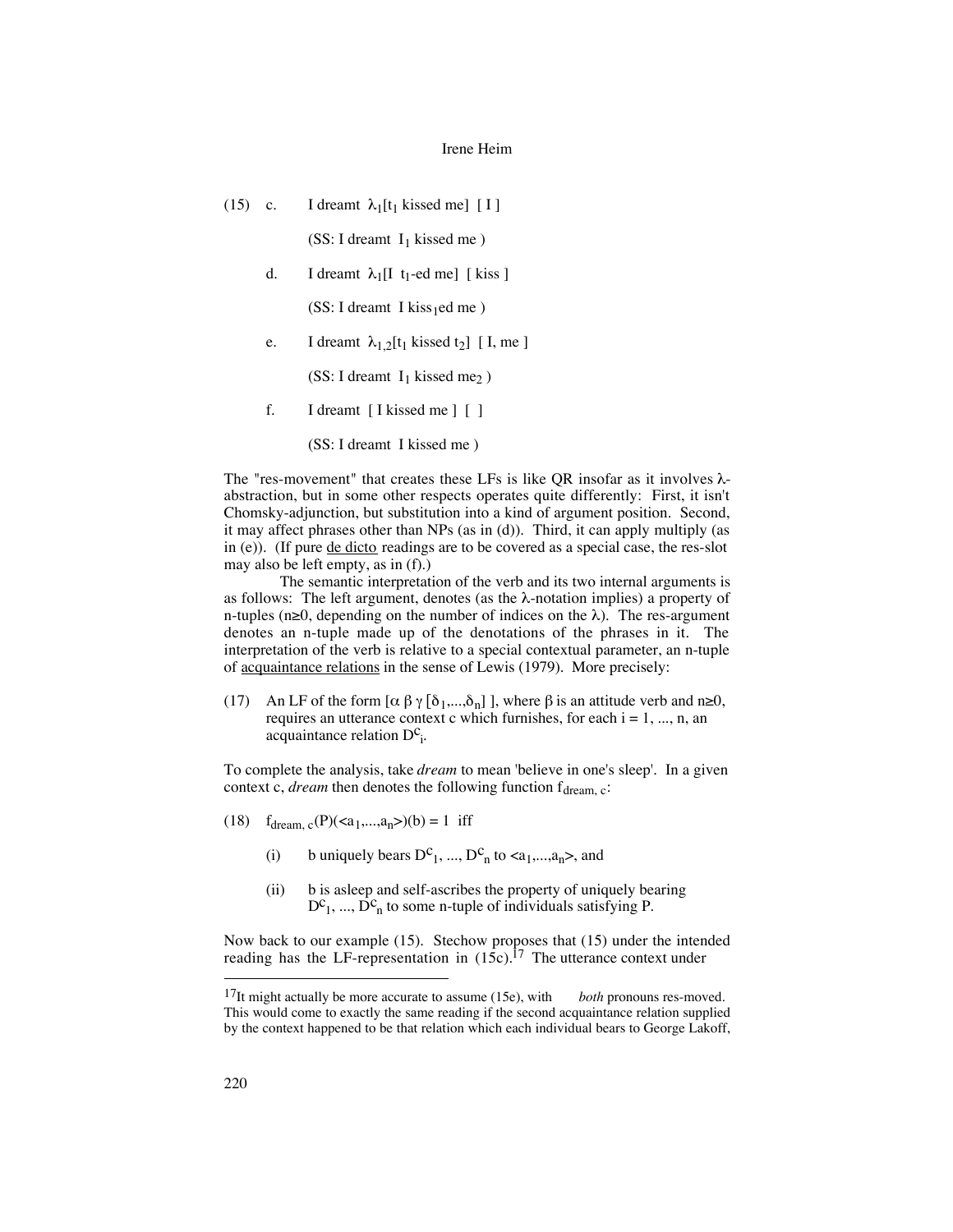(15) c. I dreamt  $\lambda_1[t_1]$  kissed me] [ I ]

(SS: I dreamt  $I_1$  kissed me)

d. I dreamt  $\lambda_1[I \text{ t}_1\text{-ed me}]$  [kiss]

 $(SS: I dreamt I kiss_1ed me)$ 

e. I dreamt  $\lambda_{1,2}$ [t<sub>1</sub> kissed t<sub>2</sub>] [I, me]

(SS: I dreamt  $I_1$  kissed me<sub>2</sub>)

f. I dreamt [ I kissed me ] [ ]

(SS: I dreamt I kissed me )

The "res-movement" that creates these LFs is like QR insofar as it involves  $\lambda$ abstraction, but in some other respects operates quite differently: First, it isn't Chomsky-adjunction, but substitution into a kind of argument position. Second, it may affect phrases other than NPs (as in (d)). Third, it can apply multiply (as in (e)). (If pure de dicto readings are to be covered as a special case, the res-slot may also be left empty, as in (f).)

The semantic interpretation of the verb and its two internal arguments is as follows: The left argument, denotes (as the  $\lambda$ -notation implies) a property of n-tuples (n≥0, depending on the number of indices on the  $\lambda$ ). The res-argument denotes an n-tuple made up of the denotations of the phrases in it. The interpretation of the verb is relative to a special contextual parameter, an n-tuple of acquaintance relations in the sense of Lewis (1979). More precisely:

(17) An LF of the form  $[\alpha \beta \gamma [\delta_1,...,\delta_n] ]$ , where  $\beta$  is an attitude verb and n≥0, requires an utterance context c which furnishes, for each  $i = 1, ..., n$ , an  $\alpha$  acquaintance relation  $D^c$ <sub>i</sub>.

To complete the analysis, take *dream* to mean 'believe in one's sleep'. In a given context c, *dream* then denotes the following function  $f_{\text{dream, c}}$ :

- (18)  $f_{\text{dream, c}}(P)(\langle a_1,...,a_n \rangle)(b) = 1$  iff
	- (i) b uniquely bears  $D^c_1$ , ...,  $D^c_n$  to  $\langle a_1,...,a_n \rangle$ , and
	- (ii) b is asleep and self-ascribes the property of uniquely bearing  $D^c_1$ , ...,  $D^c_n$  to some n-tuple of individuals satisfying P.

Now back to our example (15). Stechow proposes that (15) under the intended reading has the LF-representation in  $(15c)$ .<sup>17</sup> The utterance context under

 <sup>17</sup>It might actually be more accurate to assume (15e), with *both* pronouns res-moved. This would come to exactly the same reading if the second acquaintance relation supplied by the context happened to be that relation which each individual bears to George Lakoff,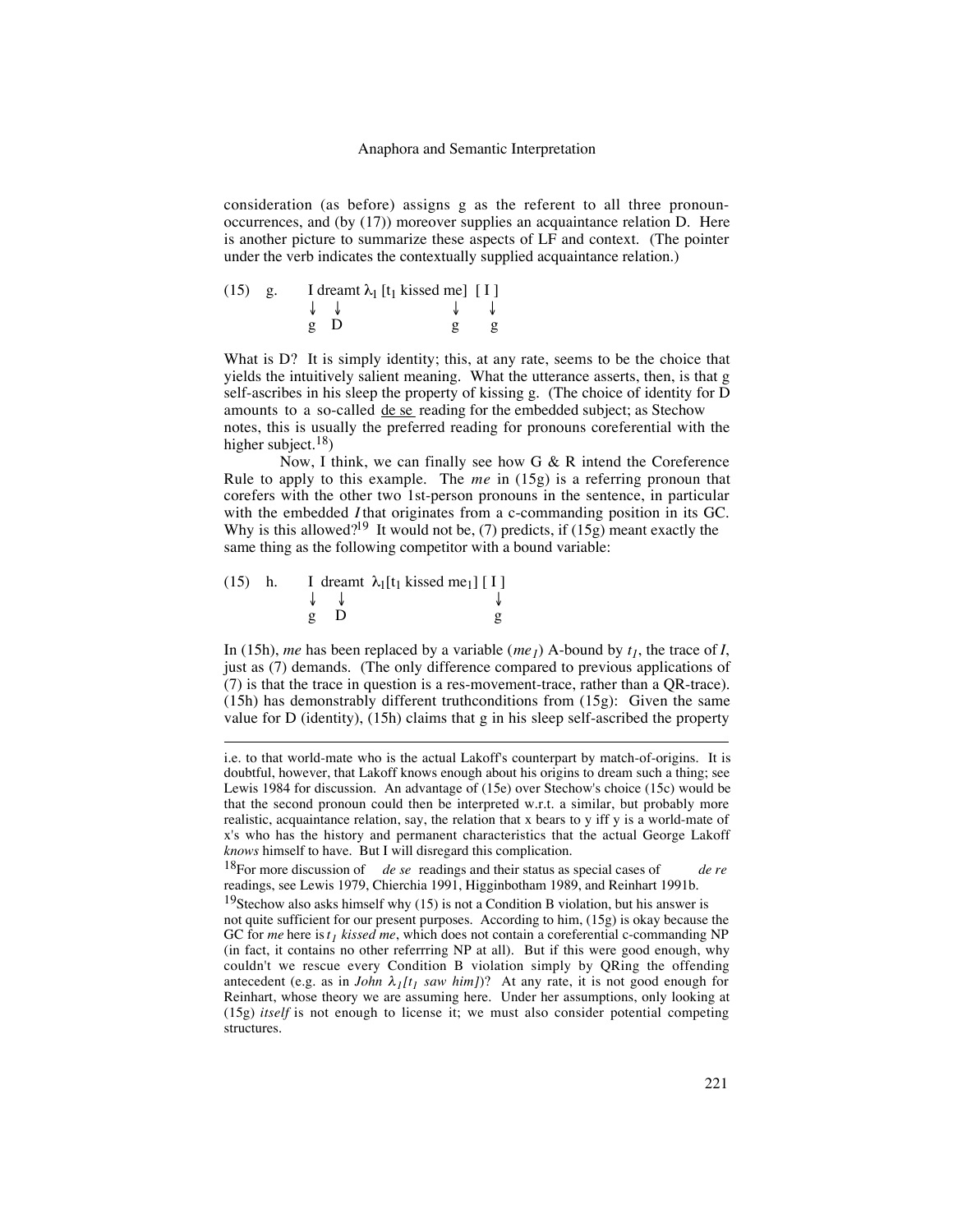consideration (as before) assigns g as the referent to all three pronounoccurrences, and (by (17)) moreover supplies an acquaintance relation D. Here is another picture to summarize these aspects of LF and context. (The pointer under the verb indicates the contextually supplied acquaintance relation.)

|  | (15) g. I dreamt $\lambda_1$ [t <sub>1</sub> kissed me] [I] |  |
|--|-------------------------------------------------------------|--|
|  |                                                             |  |
|  | $\mathfrak{g}$ D                                            |  |

What is D? It is simply identity; this, at any rate, seems to be the choice that yields the intuitively salient meaning. What the utterance asserts, then, is that g self-ascribes in his sleep the property of kissing g. (The choice of identity for D amounts to a so-called de se reading for the embedded subject; as Stechow notes, this is usually the preferred reading for pronouns coreferential with the higher subject.<sup>18</sup>)

Now, I think, we can finally see how G & R intend the Coreference Rule to apply to this example. The *me* in (15g) is a referring pronoun that corefers with the other two 1st-person pronouns in the sentence, in particular with the embedded *I*that originates from a c-commanding position in its GC. Why is this allowed?<sup>19</sup> It would not be, (7) predicts, if (15g) meant exactly the same thing as the following competitor with a bound variable:

|  |              | (15) h. I dreamt $\lambda_1[t_1]$ kissed me <sub>1</sub> ] [I] |
|--|--------------|----------------------------------------------------------------|
|  |              |                                                                |
|  | $\mathbf{p}$ |                                                                |

 $\overline{a}$ 

In (15h), *me* has been replaced by a variable (*me<sub>1</sub>*) A-bound by  $t_1$ , the trace of *I*, just as (7) demands. (The only difference compared to previous applications of (7) is that the trace in question is a res-movement-trace, rather than a QR-trace).  $(15h)$  has demonstrably different truthconditions from  $(15g)$ : Given the same value for D (identity), (15h) claims that g in his sleep self-ascribed the property

i.e. to that world-mate who is the actual Lakoff's counterpart by match-of-origins. It is doubtful, however, that Lakoff knows enough about his origins to dream such a thing; see Lewis 1984 for discussion. An advantage of (15e) over Stechow's choice (15c) would be that the second pronoun could then be interpreted w.r.t. a similar, but probably more realistic, acquaintance relation, say, the relation that x bears to y iff y is a world-mate of x's who has the history and permanent characteristics that the actual George Lakoff *knows* himself to have. But I will disregard this complication.

<sup>18</sup>For more discussion of *de se* readings and their status as special cases of *de re* readings, see Lewis 1979, Chierchia 1991, Higginbotham 1989, and Reinhart 1991b.

<sup>&</sup>lt;sup>19</sup>Stechow also asks himself why  $(15)$  is not a Condition B violation, but his answer is not quite sufficient for our present purposes. According to him, (15g) is okay because the GC for *me* here is  $t_1$  *kissed me*, which does not contain a coreferential c-commanding NP (in fact, it contains no other referrring NP at all). But if this were good enough, why couldn't we rescue every Condition B violation simply by QRing the offending antecedent (e.g. as in *John*  $\lambda_1[t_1]$  *saw him]*)? At any rate, it is not good enough for Reinhart, whose theory we are assuming here. Under her assumptions, only looking at (15g) *itself* is not enough to license it; we must also consider potential competing structures.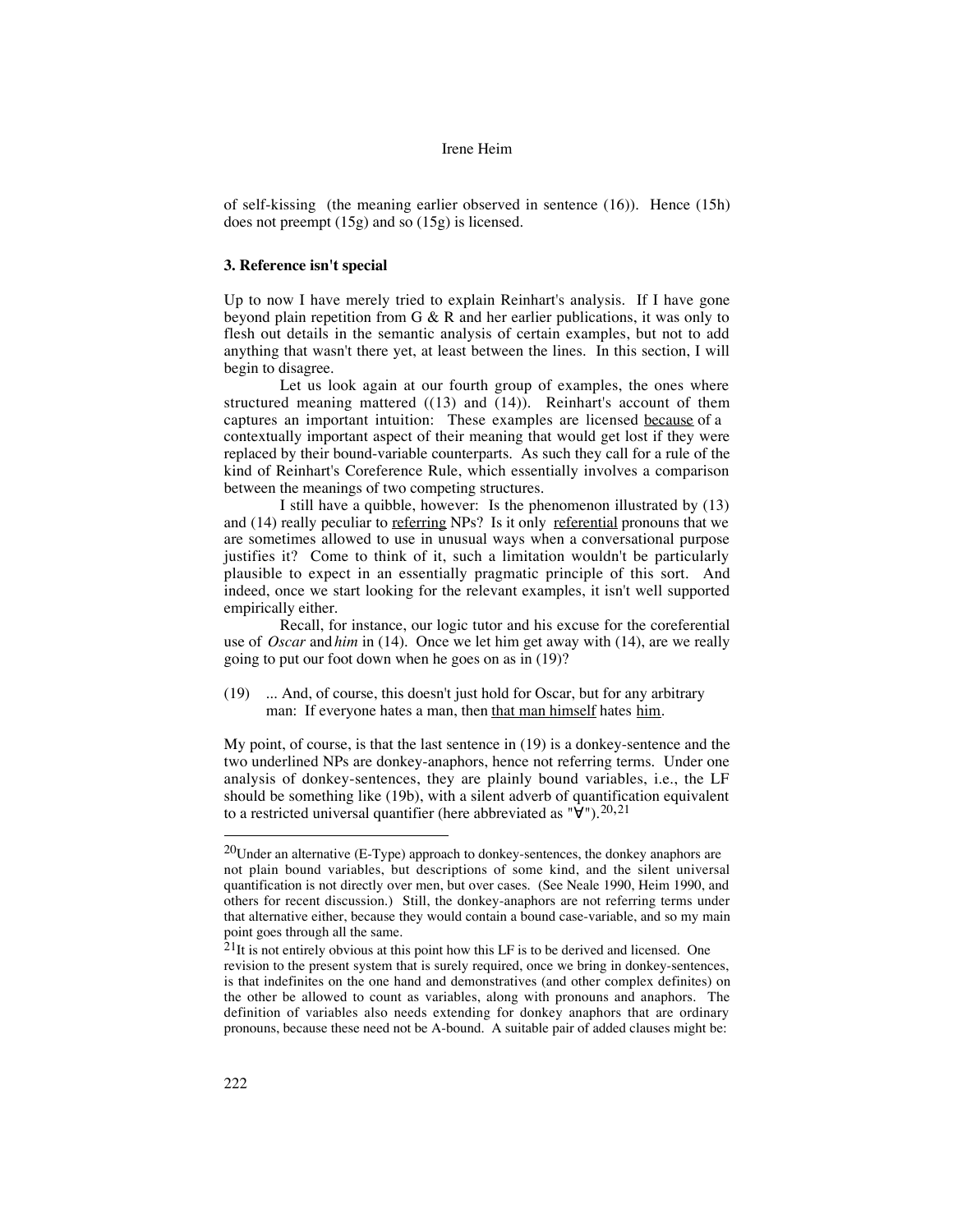of self-kissing (the meaning earlier observed in sentence (16)). Hence (15h) does not preempt (15g) and so (15g) is licensed.

## **3. Reference isn't special**

Up to now I have merely tried to explain Reinhart's analysis. If I have gone beyond plain repetition from G & R and her earlier publications, it was only to flesh out details in the semantic analysis of certain examples, but not to add anything that wasn't there yet, at least between the lines. In this section, I will begin to disagree.

Let us look again at our fourth group of examples, the ones where structured meaning mattered ((13) and (14)). Reinhart's account of them captures an important intuition: These examples are licensed because of a contextually important aspect of their meaning that would get lost if they were replaced by their bound-variable counterparts. As such they call for a rule of the kind of Reinhart's Coreference Rule, which essentially involves a comparison between the meanings of two competing structures.

I still have a quibble, however: Is the phenomenon illustrated by (13) and (14) really peculiar to referring NPs? Is it only referential pronouns that we are sometimes allowed to use in unusual ways when a conversational purpose justifies it? Come to think of it, such a limitation wouldn't be particularly plausible to expect in an essentially pragmatic principle of this sort. And indeed, once we start looking for the relevant examples, it isn't well supported empirically either.

Recall, for instance, our logic tutor and his excuse for the coreferential use of *Oscar* and *him* in (14). Once we let him get away with (14), are we really going to put our foot down when he goes on as in (19)?

(19) ... And, of course, this doesn't just hold for Oscar, but for any arbitrary man: If everyone hates a man, then that man himself hates him.

My point, of course, is that the last sentence in (19) is a donkey-sentence and the two underlined NPs are donkey-anaphors, hence not referring terms. Under one analysis of donkey-sentences, they are plainly bound variables, i.e., the LF should be something like (19b), with a silent adverb of quantification equivalent to a restricted universal quantifier (here abbreviated as  $\mathbf{v} \cdot \hat{\mathbf{y}}$ ").<sup>20,21</sup>

 $^{20}$ Under an alternative (E-Type) approach to donkey-sentences, the donkey anaphors are not plain bound variables, but descriptions of some kind, and the silent universal quantification is not directly over men, but over cases. (See Neale 1990, Heim 1990, and others for recent discussion.) Still, the donkey-anaphors are not referring terms under that alternative either, because they would contain a bound case-variable, and so my main point goes through all the same.

 $21$ It is not entirely obvious at this point how this LF is to be derived and licensed. One revision to the present system that is surely required, once we bring in donkey-sentences, is that indefinites on the one hand and demonstratives (and other complex definites) on the other be allowed to count as variables, along with pronouns and anaphors. The definition of variables also needs extending for donkey anaphors that are ordinary pronouns, because these need not be A-bound. A suitable pair of added clauses might be: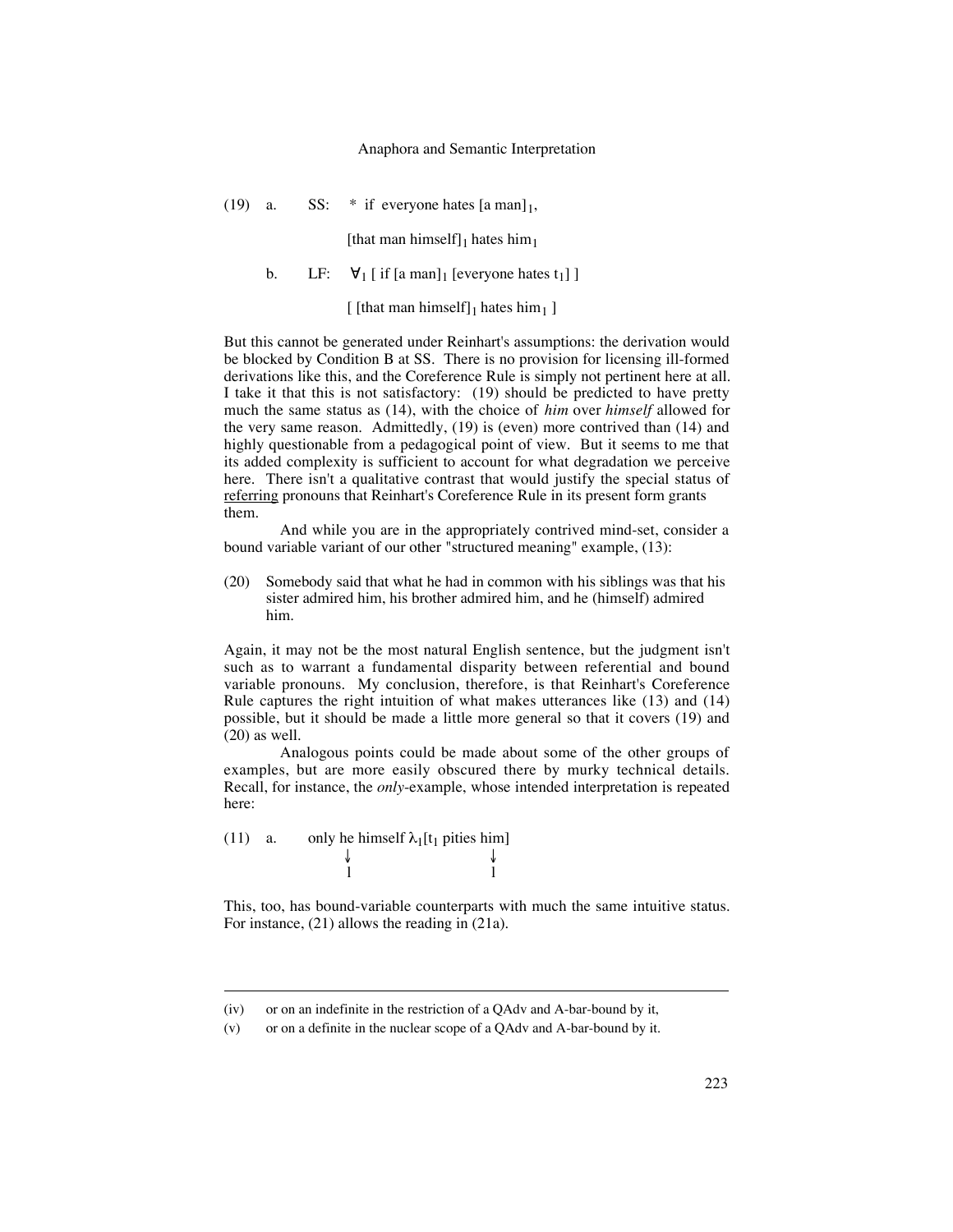#### Anaphora and Semantic Interpretation

(19) a. SS:  $*$  if everyone hates  $[a \text{ man}]_1$ ,

[that man himself]<sub>1</sub> hates him<sub>1</sub>

b. LF:  $\forall_1$  [ if [a man]<sub>1</sub> [everyone hates t<sub>1</sub>]]

[ [that man himself] $_1$  hates him<sub>1</sub> ]

But this cannot be generated under Reinhart's assumptions: the derivation would be blocked by Condition B at SS. There is no provision for licensing ill-formed derivations like this, and the Coreference Rule is simply not pertinent here at all. I take it that this is not satisfactory: (19) should be predicted to have pretty much the same status as (14), with the choice of *him* over *himself* allowed for the very same reason. Admittedly, (19) is (even) more contrived than (14) and highly questionable from a pedagogical point of view. But it seems to me that its added complexity is sufficient to account for what degradation we perceive here. There isn't a qualitative contrast that would justify the special status of referring pronouns that Reinhart's Coreference Rule in its present form grants them.

And while you are in the appropriately contrived mind-set, consider a bound variable variant of our other "structured meaning" example, (13):

(20) Somebody said that what he had in common with his siblings was that his sister admired him, his brother admired him, and he (himself) admired him.

Again, it may not be the most natural English sentence, but the judgment isn't such as to warrant a fundamental disparity between referential and bound variable pronouns. My conclusion, therefore, is that Reinhart's Coreference Rule captures the right intuition of what makes utterances like (13) and (14) possible, but it should be made a little more general so that it covers (19) and (20) as well.

Analogous points could be made about some of the other groups of examples, but are more easily obscured there by murky technical details. Recall, for instance, the *only*-example, whose intended interpretation is repeated here:

(11) a. only he himself  $\lambda_1[t_1]$  pities him] ↓ ↓ l l

 $\overline{a}$ 

This, too, has bound-variable counterparts with much the same intuitive status. For instance, (21) allows the reading in (21a).

<sup>(</sup>iv) or on an indefinite in the restriction of a QAdv and A-bar-bound by it,

<sup>(</sup>v) or on a definite in the nuclear scope of a QAdv and A-bar-bound by it.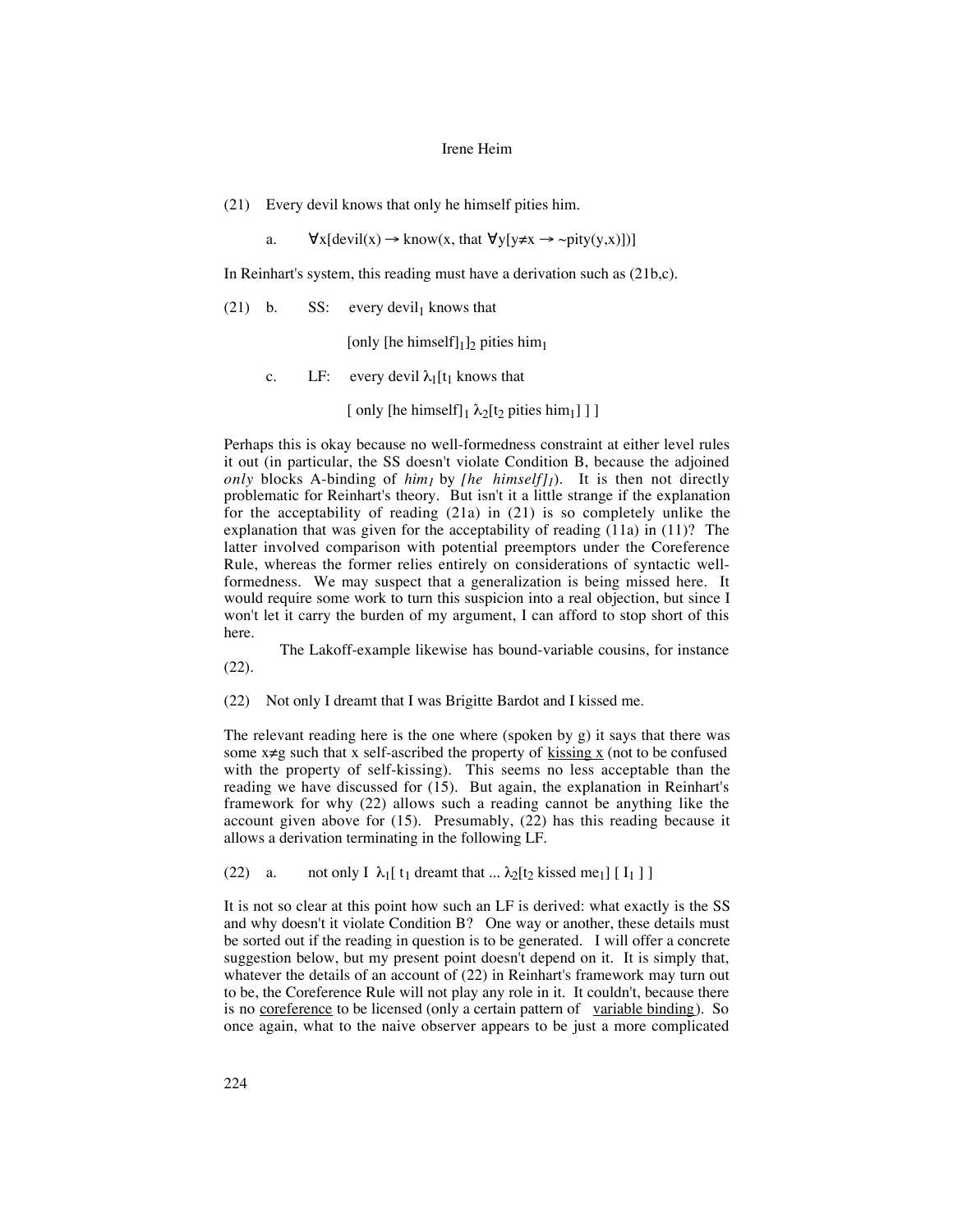(21) Every devil knows that only he himself pities him.

a.  $\forall x [\text{devil}(x) \rightarrow \text{know}(x, \text{that } \forall y [y \neq x \rightarrow \sim pity(y, x)])]$ 

In Reinhart's system, this reading must have a derivation such as (21b,c).

(21) b. SS: every devil<sub>1</sub> knows that

[only [he himself] $_1$ ]<sub>2</sub> pities him<sub>1</sub>

c. LF: every devil  $\lambda_1[t_1]$  knows that

[ only [he himself] $_1 \lambda_2$ [t<sub>2</sub> pities him<sub>1</sub>] ] ]

Perhaps this is okay because no well-formedness constraint at either level rules it out (in particular, the SS doesn't violate Condition B, because the adjoined *only* blocks A-binding of  $him_1$  by *[he himself]<sub>1</sub>*). It is then not directly problematic for Reinhart's theory. But isn't it a little strange if the explanation for the acceptability of reading  $(21a)$  in  $(21)$  is so completely unlike the explanation that was given for the acceptability of reading (11a) in (11)? The latter involved comparison with potential preemptors under the Coreference Rule, whereas the former relies entirely on considerations of syntactic wellformedness. We may suspect that a generalization is being missed here. It would require some work to turn this suspicion into a real objection, but since I won't let it carry the burden of my argument, I can afford to stop short of this here.

The Lakoff-example likewise has bound-variable cousins, for instance (22).

(22) Not only I dreamt that I was Brigitte Bardot and I kissed me.

The relevant reading here is the one where (spoken by g) it says that there was some  $x \neq g$  such that x self-ascribed the property of  $\underline{k}$  is  $\underline{s}$  (not to be confused with the property of self-kissing). This seems no less acceptable than the reading we have discussed for (15). But again, the explanation in Reinhart's framework for why (22) allows such a reading cannot be anything like the account given above for (15). Presumably, (22) has this reading because it allows a derivation terminating in the following LF.

(22) a. not only I  $\lambda_1$ [ t<sub>1</sub> dreamt that ...  $\lambda_2$ [t<sub>2</sub> kissed me<sub>1</sub>] [ I<sub>1</sub>]]

It is not so clear at this point how such an LF is derived: what exactly is the SS and why doesn't it violate Condition B? One way or another, these details must be sorted out if the reading in question is to be generated. I will offer a concrete suggestion below, but my present point doesn't depend on it. It is simply that, whatever the details of an account of (22) in Reinhart's framework may turn out to be, the Coreference Rule will not play any role in it. It couldn't, because there is no <u>coreference</u> to be licensed (only a certain pattern of variable binding). So once again, what to the naive observer appears to be just a more complicated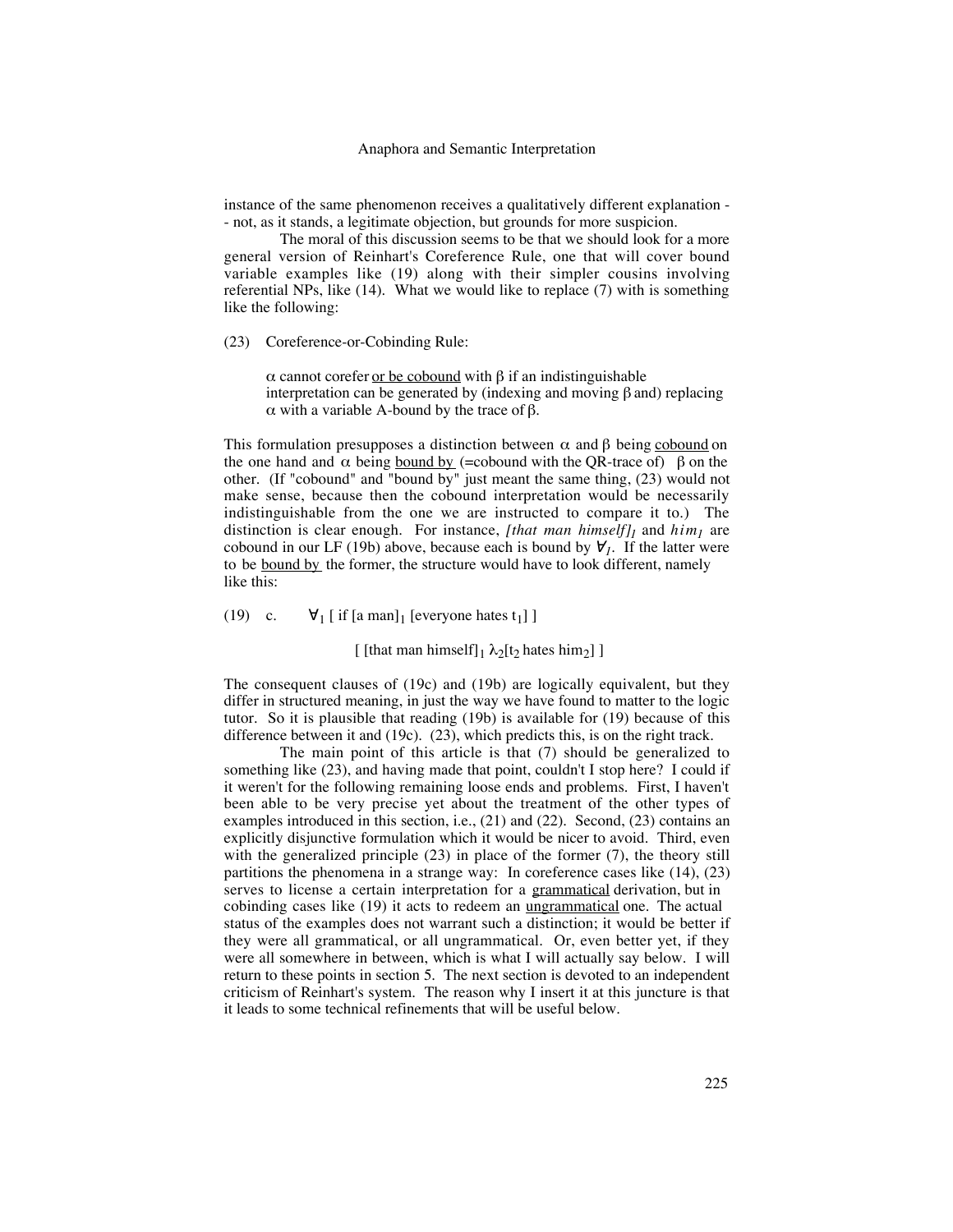instance of the same phenomenon receives a qualitatively different explanation - - not, as it stands, a legitimate objection, but grounds for more suspicion.

The moral of this discussion seems to be that we should look for a more general version of Reinhart's Coreference Rule, one that will cover bound variable examples like (19) along with their simpler cousins involving referential NPs, like (14). What we would like to replace (7) with is something like the following:

(23) Coreference-or-Cobinding Rule:

 $\alpha$  cannot corefer <u>or be cobound</u> with β if an indistinguishable interpretation can be generated by (indexing and moving β and) replacing α with a variable A-bound by the trace of β.

This formulation presupposes a distinction between  $\alpha$  and  $\beta$  being cobound on the one hand and  $\alpha$  being <u>bound by</u> (=cobound with the QR-trace of)  $\beta$  on the other. (If "cobound" and "bound by" just meant the same thing, (23) would not make sense, because then the cobound interpretation would be necessarily indistinguishable from the one we are instructed to compare it to.) The distinction is clear enough. For instance, [that man himself]<sub>1</sub> and  $him_1$  are cobound in our LF (19b) above, because each is bound by  $\forall j$ . If the latter were to be **bound by** the former, the structure would have to look different, namely like this:

(19) c.  $\forall_1$  [ if [a man]<sub>1</sub> [everyone hates t<sub>1</sub>] ]

[ [that man himself] $_1 \lambda_2[t_2]$  hates him<sub>2</sub>] ]

The consequent clauses of (19c) and (19b) are logically equivalent, but they differ in structured meaning, in just the way we have found to matter to the logic tutor. So it is plausible that reading (19b) is available for (19) because of this difference between it and (19c). (23), which predicts this, is on the right track.

The main point of this article is that (7) should be generalized to something like (23), and having made that point, couldn't I stop here? I could if it weren't for the following remaining loose ends and problems. First, I haven't been able to be very precise yet about the treatment of the other types of examples introduced in this section, i.e., (21) and (22). Second, (23) contains an explicitly disjunctive formulation which it would be nicer to avoid. Third, even with the generalized principle (23) in place of the former (7), the theory still partitions the phenomena in a strange way: In coreference cases like (14), (23) serves to license a certain interpretation for a grammatical derivation, but in cobinding cases like (19) it acts to redeem an ungrammatical one. The actual status of the examples does not warrant such a distinction; it would be better if they were all grammatical, or all ungrammatical. Or, even better yet, if they were all somewhere in between, which is what I will actually say below. I will return to these points in section 5. The next section is devoted to an independent criticism of Reinhart's system. The reason why I insert it at this juncture is that it leads to some technical refinements that will be useful below.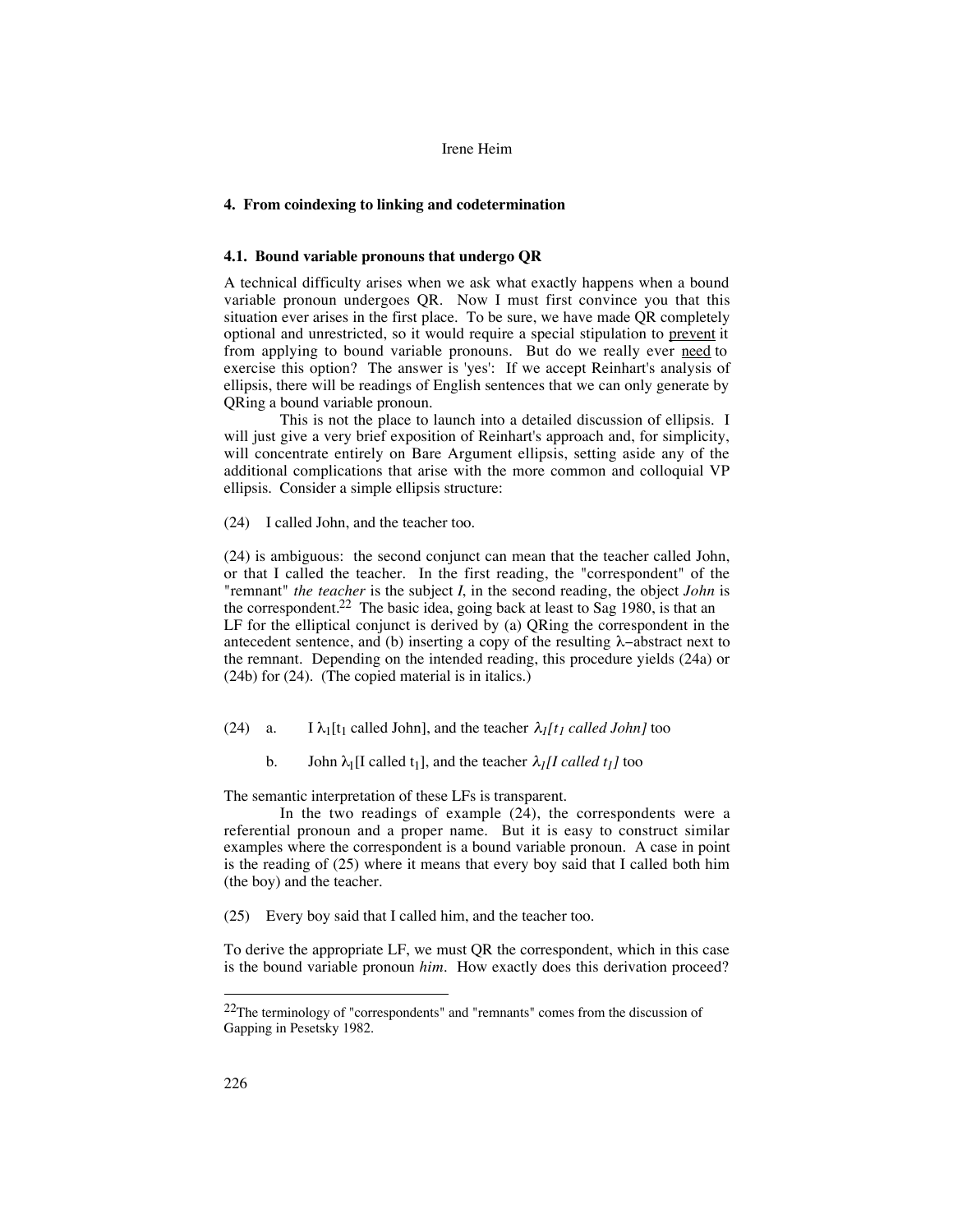## **4. From coindexing to linking and codetermination**

### **4.1. Bound variable pronouns that undergo QR**

A technical difficulty arises when we ask what exactly happens when a bound variable pronoun undergoes QR. Now I must first convince you that this situation ever arises in the first place. To be sure, we have made QR completely optional and unrestricted, so it would require a special stipulation to prevent it from applying to bound variable pronouns. But do we really ever need to exercise this option? The answer is 'yes': If we accept Reinhart's analysis of ellipsis, there will be readings of English sentences that we can only generate by QRing a bound variable pronoun.

This is not the place to launch into a detailed discussion of ellipsis. I will just give a very brief exposition of Reinhart's approach and, for simplicity, will concentrate entirely on Bare Argument ellipsis, setting aside any of the additional complications that arise with the more common and colloquial VP ellipsis. Consider a simple ellipsis structure:

(24) I called John, and the teacher too.

(24) is ambiguous: the second conjunct can mean that the teacher called John, or that I called the teacher. In the first reading, the "correspondent" of the "remnant" *the teacher* is the subject *I*, in the second reading, the object *John* is the correspondent.<sup>22</sup> The basic idea, going back at least to Sag 1980, is that an LF for the elliptical conjunct is derived by (a) QRing the correspondent in the antecedent sentence, and (b) inserting a copy of the resulting λ−abstract next to the remnant. Depending on the intended reading, this procedure yields (24a) or (24b) for (24). (The copied material is in italics.)

(24) a. I  $\lambda_1$ [t<sub>1</sub> called John], and the teacher  $\lambda_1$ [t<sub>1</sub> called John] too

b. John  $\lambda_1[I \text{ called } t_1]$ , and the teacher  $\lambda_1[I \text{ called } t_1]$  too

The semantic interpretation of these LFs is transparent.

In the two readings of example (24), the correspondents were a referential pronoun and a proper name. But it is easy to construct similar examples where the correspondent is a bound variable pronoun. A case in point is the reading of (25) where it means that every boy said that I called both him (the boy) and the teacher.

(25) Every boy said that I called him, and the teacher too.

To derive the appropriate LF, we must QR the correspondent, which in this case is the bound variable pronoun *him*. How exactly does this derivation proceed?

 <sup>22</sup>The terminology of "correspondents" and "remnants" comes from the discussion of Gapping in Pesetsky 1982.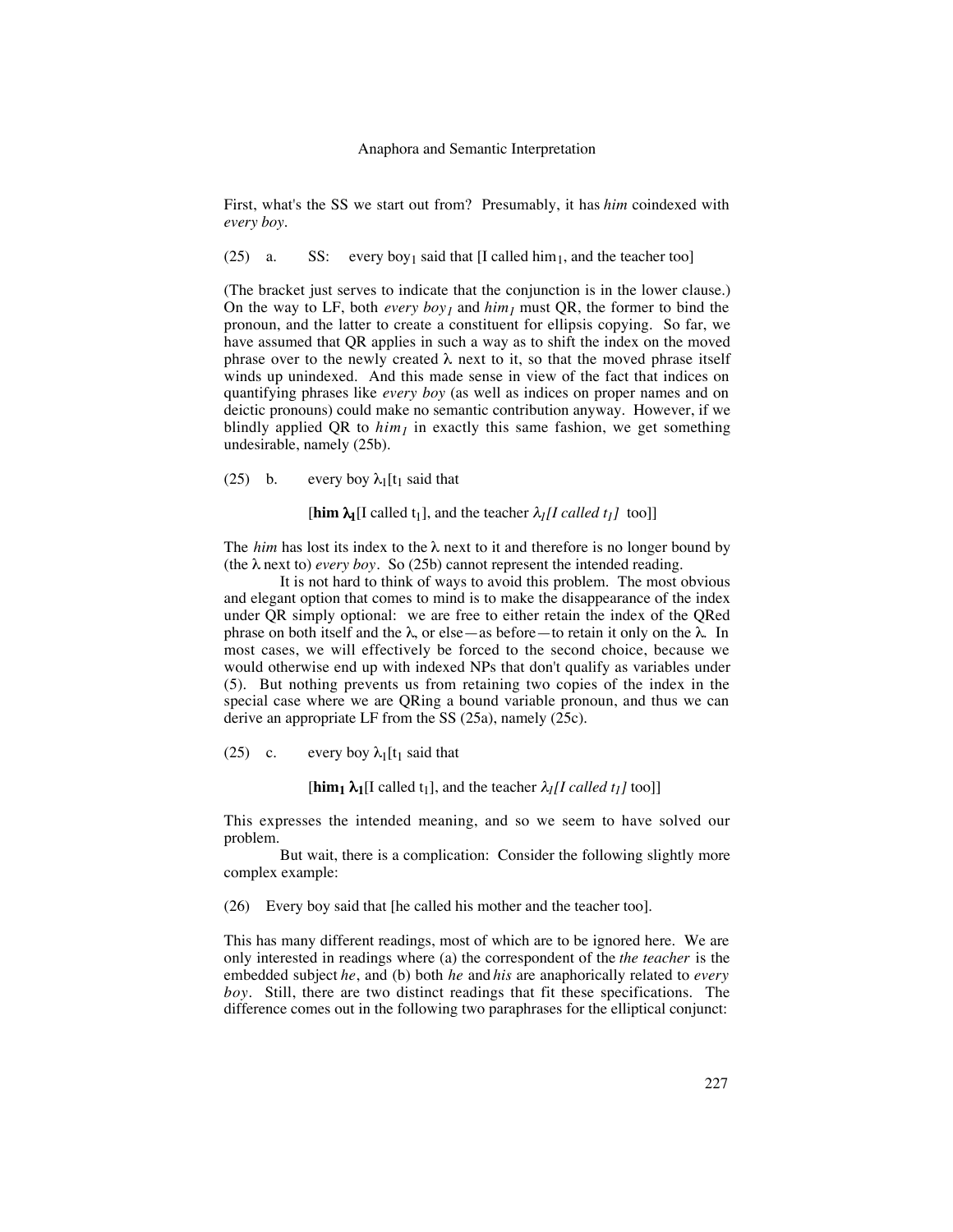#### Anaphora and Semantic Interpretation

First, what's the SS we start out from? Presumably, it has *him* coindexed with *every boy*.

(25) a. SS: every boy<sub>1</sub> said that [I called him<sub>1</sub>, and the teacher too]

(The bracket just serves to indicate that the conjunction is in the lower clause.) On the way to LF, both *every boy<sub>1</sub>* and  $him_1$  must QR, the former to bind the pronoun, and the latter to create a constituent for ellipsis copying. So far, we have assumed that QR applies in such a way as to shift the index on the moved phrase over to the newly created  $\lambda$  next to it, so that the moved phrase itself winds up unindexed. And this made sense in view of the fact that indices on quantifying phrases like *every boy* (as well as indices on proper names and on deictic pronouns) could make no semantic contribution anyway. However, if we blindly applied QR to  $\lim_{l}$  in exactly this same fashion, we get something undesirable, namely (25b).

(25) b. every boy  $\lambda_1[t_1]$  said that

 $[\text{him } \lambda_1[I \text{ called } t_1], \text{ and the teacher } \lambda_I[I \text{ called } t_I] \text{ too}]]$ 

The *him* has lost its index to the  $\lambda$  next to it and therefore is no longer bound by (the  $\lambda$  next to) *every boy*. So (25b) cannot represent the intended reading.

It is not hard to think of ways to avoid this problem. The most obvious and elegant option that comes to mind is to make the disappearance of the index under QR simply optional: we are free to either retain the index of the QRed phrase on both itself and the λ, or else—as before—to retain it only on the λ. In most cases, we will effectively be forced to the second choice, because we would otherwise end up with indexed NPs that don't qualify as variables under (5). But nothing prevents us from retaining two copies of the index in the special case where we are QRing a bound variable pronoun, and thus we can derive an appropriate LF from the SS (25a), namely (25c).

(25) c. every boy  $\lambda_1[t_1]$  said that

 $[\mathbf{him}_1 \lambda_1$ [I called t<sub>1</sub>], and the teacher  $\lambda_1$ [I called t<sub>1</sub>] too]]

This expresses the intended meaning, and so we seem to have solved our problem.

But wait, there is a complication: Consider the following slightly more complex example:

(26) Every boy said that [he called his mother and the teacher too].

This has many different readings, most of which are to be ignored here. We are only interested in readings where (a) the correspondent of the *the teacher* is the embedded subject *he*, and (b) both *he* and *his* are anaphorically related to *every boy*. Still, there are two distinct readings that fit these specifications. The difference comes out in the following two paraphrases for the elliptical conjunct: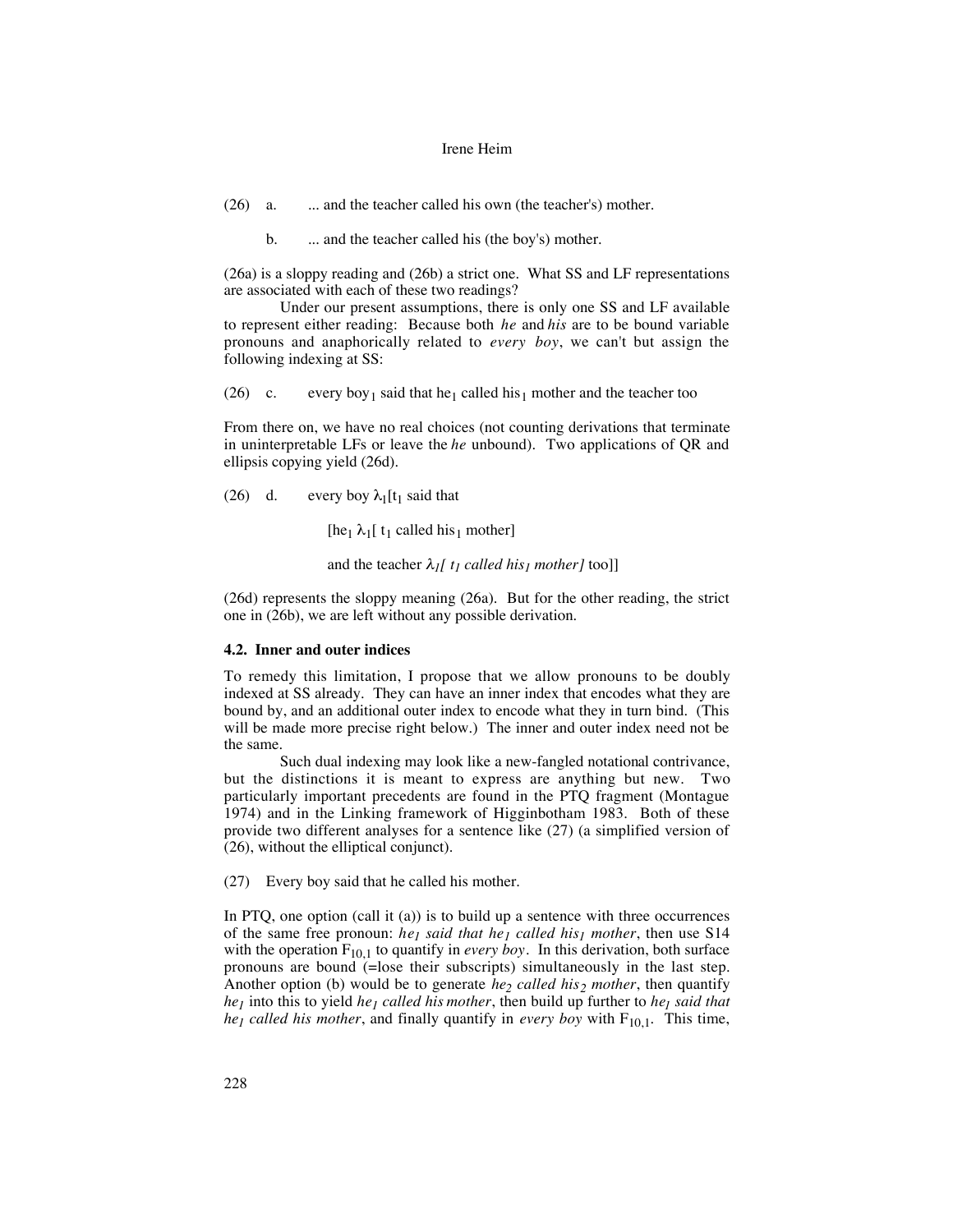(26) a. ... and the teacher called his own (the teacher's) mother.

b. ... and the teacher called his (the boy's) mother.

(26a) is a sloppy reading and (26b) a strict one. What SS and LF representations are associated with each of these two readings?

Under our present assumptions, there is only one SS and LF available to represent either reading: Because both *he* and *his* are to be bound variable pronouns and anaphorically related to *every boy*, we can't but assign the following indexing at SS:

(26) c. every boy<sub>1</sub> said that he<sub>1</sub> called his<sub>1</sub> mother and the teacher too

From there on, we have no real choices (not counting derivations that terminate in uninterpretable LFs or leave the *he* unbound). Two applications of QR and ellipsis copying yield (26d).

(26) d. every boy  $\lambda_1[t_1]$  said that

[he<sub>1</sub>  $\lambda_1$ [ t<sub>1</sub> called his<sub>1</sub> mother]

and the teacher  $\lambda_I[t_I]$  called his<sub>1</sub> mother] too]]

(26d) represents the sloppy meaning (26a). But for the other reading, the strict one in (26b), we are left without any possible derivation.

## **4.2. Inner and outer indices**

To remedy this limitation, I propose that we allow pronouns to be doubly indexed at SS already. They can have an inner index that encodes what they are bound by, and an additional outer index to encode what they in turn bind. (This will be made more precise right below.) The inner and outer index need not be the same.

Such dual indexing may look like a new-fangled notational contrivance, but the distinctions it is meant to express are anything but new. Two particularly important precedents are found in the PTQ fragment (Montague 1974) and in the Linking framework of Higginbotham 1983. Both of these provide two different analyses for a sentence like (27) (a simplified version of (26), without the elliptical conjunct).

(27) Every boy said that he called his mother.

In PTQ, one option (call it (a)) is to build up a sentence with three occurrences of the same free pronoun: *he<sub>1</sub> said that he<sub>1</sub> called his<sub>1</sub> mother*, then use S14 with the operation  $F_{10,1}$  to quantify in *every boy*. In this derivation, both surface pronouns are bound (=lose their subscripts) simultaneously in the last step. Another option (b) would be to generate *he<sub>2</sub> called his<sub>2</sub> mother*, then quantify *he<sub>1</sub>* into this to yield *he<sub>1</sub> called his mother*, then build up further to *he<sub>1</sub> said that he<sub>1</sub> called his mother*, and finally quantify in *every boy* with  $F_{10,1}$ . This time,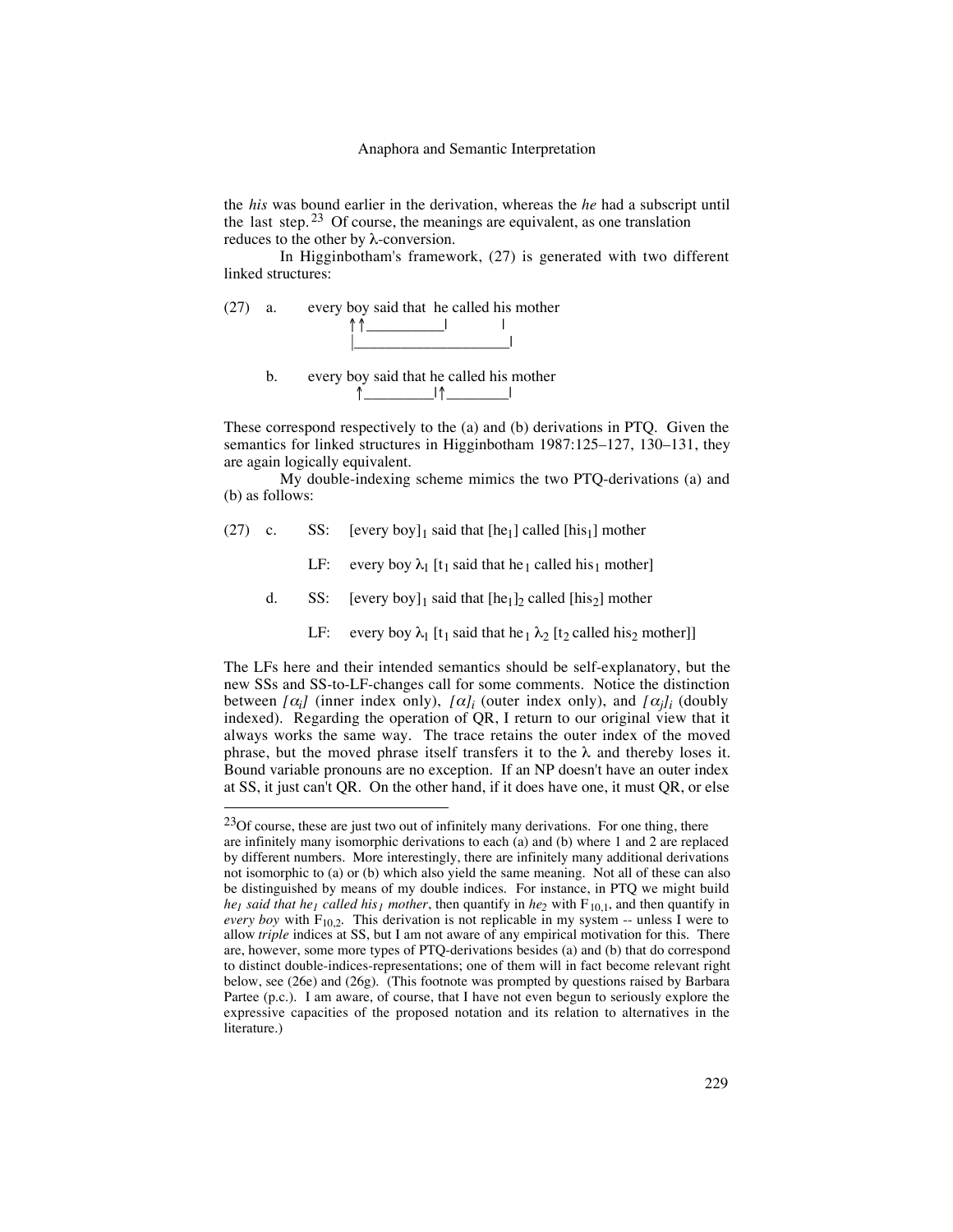the *his* was bound earlier in the derivation, whereas the *he* had a subscript until the last step.  $23$  Of course, the meanings are equivalent, as one translation reduces to the other by λ-conversion.

In Higginbotham's framework, (27) is generated with two different linked structures:

(27) a. every boy said that he called his mother



b. every boy said that he called his mother ↑\_\_\_\_\_\_\_\_\_|↑\_\_\_\_\_\_\_\_|

These correspond respectively to the (a) and (b) derivations in PTQ. Given the semantics for linked structures in Higginbotham 1987:125–127, 130–131, they are again logically equivalent.

My double-indexing scheme mimics the two PTQ-derivations (a) and (b) as follows:

(27) c. SS: [every boy]<sub>1</sub> said that  $[he_1]$  called  $[his_1]$  mother

LF: every boy  $\lambda_1$  [t<sub>1</sub> said that he<sub>1</sub> called his<sub>1</sub> mother]

d. SS: [every boy]<sub>1</sub> said that  $[he_1]_2$  called  $[his_2]$  mother

LF: every boy  $\lambda_1$  [t<sub>1</sub> said that he<sub>1</sub>  $\lambda_2$  [t<sub>2</sub> called his<sub>2</sub> mother]]

The LFs here and their intended semantics should be self-explanatory, but the new SSs and SS-to-LF-changes call for some comments. Notice the distinction between  $[\alpha_i]$  (inner index only),  $[\alpha_i]$  (outer index only), and  $[\alpha_i]$ <sub>*i*</sub> (doubly indexed). Regarding the operation of QR, I return to our original view that it always works the same way. The trace retains the outer index of the moved phrase, but the moved phrase itself transfers it to the  $\lambda$  and thereby loses it. Bound variable pronouns are no exception. If an NP doesn't have an outer index at SS, it just can't QR. On the other hand, if it does have one, it must QR, or else

 $^{23}$ Of course, these are just two out of infinitely many derivations. For one thing, there are infinitely many isomorphic derivations to each (a) and (b) where 1 and 2 are replaced by different numbers. More interestingly, there are infinitely many additional derivations not isomorphic to (a) or (b) which also yield the same meaning. Not all of these can also be distinguished by means of my double indices. For instance, in PTQ we might build *he<sub>1</sub> said that he<sub>1</sub> called his<sub>1</sub> mother*, then quantify in *he*<sub>2</sub> with  $F_{10,1}$ , and then quantify in *every boy* with  $F_{10,2}$ . This derivation is not replicable in my system -- unless I were to allow *triple* indices at SS, but I am not aware of any empirical motivation for this. There are, however, some more types of PTQ-derivations besides (a) and (b) that do correspond to distinct double-indices-representations; one of them will in fact become relevant right below, see (26e) and (26g). (This footnote was prompted by questions raised by Barbara Partee (p.c.). I am aware, of course, that I have not even begun to seriously explore the expressive capacities of the proposed notation and its relation to alternatives in the literature.)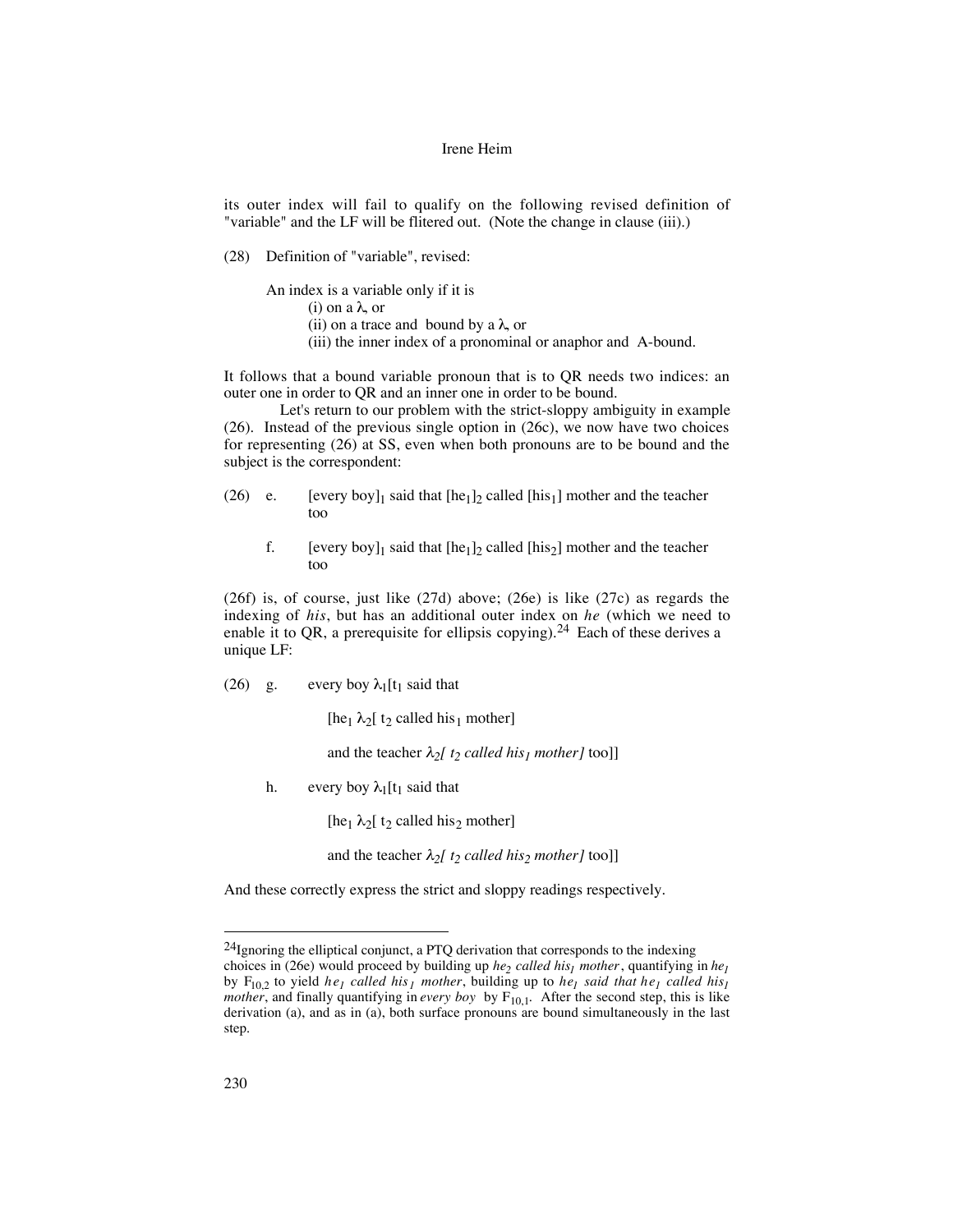its outer index will fail to qualify on the following revised definition of "variable" and the LF will be flitered out. (Note the change in clause (iii).)

(28) Definition of "variable", revised:

An index is a variable only if it is

(i) on a λ, or

(ii) on a trace and bound by a  $\lambda$ , or

(iii) the inner index of a pronominal or anaphor and A-bound.

It follows that a bound variable pronoun that is to QR needs two indices: an outer one in order to QR and an inner one in order to be bound.

Let's return to our problem with the strict-sloppy ambiguity in example (26). Instead of the previous single option in (26c), we now have two choices for representing (26) at SS, even when both pronouns are to be bound and the subject is the correspondent:

- (26) e. [every boy]<sub>1</sub> said that  $[he_1]_2$  called  $[his_1]$  mother and the teacher too
	- f. [every boy]<sub>1</sub> said that  $[he_1]_2$  called  $[his_2]$  mother and the teacher too

(26f) is, of course, just like (27d) above; (26e) is like (27c) as regards the indexing of *his*, but has an additional outer index on *he* (which we need to enable it to QR, a prerequisite for ellipsis copying).<sup>24</sup> Each of these derives a unique LF:

(26) g. every boy  $\lambda_1[t_1]$  said that

[he<sub>1</sub>  $\lambda_2$ [ t<sub>2</sub> called his<sub>1</sub> mother]

and the teacher  $\lambda_2$ [ t<sub>2</sub> called his<sub>1</sub> mother] too]]

h. every boy  $\lambda_1[t_1]$  said that

[he<sub>1</sub>  $\lambda_2$ [ t<sub>2</sub> called his<sub>2</sub> mother]

and the teacher  $\lambda_2$ [ t<sub>2</sub> called his<sub>2</sub> mother] too]]

And these correctly express the strict and sloppy readings respectively.

 $24$ Ignoring the elliptical conjunct, a PTQ derivation that corresponds to the indexing

choices in (26e) would proceed by building up *he<sub>2</sub> called his<sub>1</sub> mother*, quantifying in *he<sub>1</sub>* by  $F_{10,2}$  to yield  $he_1$  *called his<sub>1</sub> mother*, building up to  $he_1$  *said that*  $he_1$  *called his<sub>1</sub> mother*, and finally quantifying in *every boy* by  $F_{10,1}$ . After the second step, this is like derivation (a), and as in (a), both surface pronouns are bound simultaneously in the last step.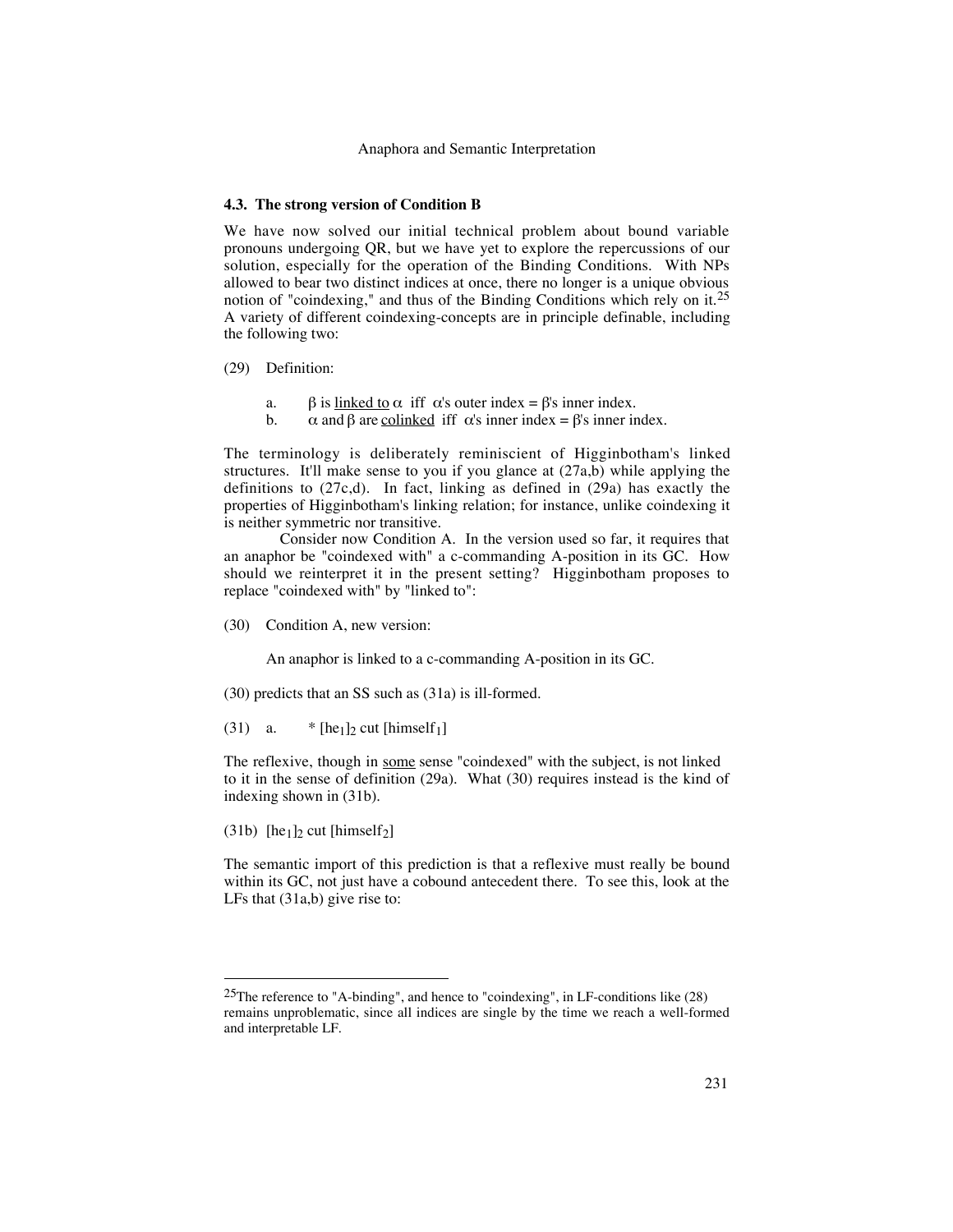### **4.3. The strong version of Condition B**

We have now solved our initial technical problem about bound variable pronouns undergoing QR, but we have yet to explore the repercussions of our solution, especially for the operation of the Binding Conditions. With NPs allowed to bear two distinct indices at once, there no longer is a unique obvious notion of "coindexing," and thus of the Binding Conditions which rely on it.<sup>25</sup> A variety of different coindexing-concepts are in principle definable, including the following two:

- (29) Definition:
	- a. β is <u>linked to</u>  $\alpha$  iff  $\alpha$ 's outer index = β's inner index.<br>b.  $\alpha$  and β are colinked iff  $\alpha$ 's inner index = β's inner in
	- $\alpha$  and β are <u>colinked</u> iff  $\alpha$ 's inner index = β's inner index.

The terminology is deliberately reminiscient of Higginbotham's linked structures. It'll make sense to you if you glance at (27a,b) while applying the definitions to  $(27c,d)$ . In fact, linking as defined in  $(29a)$  has exactly the properties of Higginbotham's linking relation; for instance, unlike coindexing it is neither symmetric nor transitive.

Consider now Condition A. In the version used so far, it requires that an anaphor be "coindexed with" a c-commanding A-position in its GC. How should we reinterpret it in the present setting? Higginbotham proposes to replace "coindexed with" by "linked to":

(30) Condition A, new version:

An anaphor is linked to a c-commanding A-position in its GC.

(30) predicts that an SS such as (31a) is ill-formed.

(31) a.  $*$  [he<sub>1</sub>]<sub>2</sub> cut [himself<sub>1</sub>]

The reflexive, though in some sense "coindexed" with the subject, is not linked to it in the sense of definition (29a). What (30) requires instead is the kind of indexing shown in (31b).

(31b) [he<sub>1</sub>]<sub>2</sub> cut [himself<sub>2</sub>]

The semantic import of this prediction is that a reflexive must really be bound within its GC, not just have a cobound antecedent there. To see this, look at the LFs that (31a,b) give rise to:

<sup>&</sup>lt;sup>25</sup>The reference to "A-binding", and hence to "coindexing", in LF-conditions like  $(28)$ remains unproblematic, since all indices are single by the time we reach a well-formed and interpretable LF.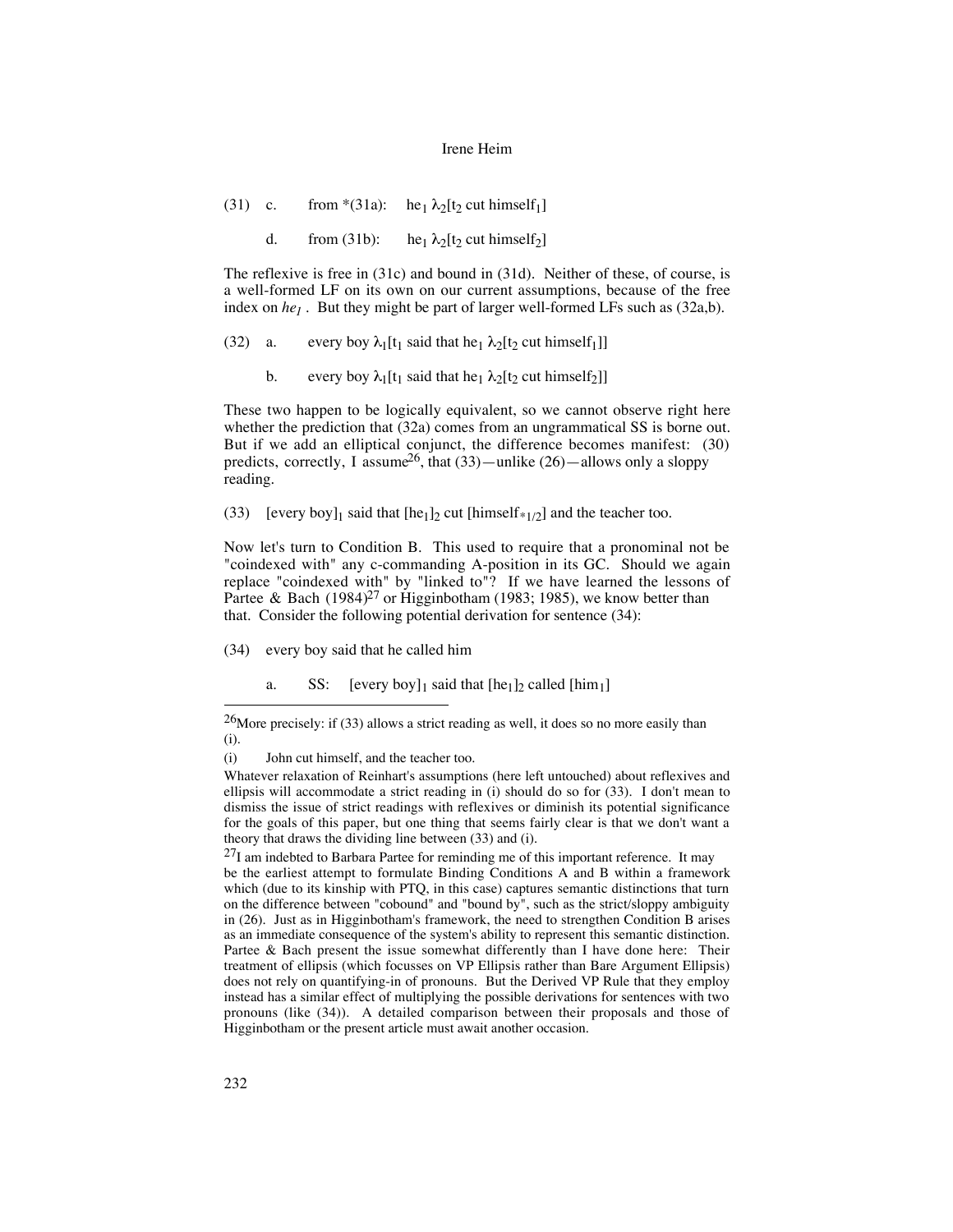(31) c. from \*(31a): he<sub>1</sub>  $\lambda_2[t_2 \text{ cut himself}_1]$ 

d. from (31b): he<sub>1</sub>  $\lambda_2$ [t<sub>2</sub> cut himself<sub>2</sub>]

The reflexive is free in (31c) and bound in (31d). Neither of these, of course, is a well-formed LF on its own on our current assumptions, because of the free index on  $he_1$ . But they might be part of larger well-formed LFs such as  $(32a,b)$ .

(32) a. every boy  $\lambda_1[t_1]$  said that he<sub>1</sub>  $\lambda_2[t_2]$  cut himself<sub>1</sub>]]

b. every boy  $\lambda_1[t_1]$  said that he<sub>1</sub>  $\lambda_2[t_2]$  cut himself<sub>2</sub>]]

These two happen to be logically equivalent, so we cannot observe right here whether the prediction that (32a) comes from an ungrammatical SS is borne out. But if we add an elliptical conjunct, the difference becomes manifest: (30) predicts, correctly, I assume<sup>26</sup>, that  $(33)$ —unlike  $(26)$ —allows only a sloppy reading.

(33) [every boy]<sub>1</sub> said that  $[he_1]_2$  cut  $[\text{himself*}_{1/2}]$  and the teacher too.

Now let's turn to Condition B. This used to require that a pronominal not be "coindexed with" any c-commanding A-position in its GC. Should we again replace "coindexed with" by "linked to"? If we have learned the lessons of Partee & Bach  $(1984)^{27}$  or Higginbotham (1983; 1985), we know better than that. Consider the following potential derivation for sentence (34):

- (34) every boy said that he called him
	- a. SS:  $[every boy]_1$  said that  $[he_1]_2$  called  $[\text{him}_1]$

 $^{26}$ More precisely: if (33) allows a strict reading as well, it does so no more easily than (i).

<sup>(</sup>i) John cut himself, and the teacher too.

Whatever relaxation of Reinhart's assumptions (here left untouched) about reflexives and ellipsis will accommodate a strict reading in (i) should do so for (33). I don't mean to dismiss the issue of strict readings with reflexives or diminish its potential significance for the goals of this paper, but one thing that seems fairly clear is that we don't want a theory that draws the dividing line between (33) and (i).

 $^{27}$ I am indebted to Barbara Partee for reminding me of this important reference. It may be the earliest attempt to formulate Binding Conditions A and B within a framework which (due to its kinship with PTQ, in this case) captures semantic distinctions that turn on the difference between "cobound" and "bound by", such as the strict/sloppy ambiguity in (26). Just as in Higginbotham's framework, the need to strengthen Condition B arises as an immediate consequence of the system's ability to represent this semantic distinction. Partee & Bach present the issue somewhat differently than I have done here: Their treatment of ellipsis (which focusses on VP Ellipsis rather than Bare Argument Ellipsis) does not rely on quantifying-in of pronouns. But the Derived VP Rule that they employ instead has a similar effect of multiplying the possible derivations for sentences with two pronouns (like (34)). A detailed comparison between their proposals and those of Higginbotham or the present article must await another occasion.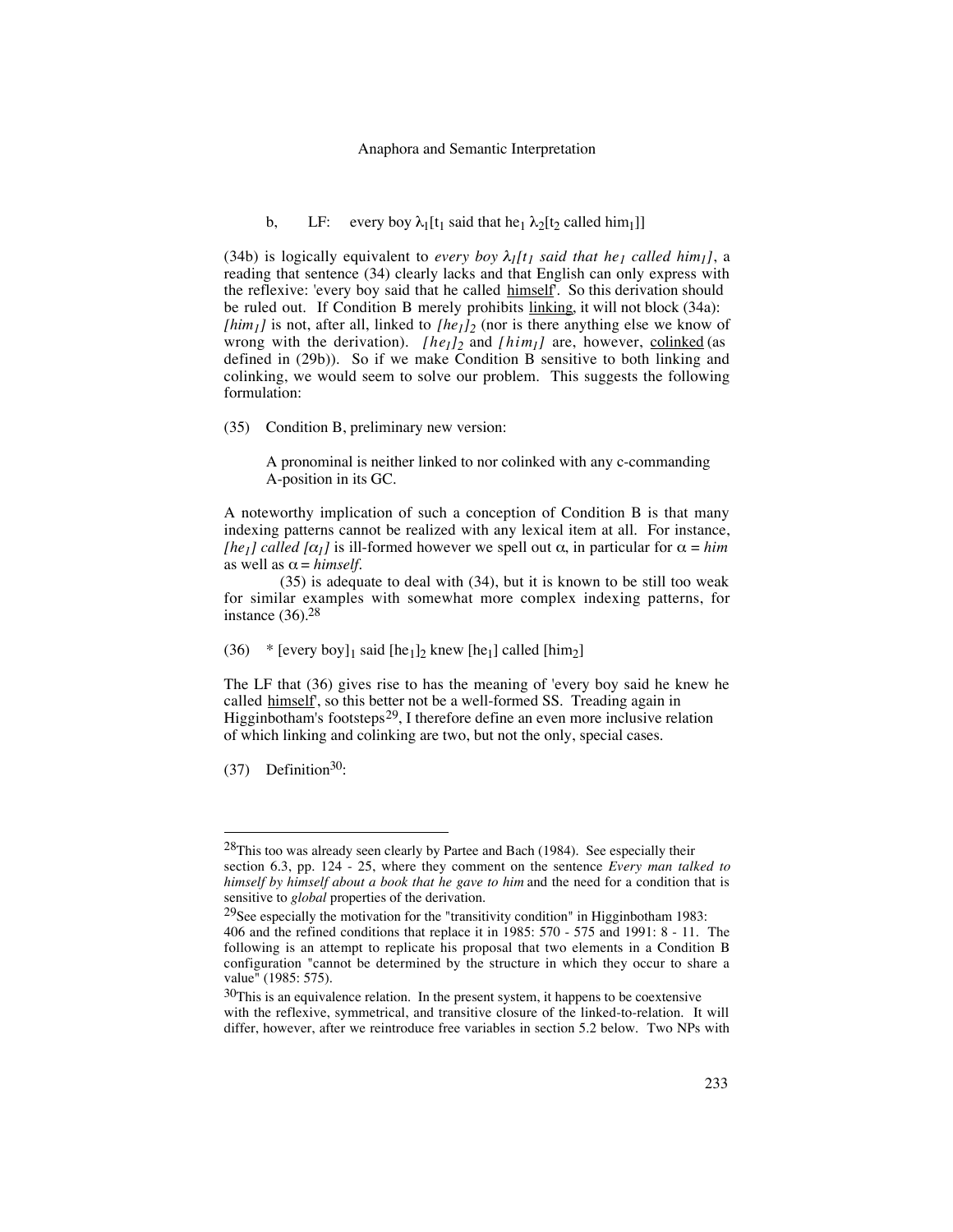#### Anaphora and Semantic Interpretation

b, LF: every boy  $\lambda_1[t_1]$  said that he<sub>1</sub>  $\lambda_2[t_2]$  called him<sub>1</sub>]]

(34b) is logically equivalent to *every boy*  $\lambda_I[t_I]$  *said that he<sub>1</sub> called him<sub>1</sub>]*, a reading that sentence (34) clearly lacks and that English can only express with the reflexive: 'every boy said that he called himself'. So this derivation should be ruled out. If Condition B merely prohibits linking, it will not block (34a): *[him<sub>1</sub>]* is not, after all, linked to *[he<sub>1</sub>]*<sub>2</sub> (nor is there anything else we know of wrong with the derivation). *[he<sub>1</sub>]*<sub>2</sub> and *[him<sub>1</sub>]* are, however, colinked (as defined in (29b)). So if we make Condition B sensitive to both linking and colinking, we would seem to solve our problem. This suggests the following formulation:

(35) Condition B, preliminary new version:

A pronominal is neither linked to nor colinked with any c-commanding A-position in its GC.

A noteworthy implication of such a conception of Condition B is that many indexing patterns cannot be realized with any lexical item at all. For instance, *[he<sub>1</sub>] called [* $\alpha_1$ *]* is ill-formed however we spell out  $\alpha$ , in particular for  $\alpha = him$ as well as  $\alpha = himself$ .

(35) is adequate to deal with (34), but it is known to be still too weak for similar examples with somewhat more complex indexing patterns, for instance  $(36)$ .<sup>28</sup>

(36) \* [every boy]<sub>1</sub> said [he<sub>1</sub>]<sub>2</sub> knew [he<sub>1</sub>] called [him<sub>2</sub>]

The LF that (36) gives rise to has the meaning of 'every boy said he knew he called himself', so this better not be a well-formed SS. Treading again in Higginbotham's footsteps<sup>29</sup>, I therefore define an even more inclusive relation of which linking and colinking are two, but not the only, special cases.

 $(37)$  Definition<sup>30</sup>:

 $28$ This too was already seen clearly by Partee and Bach (1984). See especially their section 6.3, pp. 124 - 25, where they comment on the sentence *Every man talked to himself by himself about a book that he gave to him* and the need for a condition that is sensitive to *global* properties of the derivation.

<sup>&</sup>lt;sup>29</sup>See especially the motivation for the "transitivity condition" in Higginbotham 1983: 406 and the refined conditions that replace it in 1985: 570 - 575 and 1991: 8 - 11. The following is an attempt to replicate his proposal that two elements in a Condition B configuration "cannot be determined by the structure in which they occur to share a value" (1985: 575).

 $30$ This is an equivalence relation. In the present system, it happens to be coextensive with the reflexive, symmetrical, and transitive closure of the linked-to-relation. It will differ, however, after we reintroduce free variables in section 5.2 below. Two NPs with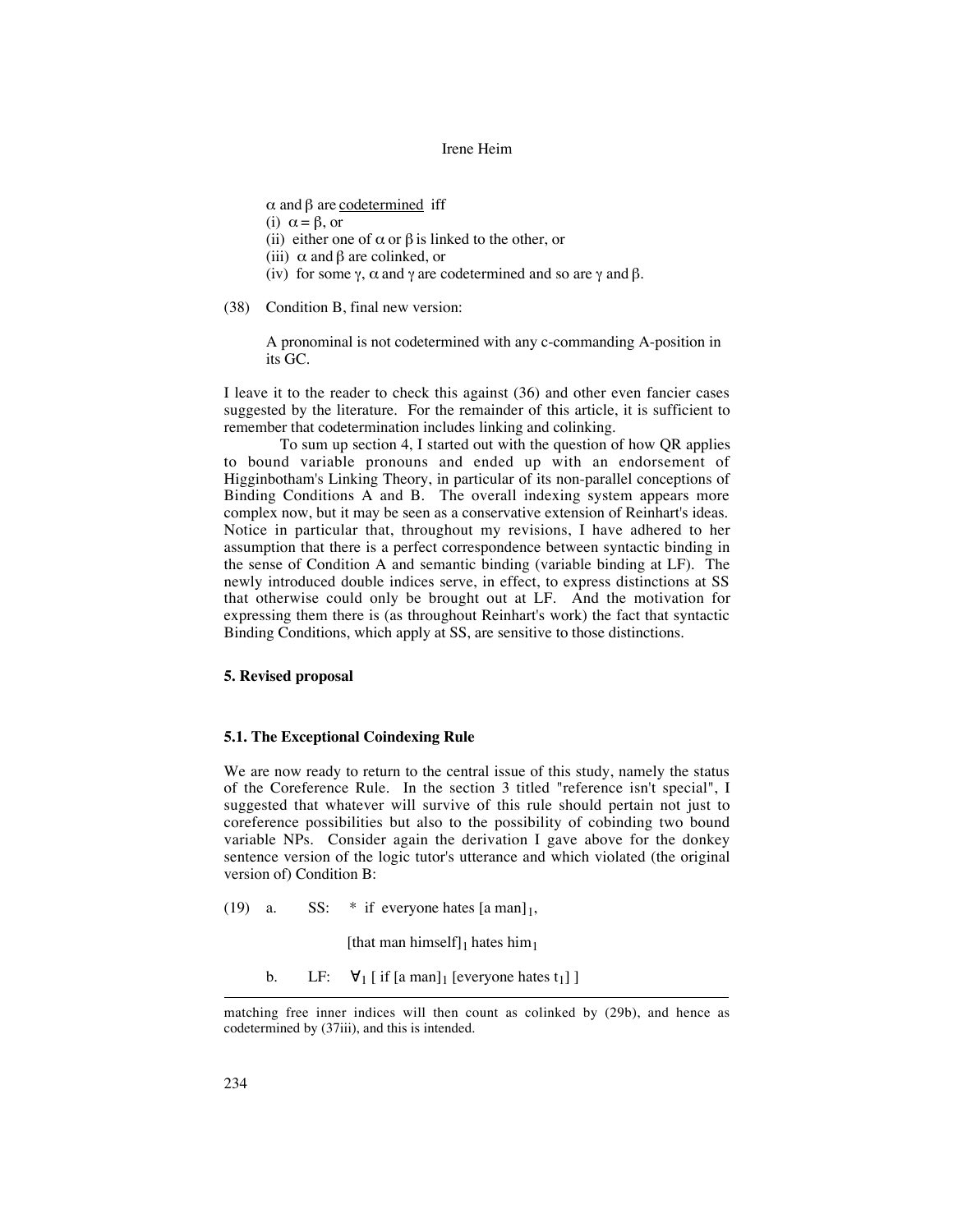$\alpha$  and  $\beta$  are codetermined iff

- (i)  $\alpha = \beta$ , or
- (ii) either one of  $\alpha$  or  $\beta$  is linked to the other, or
- (iii)  $\alpha$  and  $\beta$  are colinked, or
- (iv) for some  $\gamma$ ,  $\alpha$  and  $\gamma$  are codetermined and so are  $\gamma$  and  $\beta$ .
- (38) Condition B, final new version:

A pronominal is not codetermined with any c-commanding A-position in its GC.

I leave it to the reader to check this against (36) and other even fancier cases suggested by the literature. For the remainder of this article, it is sufficient to remember that codetermination includes linking and colinking.

To sum up section 4, I started out with the question of how QR applies to bound variable pronouns and ended up with an endorsement of Higginbotham's Linking Theory, in particular of its non-parallel conceptions of Binding Conditions A and B. The overall indexing system appears more complex now, but it may be seen as a conservative extension of Reinhart's ideas. Notice in particular that, throughout my revisions, I have adhered to her assumption that there is a perfect correspondence between syntactic binding in the sense of Condition A and semantic binding (variable binding at LF). The newly introduced double indices serve, in effect, to express distinctions at SS that otherwise could only be brought out at LF. And the motivation for expressing them there is (as throughout Reinhart's work) the fact that syntactic Binding Conditions, which apply at SS, are sensitive to those distinctions.

## **5. Revised proposal**

## **5.1. The Exceptional Coindexing Rule**

We are now ready to return to the central issue of this study, namely the status of the Coreference Rule. In the section 3 titled "reference isn't special", I suggested that whatever will survive of this rule should pertain not just to coreference possibilities but also to the possibility of cobinding two bound variable NPs. Consider again the derivation I gave above for the donkey sentence version of the logic tutor's utterance and which violated (the original version of) Condition B:

(19) a. SS:  $*$  if everyone hates [a man]<sub>1</sub>,

[that man himself] $_1$  hates him $_1$ 

b. LF:  $\forall_1$  [ if [a man]<sub>1</sub> [everyone hates t<sub>1</sub>] ]

 $\overline{a}$ 

matching free inner indices will then count as colinked by (29b), and hence as codetermined by (37iii), and this is intended.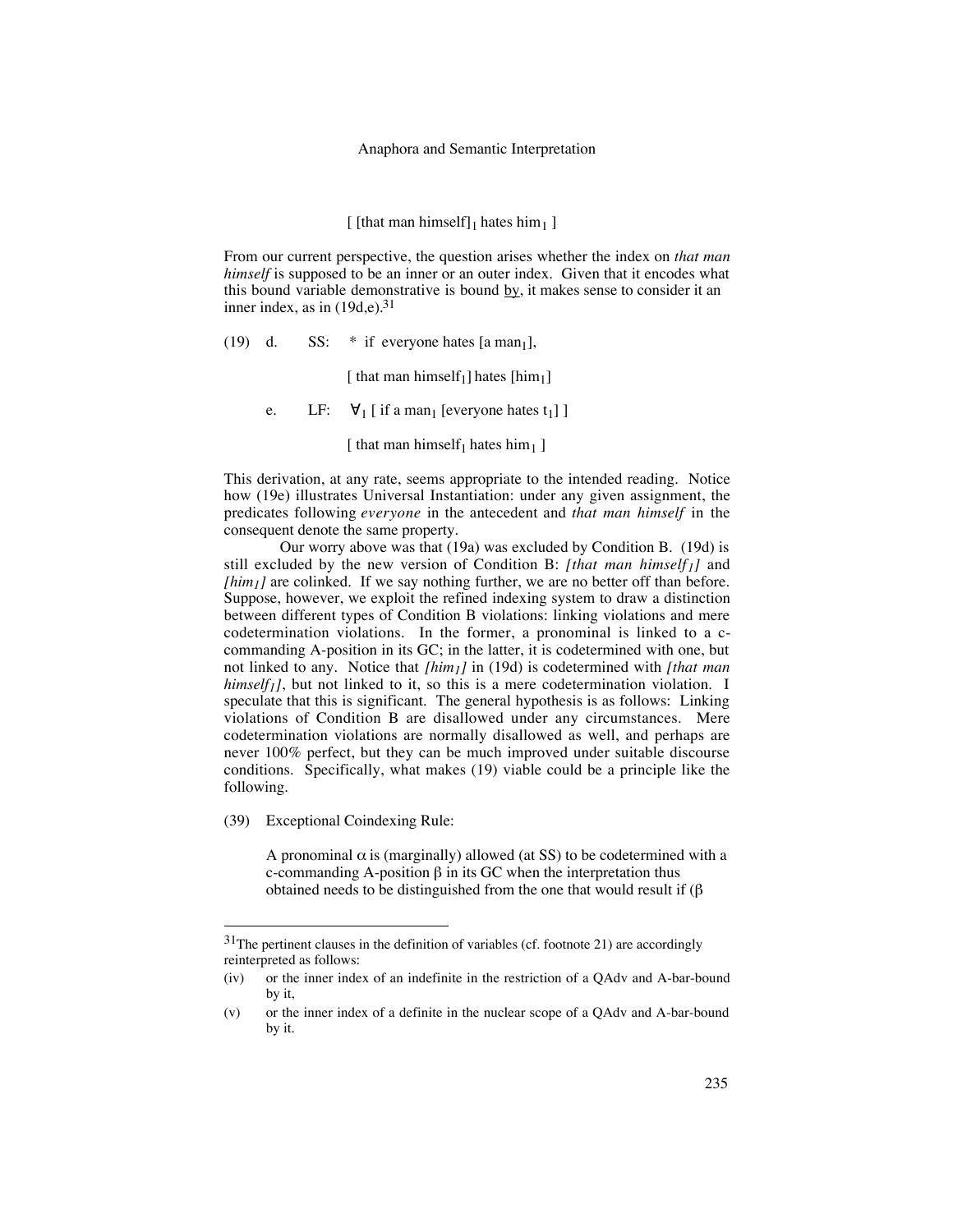### Anaphora and Semantic Interpretation

## [ [that man himself]<sub>1</sub> hates him<sub>1</sub> ]

From our current perspective, the question arises whether the index on *that man himself* is supposed to be an inner or an outer index. Given that it encodes what this bound variable demonstrative is bound  $\underline{b}y$ , it makes sense to consider it an inner index, as in  $(19d,e).<sup>31</sup>$ 

(19) d. SS:  $*$  if everyone hates [a man<sub>1</sub>],

[ that man himself<sub>1</sub>] hates [him<sub>1</sub>]

e. LF:  $\forall_1$  [ if a man<sub>1</sub> [everyone hates t<sub>1</sub>] ]

[ that man himself<sub>1</sub> hates him<sub>1</sub> ]

This derivation, at any rate, seems appropriate to the intended reading. Notice how (19e) illustrates Universal Instantiation: under any given assignment, the predicates following *everyone* in the antecedent and *that man himself* in the consequent denote the same property.

Our worry above was that (19a) was excluded by Condition B. (19d) is still excluded by the new version of Condition B: [that man himself<sub>1</sub>] and *[him<sub>1</sub>]* are colinked. If we say nothing further, we are no better off than before. Suppose, however, we exploit the refined indexing system to draw a distinction between different types of Condition B violations: linking violations and mere codetermination violations. In the former, a pronominal is linked to a ccommanding A-position in its GC; in the latter, it is codetermined with one, but not linked to any. Notice that *[him1]* in (19d) is codetermined with *[that man himself<sub>1</sub>*], but not linked to it, so this is a mere codetermination violation. I speculate that this is significant. The general hypothesis is as follows: Linking violations of Condition B are disallowed under any circumstances. Mere codetermination violations are normally disallowed as well, and perhaps are never 100% perfect, but they can be much improved under suitable discourse conditions. Specifically, what makes (19) viable could be a principle like the following.

(39) Exceptional Coindexing Rule:

A pronominal  $\alpha$  is (marginally) allowed (at SS) to be codetermined with a c-commanding A-position β in its GC when the interpretation thus obtained needs to be distinguished from the one that would result if (β

 $31$ The pertinent clauses in the definition of variables (cf. footnote 21) are accordingly reinterpreted as follows:

<sup>(</sup>iv) or the inner index of an indefinite in the restriction of a QAdv and A-bar-bound by it,

<sup>(</sup>v) or the inner index of a definite in the nuclear scope of a QAdv and A-bar-bound by it.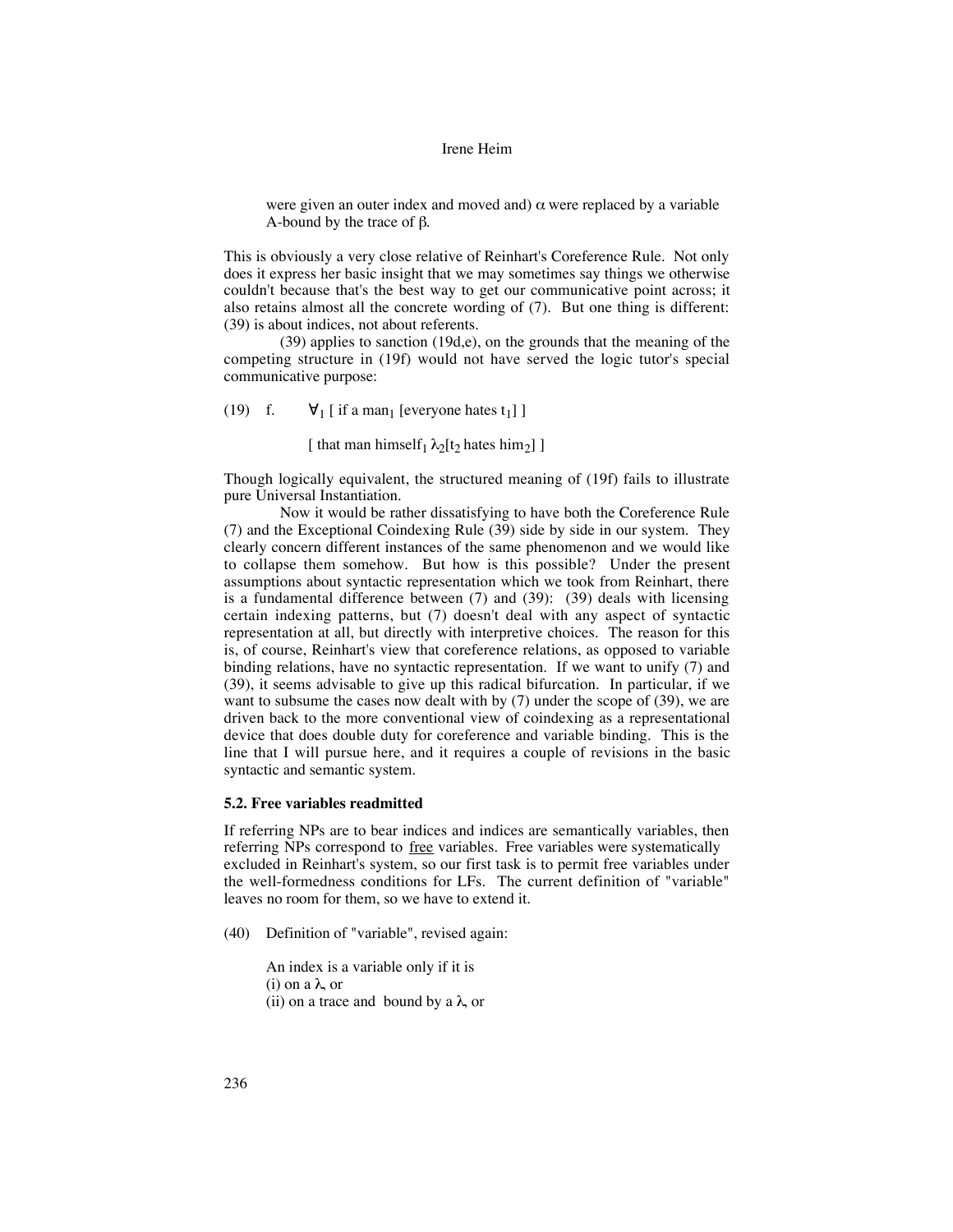were given an outer index and moved and)  $\alpha$  were replaced by a variable A-bound by the trace of β.

This is obviously a very close relative of Reinhart's Coreference Rule. Not only does it express her basic insight that we may sometimes say things we otherwise couldn't because that's the best way to get our communicative point across; it also retains almost all the concrete wording of (7). But one thing is different: (39) is about indices, not about referents.

(39) applies to sanction (19d,e), on the grounds that the meaning of the competing structure in (19f) would not have served the logic tutor's special communicative purpose:

(19) f.  $\forall_1$  [ if a man<sub>1</sub> [everyone hates t<sub>1</sub>] ]

[ that man himself<sub>1</sub>  $\lambda_2$ [t<sub>2</sub> hates him<sub>2</sub>] ]

Though logically equivalent, the structured meaning of (19f) fails to illustrate pure Universal Instantiation.

Now it would be rather dissatisfying to have both the Coreference Rule (7) and the Exceptional Coindexing Rule (39) side by side in our system. They clearly concern different instances of the same phenomenon and we would like to collapse them somehow. But how is this possible? Under the present assumptions about syntactic representation which we took from Reinhart, there is a fundamental difference between (7) and (39): (39) deals with licensing certain indexing patterns, but (7) doesn't deal with any aspect of syntactic representation at all, but directly with interpretive choices. The reason for this is, of course, Reinhart's view that coreference relations, as opposed to variable binding relations, have no syntactic representation. If we want to unify (7) and (39), it seems advisable to give up this radical bifurcation. In particular, if we want to subsume the cases now dealt with by (7) under the scope of (39), we are driven back to the more conventional view of coindexing as a representational device that does double duty for coreference and variable binding. This is the line that I will pursue here, and it requires a couple of revisions in the basic syntactic and semantic system.

### **5.2. Free variables readmitted**

If referring NPs are to bear indices and indices are semantically variables, then referring NPs correspond to free variables. Free variables were systematically excluded in Reinhart's system, so our first task is to permit free variables under the well-formedness conditions for LFs. The current definition of "variable" leaves no room for them, so we have to extend it.

(40) Definition of "variable", revised again:

An index is a variable only if it is (i) on a λ, or (ii) on a trace and bound by a  $\lambda$ , or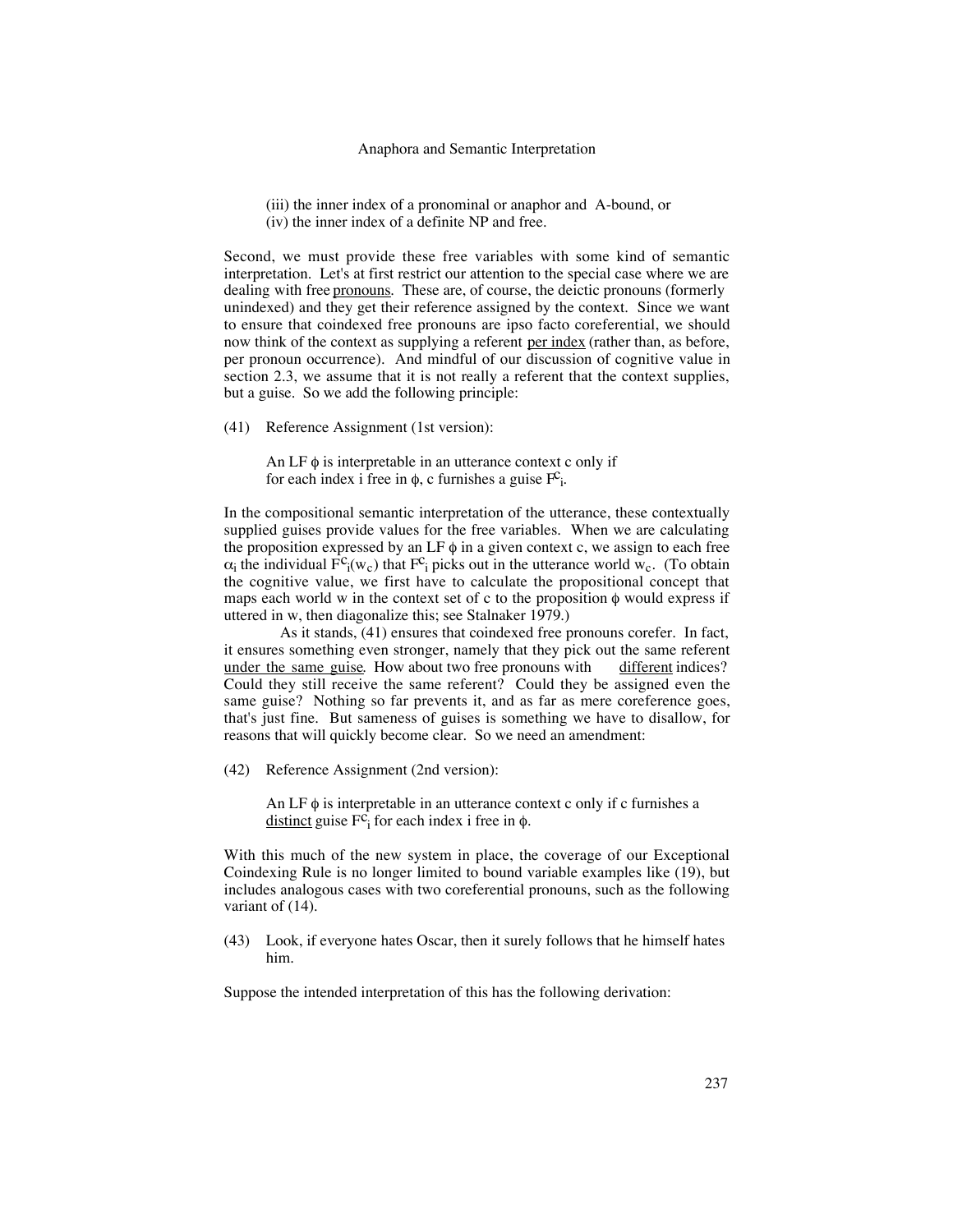#### Anaphora and Semantic Interpretation

(iii) the inner index of a pronominal or anaphor and A-bound, or (iv) the inner index of a definite NP and free.

Second, we must provide these free variables with some kind of semantic interpretation. Let's at first restrict our attention to the special case where we are dealing with free <u>pronouns</u>. These are, of course, the deictic pronouns (formerly unindexed) and they get their reference assigned by the context. Since we want to ensure that coindexed free pronouns are ipso facto coreferential, we should now think of the context as supplying a referent per index (rather than, as before, per pronoun occurrence). And mindful of our discussion of cognitive value in section 2.3, we assume that it is not really a referent that the context supplies, but a guise. So we add the following principle:

(41) Reference Assignment (1st version):

An LF  $\phi$  is interpretable in an utterance context c only if for each index i free in  $\phi$ , c furnishes a guise  $F^c$ <sub>i</sub>.

In the compositional semantic interpretation of the utterance, these contextually supplied guises provide values for the free variables. When we are calculating the proposition expressed by an LF  $\phi$  in a given context c, we assign to each free  $\alpha_i$  the individual  $\vec{F}^c_i(w_c)$  that  $F^c_i$  picks out in the utterance world w<sub>c</sub>. (To obtain the cognitive value, we first have to calculate the propositional concept that maps each world w in the context set of c to the proposition  $\phi$  would express if uttered in w, then diagonalize this; see Stalnaker 1979.)

As it stands, (41) ensures that coindexed free pronouns corefer. In fact, it ensures something even stronger, namely that they pick out the same referent under the same guise. How about two free pronouns with different indices? Could they still receive the same referent? Could they be assigned even the same guise? Nothing so far prevents it, and as far as mere coreference goes, that's just fine. But sameness of guises is something we have to disallow, for reasons that will quickly become clear. So we need an amendment:

(42) Reference Assignment (2nd version):

An LF  $\phi$  is interpretable in an utterance context c only if c furnishes a <u>distinct</u> guise  $F^{\mathcal{C}_i}$  for each index i free in  $\phi$ .

With this much of the new system in place, the coverage of our Exceptional Coindexing Rule is no longer limited to bound variable examples like (19), but includes analogous cases with two coreferential pronouns, such as the following variant of  $(14)$ .

(43) Look, if everyone hates Oscar, then it surely follows that he himself hates him.

Suppose the intended interpretation of this has the following derivation: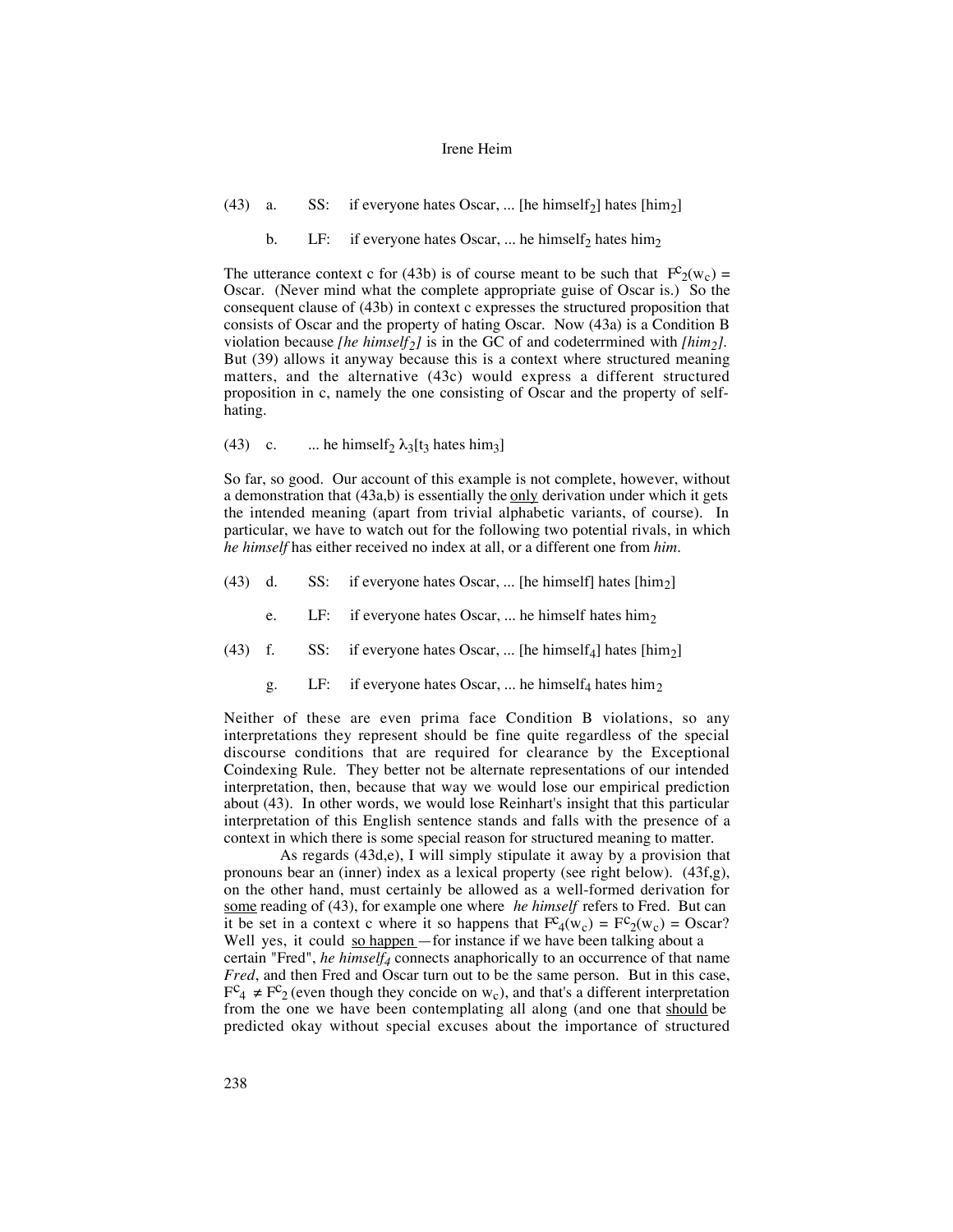- (43) a. SS: if everyone hates Oscar, ... [he himself<sub>2</sub>] hates [him<sub>2</sub>]
	- b. LF: if everyone hates Oscar, ... he himself<sub>2</sub> hates him<sub>2</sub>

The utterance context c for (43b) is of course meant to be such that  $F_c^{\circ}(w_c) =$ Oscar. (Never mind what the complete appropriate guise of Oscar is.) So the consequent clause of (43b) in context c expresses the structured proposition that consists of Oscar and the property of hating Oscar. Now (43a) is a Condition B violation because *[he himself2]* is in the GC of and codeterrmined with *[him2]*. But (39) allows it anyway because this is a context where structured meaning matters, and the alternative (43c) would express a different structured proposition in c, namely the one consisting of Oscar and the property of selfhating.

(43) c. ... he himself<sub>2</sub>  $\lambda_3$ [t<sub>3</sub> hates him<sub>3</sub>]

So far, so good. Our account of this example is not complete, however, without a demonstration that  $(43a,b)$  is essentially the only derivation under which it gets the intended meaning (apart from trivial alphabetic variants, of course). In particular, we have to watch out for the following two potential rivals, in which *he himself* has either received no index at all, or a different one from *him*.

- (43) d. SS: if everyone hates Oscar, ... [he himself] hates  $[\text{him}_2]$ 
	- e. LF: if everyone hates Oscar, ... he himself hates him<sub>2</sub>
- (43) f. SS: if everyone hates Oscar, ... [he himself<sub>4</sub>] hates [him<sub>2</sub>]
	- g. LF: if everyone hates Oscar, ... he himself<sub>4</sub> hates him<sub>2</sub>

Neither of these are even prima face Condition B violations, so any interpretations they represent should be fine quite regardless of the special discourse conditions that are required for clearance by the Exceptional Coindexing Rule. They better not be alternate representations of our intended interpretation, then, because that way we would lose our empirical prediction about (43). In other words, we would lose Reinhart's insight that this particular interpretation of this English sentence stands and falls with the presence of a context in which there is some special reason for structured meaning to matter.

As regards (43d,e), I will simply stipulate it away by a provision that pronouns bear an (inner) index as a lexical property (see right below). (43f,g), on the other hand, must certainly be allowed as a well-formed derivation for some reading of (43), for example one where *he himself* refers to Fred. But can it be set in a context c where it so happens that  $Fc_4(w_c) = Fc_2(w_c) = Oscar$ ? Well yes, it could so happen - for instance if we have been talking about a certain "Fred", *he himself4* connects anaphorically to an occurrence of that name *Fred*, and then Fred and Oscar turn out to be the same person. But in this case,  $F^c_4 \neq F^c_2$  (even though they concide on w<sub>c</sub>), and that's a different interpretation from the one we have been contemplating all along (and one that should be predicted okay without special excuses about the importance of structured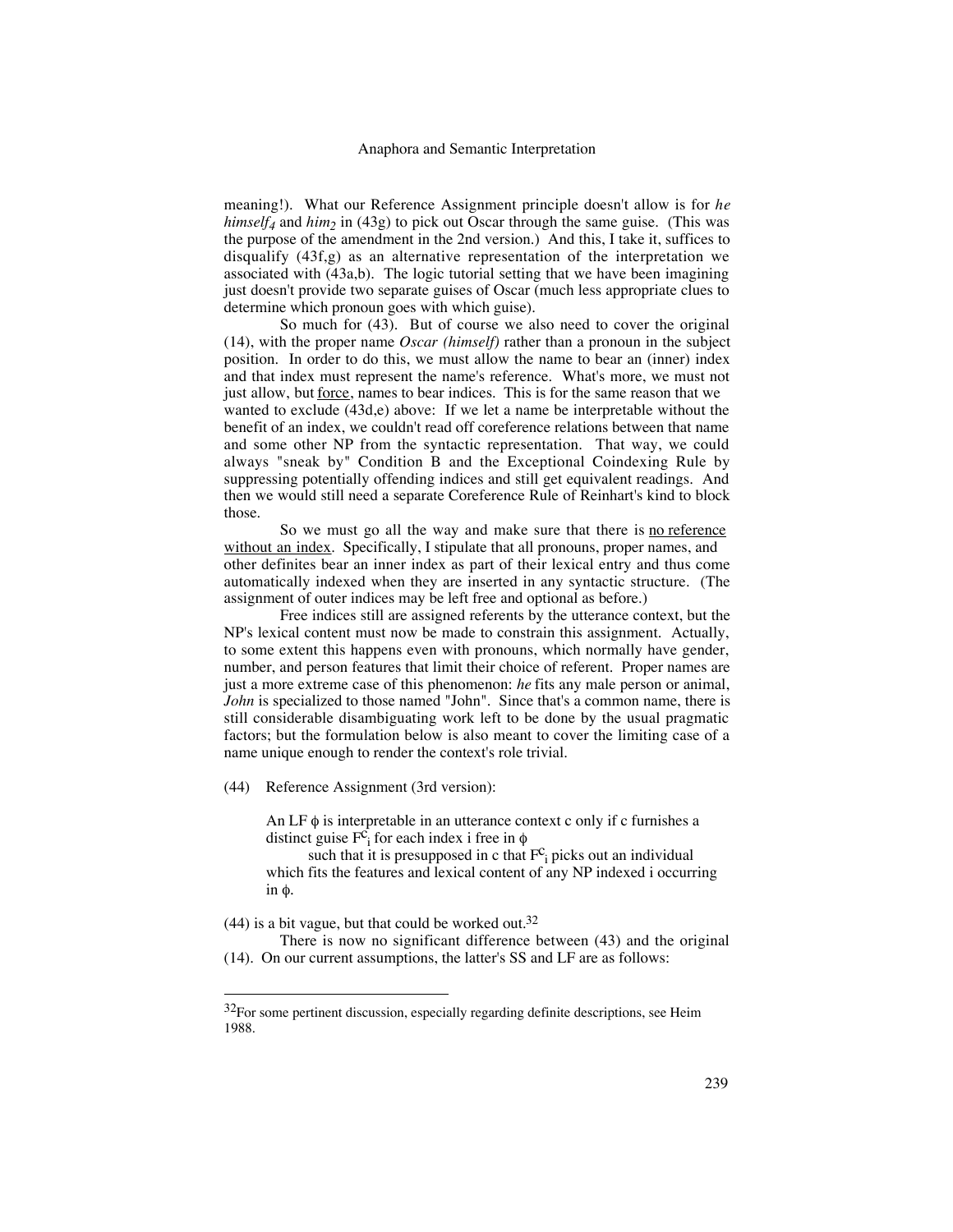meaning!). What our Reference Assignment principle doesn't allow is for *he himself<sub>4</sub>* and *him*<sub>2</sub> in (43g) to pick out Oscar through the same guise. (This was the purpose of the amendment in the 2nd version.) And this, I take it, suffices to disqualify (43f,g) as an alternative representation of the interpretation we associated with (43a,b). The logic tutorial setting that we have been imagining just doesn't provide two separate guises of Oscar (much less appropriate clues to determine which pronoun goes with which guise).

So much for (43). But of course we also need to cover the original (14), with the proper name *Oscar (himself)* rather than a pronoun in the subject position. In order to do this, we must allow the name to bear an (inner) index and that index must represent the name's reference. What's more, we must not just allow, but <u>force</u>, names to bear indices. This is for the same reason that we wanted to exclude (43d,e) above: If we let a name be interpretable without the benefit of an index, we couldn't read off coreference relations between that name and some other NP from the syntactic representation. That way, we could always "sneak by" Condition B and the Exceptional Coindexing Rule by suppressing potentially offending indices and still get equivalent readings. And then we would still need a separate Coreference Rule of Reinhart's kind to block those.

So we must go all the way and make sure that there is no reference without an index. Specifically, I stipulate that all pronouns, proper names, and other definites bear an inner index as part of their lexical entry and thus come automatically indexed when they are inserted in any syntactic structure. (The assignment of outer indices may be left free and optional as before.)

Free indices still are assigned referents by the utterance context, but the NP's lexical content must now be made to constrain this assignment. Actually, to some extent this happens even with pronouns, which normally have gender, number, and person features that limit their choice of referent. Proper names are just a more extreme case of this phenomenon: *he* fits any male person or animal, *John* is specialized to those named "John". Since that's a common name, there is still considerable disambiguating work left to be done by the usual pragmatic factors; but the formulation below is also meant to cover the limiting case of a name unique enough to render the context's role trivial.

(44) Reference Assignment (3rd version):

An LF  $\phi$  is interpretable in an utterance context c only if c furnishes a distinct guise  $F_{i}^{c}$  for each index i free in  $\phi$ 

such that it is presupposed in c that  $F_c$  picks out an individual which fits the features and lexical content of any NP indexed i occurring in φ.

 $(44)$  is a bit vague, but that could be worked out.<sup>32</sup>

There is now no significant difference between (43) and the original (14). On our current assumptions, the latter's SS and LF are as follows:

 $32$ For some pertinent discussion, especially regarding definite descriptions, see Heim 1988.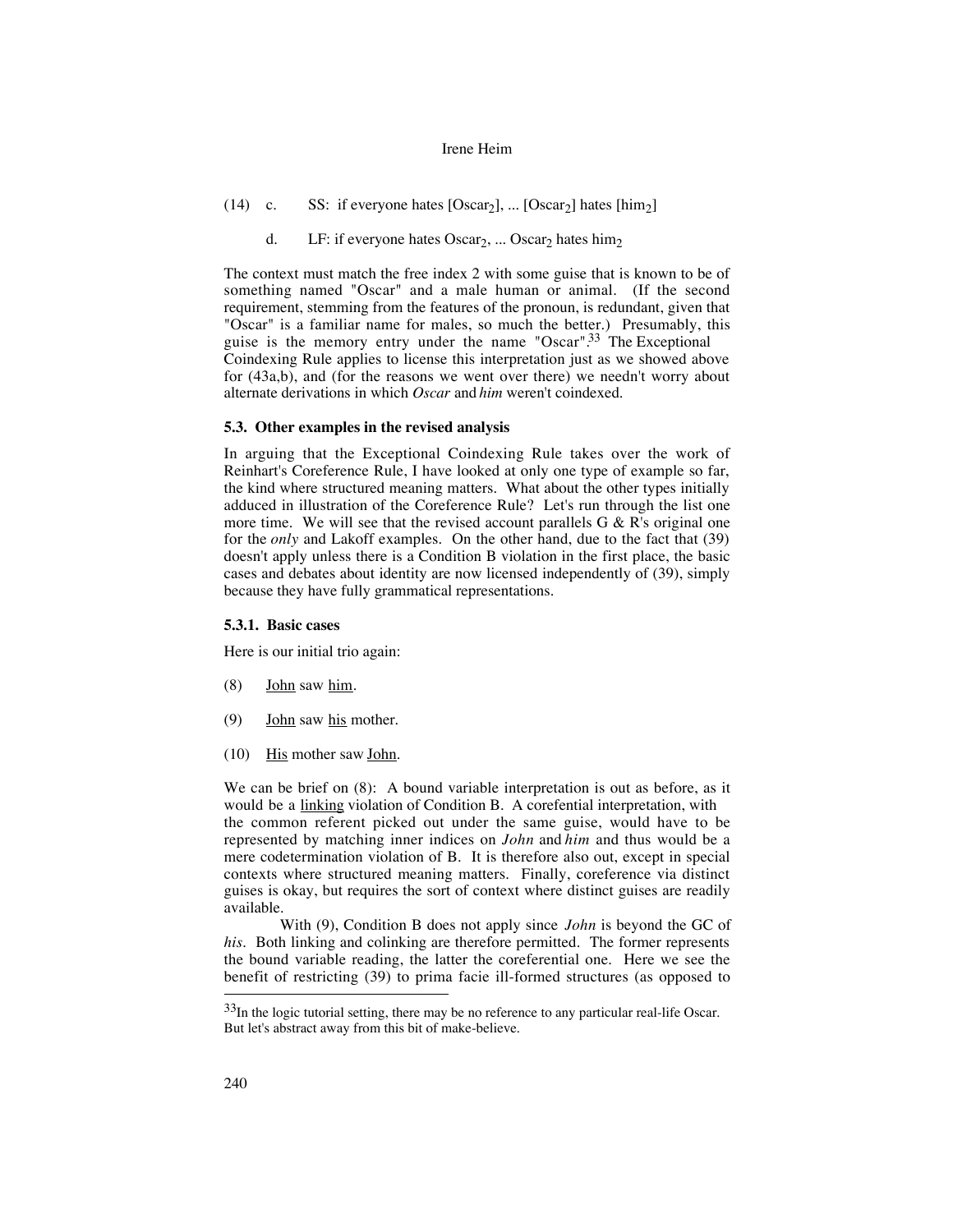- (14) c. SS: if everyone hates  $[Oscar_2]$ , ...  $[Oscar_2]$  hates  $[\text{him}_2]$ 
	- d. LF: if everyone hates  $Oscar_2$ , ...  $Oscar_2$  hates him<sub>2</sub>

The context must match the free index 2 with some guise that is known to be of something named "Oscar" and a male human or animal. (If the second requirement, stemming from the features of the pronoun, is redundant, given that "Oscar" is a familiar name for males, so much the better.) Presumably, this guise is the memory entry under the name "Oscar". $33$  The Exceptional Coindexing Rule applies to license this interpretation just as we showed above for (43a,b), and (for the reasons we went over there) we needn't worry about alternate derivations in which *Oscar* and *him* weren't coindexed.

## **5.3. Other examples in the revised analysis**

In arguing that the Exceptional Coindexing Rule takes over the work of Reinhart's Coreference Rule, I have looked at only one type of example so far, the kind where structured meaning matters. What about the other types initially adduced in illustration of the Coreference Rule? Let's run through the list one more time. We will see that the revised account parallels  $G \& R$ 's original one for the *only* and Lakoff examples. On the other hand, due to the fact that (39) doesn't apply unless there is a Condition B violation in the first place, the basic cases and debates about identity are now licensed independently of (39), simply because they have fully grammatical representations.

## **5.3.1. Basic cases**

Here is our initial trio again:

- $(8)$  John saw him.
- (9) **John** saw his mother.
- $(10)$  His mother saw John.

We can be brief on (8): A bound variable interpretation is out as before, as it would be a linking violation of Condition B. A corefential interpretation, with the common referent picked out under the same guise, would have to be represented by matching inner indices on *John* and *him* and thus would be a mere codetermination violation of B. It is therefore also out, except in special contexts where structured meaning matters. Finally, coreference via distinct guises is okay, but requires the sort of context where distinct guises are readily available.

With (9), Condition B does not apply since *John* is beyond the GC of *his*. Both linking and colinking are therefore permitted. The former represents the bound variable reading, the latter the coreferential one. Here we see the benefit of restricting (39) to prima facie ill-formed structures (as opposed to

 $33$ In the logic tutorial setting, there may be no reference to any particular real-life Oscar. But let's abstract away from this bit of make-believe.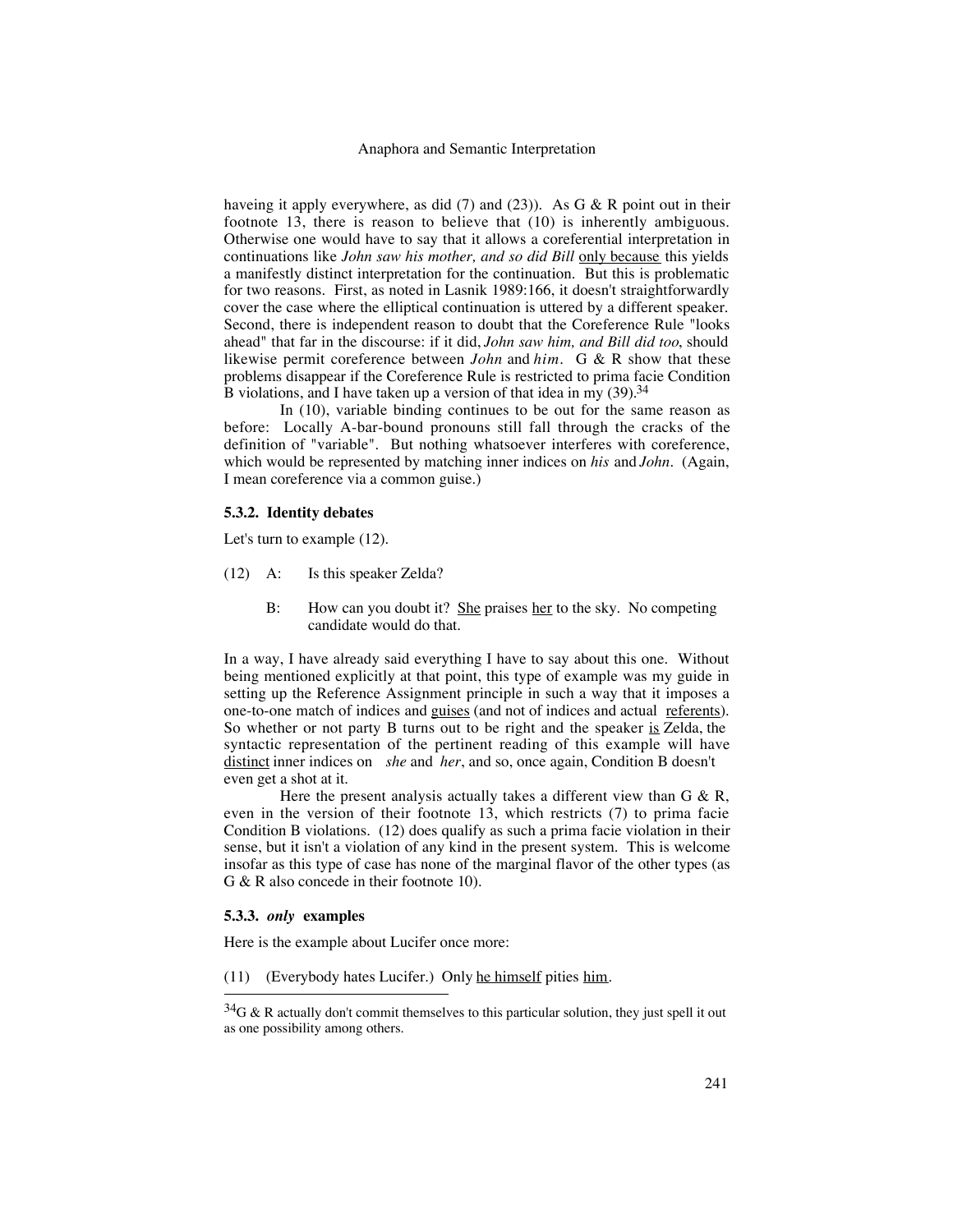haveing it apply everywhere, as did  $(7)$  and  $(23)$ ). As G & R point out in their footnote 13, there is reason to believe that (10) is inherently ambiguous. Otherwise one would have to say that it allows a coreferential interpretation in continuations like *John saw his mother, and so did Bill* only because this yields a manifestly distinct interpretation for the continuation. But this is problematic for two reasons. First, as noted in Lasnik 1989:166, it doesn't straightforwardly cover the case where the elliptical continuation is uttered by a different speaker. Second, there is independent reason to doubt that the Coreference Rule "looks ahead" that far in the discourse: if it did, *John saw him, and Bill did too*, should likewise permit coreference between *John* and *him*. G & R show that these problems disappear if the Coreference Rule is restricted to prima facie Condition B violations, and I have taken up a version of that idea in my  $(39)$ .<sup>34</sup>

In (10), variable binding continues to be out for the same reason as before: Locally A-bar-bound pronouns still fall through the cracks of the definition of "variable". But nothing whatsoever interferes with coreference, which would be represented by matching inner indices on *his* and *John*. (Again, I mean coreference via a common guise.)

### **5.3.2. Identity debates**

Let's turn to example (12).

- (12) A: Is this speaker Zelda?
	- B: How can you doubt it? She praises her to the sky. No competing candidate would do that.

In a way, I have already said everything I have to say about this one. Without being mentioned explicitly at that point, this type of example was my guide in setting up the Reference Assignment principle in such a way that it imposes a one-to-one match of indices and guises (and not of indices and actual referents). So whether or not party B turns out to be right and the speaker  $is$  Zelda, the syntactic representation of the pertinent reading of this example will have distinct inner indices on *she* and *her*, and so, once again, Condition B doesn't even get a shot at it.

Here the present analysis actually takes a different view than  $G \& R$ , even in the version of their footnote 13, which restricts (7) to prima facie Condition B violations. (12) does qualify as such a prima facie violation in their sense, but it isn't a violation of any kind in the present system. This is welcome insofar as this type of case has none of the marginal flavor of the other types (as G & R also concede in their footnote 10).

## **5.3.3.** *only* **examples**

Here is the example about Lucifer once more:

(11) (Everybody hates Lucifer.) Only he himself pities him.

 $34G & R$  actually don't commit themselves to this particular solution, they just spell it out as one possibility among others.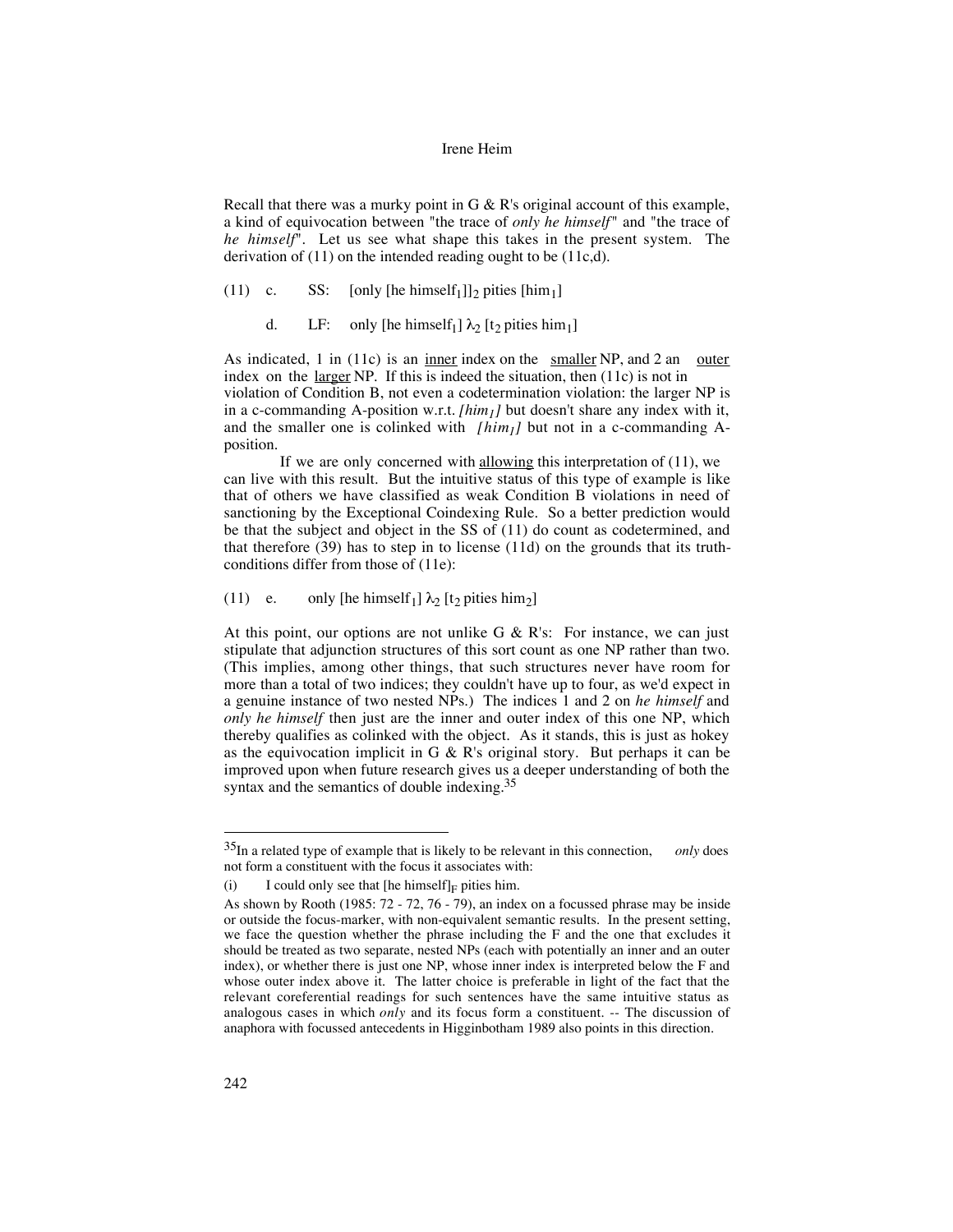Recall that there was a murky point in G  $\&$  R's original account of this example, a kind of equivocation between "the trace of *only he himself*" and "the trace of *he himself*". Let us see what shape this takes in the present system. The derivation of (11) on the intended reading ought to be (11c,d).

(11) c. SS: [only [he himself<sub>1</sub>]]<sub>2</sub> pities [him<sub>1</sub>]

d. LF: only [he himself<sub>1</sub>]  $\lambda_2$  [t<sub>2</sub> pities him<sub>1</sub>]

As indicated, 1 in (11c) is an inner index on the smaller NP, and 2 an outer index on the  $larger NP$ . If this is indeed the situation, then  $(11c)$  is not in violation of Condition B, not even a codetermination violation: the larger NP is in a c-commanding A-position w.r.t. *[him<sub>1</sub>]* but doesn't share any index with it, and the smaller one is colinked with  $\left\lceil \frac{h_i m_j}{h_i} \right\rceil$  but not in a c-commanding Aposition.

If we are only concerned with  $\underline{allowing}$  this interpretation of (11), we can live with this result. But the intuitive status of this type of example is like that of others we have classified as weak Condition B violations in need of sanctioning by the Exceptional Coindexing Rule. So a better prediction would be that the subject and object in the SS of (11) do count as codetermined, and that therefore (39) has to step in to license (11d) on the grounds that its truthconditions differ from those of (11e):

(11) e. only [he himself<sub>1</sub>]  $\lambda_2$  [t<sub>2</sub> pities him<sub>2</sub>]

At this point, our options are not unlike  $G \& R's$ : For instance, we can just stipulate that adjunction structures of this sort count as one NP rather than two. (This implies, among other things, that such structures never have room for more than a total of two indices; they couldn't have up to four, as we'd expect in a genuine instance of two nested NPs.) The indices 1 and 2 on *he himself* and *only he himself* then just are the inner and outer index of this one NP, which thereby qualifies as colinked with the object. As it stands, this is just as hokey as the equivocation implicit in G & R's original story. But perhaps it can be improved upon when future research gives us a deeper understanding of both the syntax and the semantics of double indexing.35

 <sup>35</sup>In a related type of example that is likely to be relevant in this connection, *only* does not form a constituent with the focus it associates with:

<sup>(</sup>i) I could only see that  $[\text{he himself}]_F$  pities him.

As shown by Rooth (1985: 72 - 72, 76 - 79), an index on a focussed phrase may be inside or outside the focus-marker, with non-equivalent semantic results. In the present setting, we face the question whether the phrase including the F and the one that excludes it should be treated as two separate, nested NPs (each with potentially an inner and an outer index), or whether there is just one NP, whose inner index is interpreted below the F and whose outer index above it. The latter choice is preferable in light of the fact that the relevant coreferential readings for such sentences have the same intuitive status as analogous cases in which *only* and its focus form a constituent. -- The discussion of anaphora with focussed antecedents in Higginbotham 1989 also points in this direction.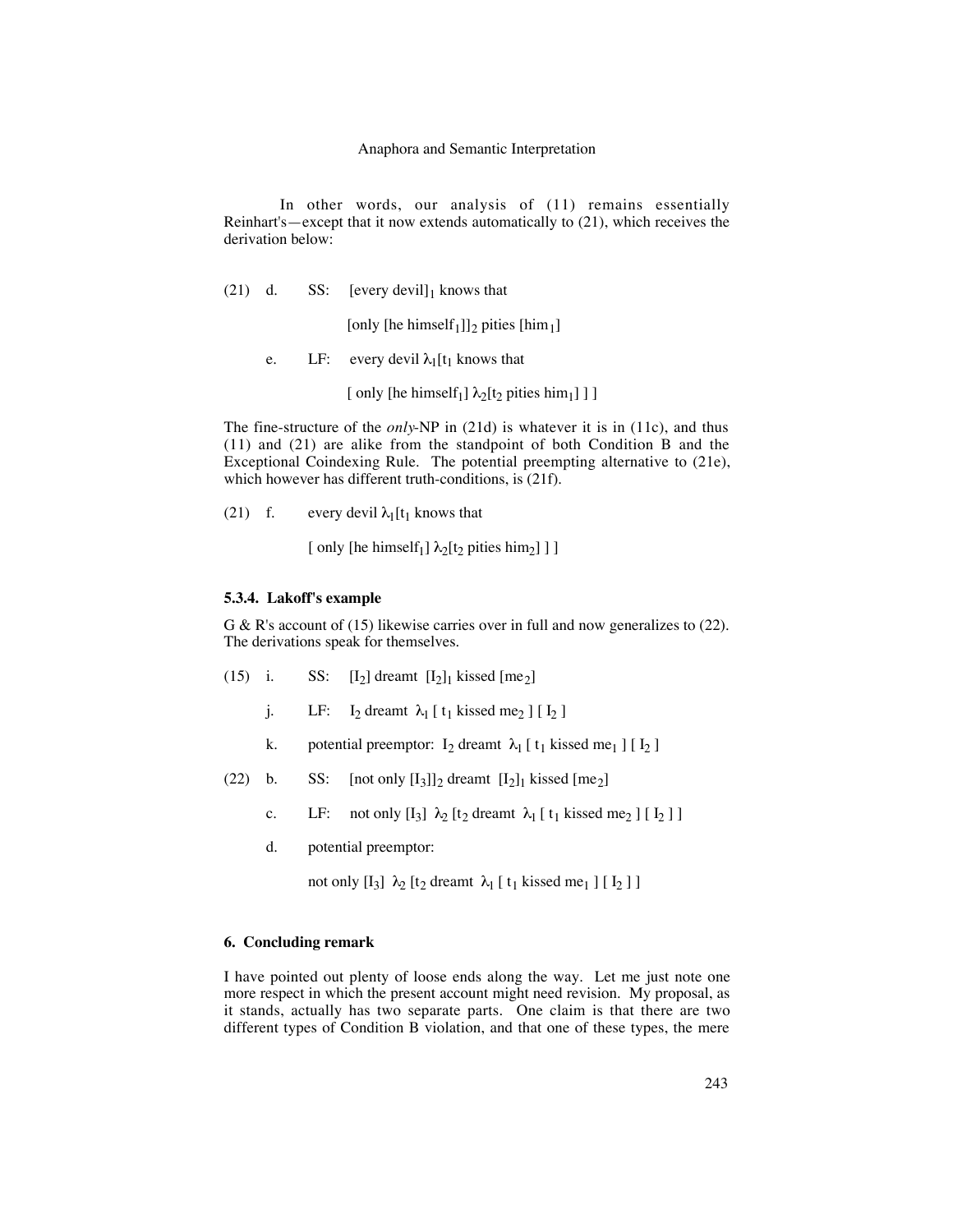### Anaphora and Semantic Interpretation

In other words, our analysis of (11) remains essentially Reinhart's—except that it now extends automatically to (21), which receives the derivation below:

(21) d. SS:  $[every\,devill]_1$  knows that

[only [he himself<sub>1</sub>]]<sub>2</sub> pities [him<sub>1</sub>]

e. LF: every devil  $\lambda_1[t_1]$  knows that

[ only [he himself<sub>1</sub>]  $\lambda_2[t_2$  pities him<sub>1</sub>] ] ]

The fine-structure of the *only*-NP in (21d) is whatever it is in (11c), and thus (11) and (21) are alike from the standpoint of both Condition B and the Exceptional Coindexing Rule. The potential preempting alternative to (21e), which however has different truth-conditions, is (21f).

(21) f. every devil  $\lambda_1[t_1]$  knows that

[ only [he himself<sub>1</sub>]  $\lambda_2$ [t<sub>2</sub> pities him<sub>2</sub>] ] ]

## **5.3.4. Lakoff's example**

G & R's account of (15) likewise carries over in full and now generalizes to (22). The derivations speak for themselves.

- (15) i. SS:  $[I_2]$  dreamt  $[I_2]_1$  kissed  $[me_2]$ 
	- j. LF: I<sub>2</sub> dreamt  $\lambda_1$  [ t<sub>1</sub> kissed me<sub>2</sub> ] [ I<sub>2</sub> ]
	- k. potential preemptor:  $I_2$  dreamt  $\lambda_1$  [  $t_1$  kissed me<sub>1</sub> ] [  $I_2$  ]
- (22) b. SS: [not only  $[I_3]_2$  dreamt  $[I_2]_1$  kissed [me<sub>2</sub>]
	- c. LF: not only  $[I_3]$   $\lambda_2$   $[t_2$  dreamt  $\lambda_1$   $[t_1$  kissed me<sub>2</sub>  $][I_2]$
	- d. potential preemptor:

not only  $[I_3]$   $\lambda_2$   $[t_2$  dreamt  $\lambda_1$   $[t_1$  kissed me<sub>1</sub>  $][I_2]$ 

## **6. Concluding remark**

I have pointed out plenty of loose ends along the way. Let me just note one more respect in which the present account might need revision. My proposal, as it stands, actually has two separate parts. One claim is that there are two different types of Condition B violation, and that one of these types, the mere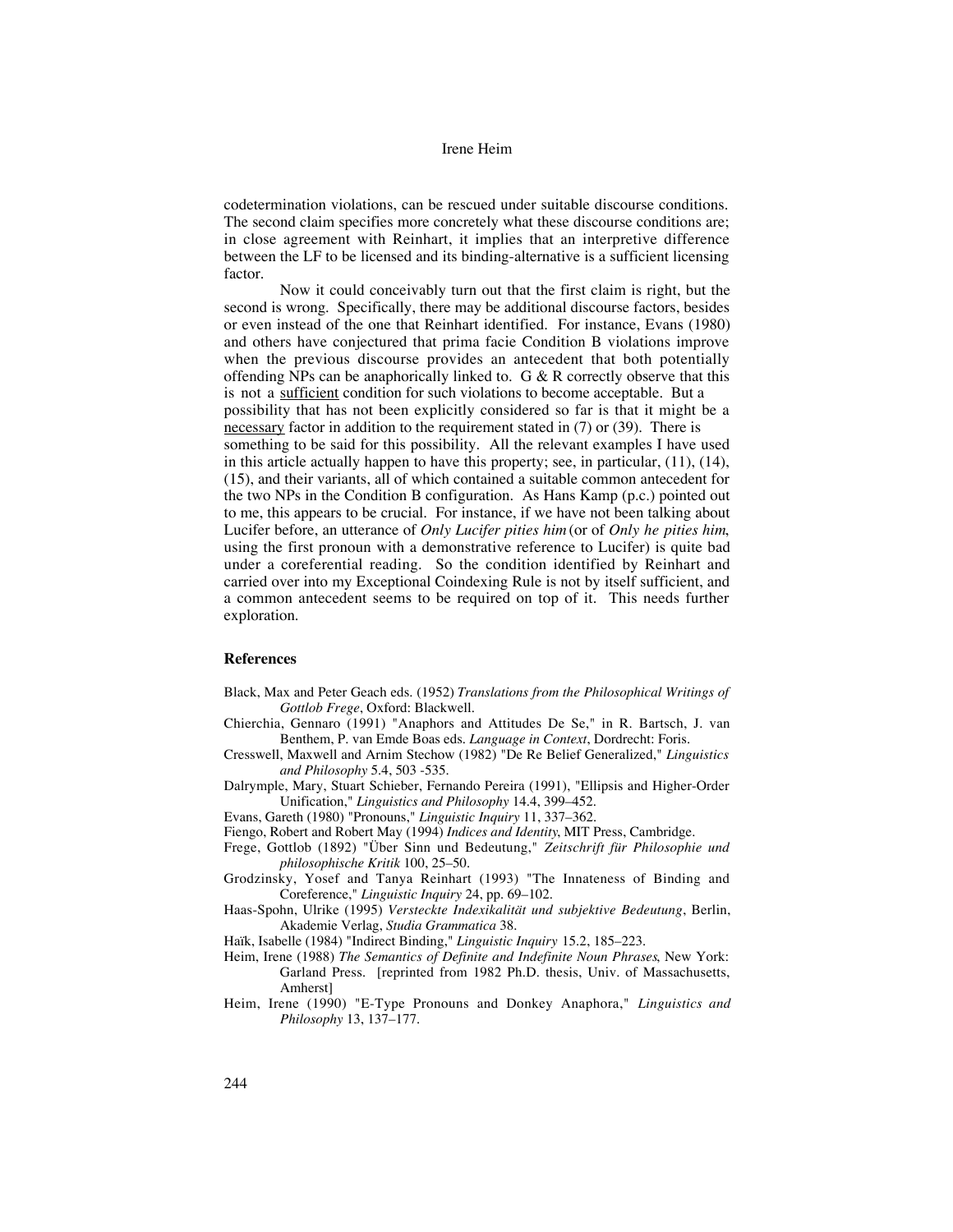codetermination violations, can be rescued under suitable discourse conditions. The second claim specifies more concretely what these discourse conditions are; in close agreement with Reinhart, it implies that an interpretive difference between the LF to be licensed and its binding-alternative is a sufficient licensing factor.

Now it could conceivably turn out that the first claim is right, but the second is wrong. Specifically, there may be additional discourse factors, besides or even instead of the one that Reinhart identified. For instance, Evans (1980) and others have conjectured that prima facie Condition B violations improve when the previous discourse provides an antecedent that both potentially offending NPs can be anaphorically linked to.  $G & R$  correctly observe that this is not a sufficient condition for such violations to become acceptable. But a possibility that has not been explicitly considered so far is that it might be a necessary factor in addition to the requirement stated in (7) or (39). There is something to be said for this possibility. All the relevant examples I have used in this article actually happen to have this property; see, in particular, (11), (14), (15), and their variants, all of which contained a suitable common antecedent for the two NPs in the Condition B configuration. As Hans Kamp (p.c.) pointed out to me, this appears to be crucial. For instance, if we have not been talking about Lucifer before, an utterance of *Only Lucifer pities him* (or of *Only he pities him*, using the first pronoun with a demonstrative reference to Lucifer) is quite bad under a coreferential reading. So the condition identified by Reinhart and carried over into my Exceptional Coindexing Rule is not by itself sufficient, and a common antecedent seems to be required on top of it. This needs further exploration.

## **References**

- Black, Max and Peter Geach eds. (1952) *Translations from the Philosophical Writings of Gottlob Frege*, Oxford: Blackwell.
- Chierchia, Gennaro (1991) "Anaphors and Attitudes De Se," in R. Bartsch, J. van Benthem, P. van Emde Boas eds. *Language in Context*, Dordrecht: Foris.
- Cresswell, Maxwell and Arnim Stechow (1982) "De Re Belief Generalized," *Linguistics and Philosophy* 5.4, 503 -535.
- Dalrymple, Mary, Stuart Schieber, Fernando Pereira (1991), "Ellipsis and Higher-Order Unification," *Linguistics and Philosophy* 14.4, 399–452.
- Evans, Gareth (1980) "Pronouns," *Linguistic Inquiry* 11, 337–362.
- Fiengo, Robert and Robert May (1994) *Indices and Identity*, MIT Press, Cambridge.
- Frege, Gottlob (1892) "Über Sinn und Bedeutung," *Zeitschrift für Philosophie und philosophische Kritik* 100, 25–50.
- Grodzinsky, Yosef and Tanya Reinhart (1993) "The Innateness of Binding and Coreference," *Linguistic Inquiry* 24, pp. 69–102.
- Haas-Spohn, Ulrike (1995) *Versteckte Indexikalität und subjektive Bedeutung*, Berlin, Akademie Verlag, *Studia Grammatica* 38.

Haïk, Isabelle (1984) "Indirect Binding," *Linguistic Inquiry* 15.2, 185–223.

- Heim, Irene (1988) *The Semantics of Definite and Indefinite Noun Phrases*, New York: Garland Press. [reprinted from 1982 Ph.D. thesis, Univ. of Massachusetts, Amherst]
- Heim, Irene (1990) "E-Type Pronouns and Donkey Anaphora," *Linguistics and Philosophy* 13, 137–177.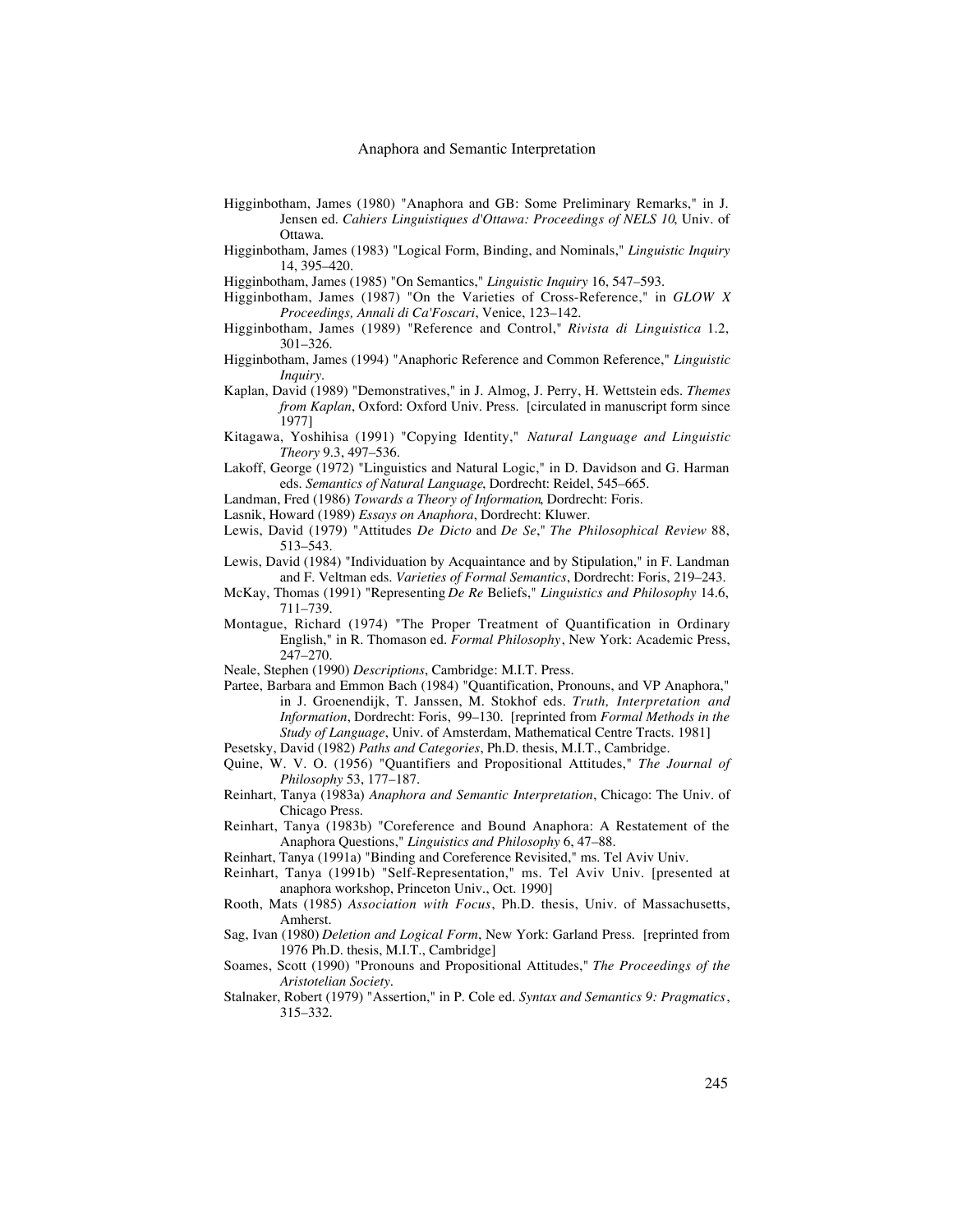- Higginbotham, James (1980) "Anaphora and GB: Some Preliminary Remarks," in J. Jensen ed. *Cahiers Linguistiques d'Ottawa: Proceedings of NELS 10*, Univ. of Ottawa.
- Higginbotham, James (1983) "Logical Form, Binding, and Nominals," *Linguistic Inquiry* 14, 395–420.
- Higginbotham, James (1985) "On Semantics," *Linguistic Inquiry* 16, 547–593.
- Higginbotham, James (1987) "On the Varieties of Cross-Reference," in *GLOW X Proceedings, Annali di Ca'Foscari*, Venice, 123–142.
- Higginbotham, James (1989) "Reference and Control," *Rivista di Linguistica* 1.2, 301–326.
- Higginbotham, James (1994) "Anaphoric Reference and Common Reference," *Linguistic Inquiry*.
- Kaplan, David (1989) "Demonstratives," in J. Almog, J. Perry, H. Wettstein eds. *Themes from Kaplan*, Oxford: Oxford Univ. Press. [circulated in manuscript form since 1977]
- Kitagawa, Yoshihisa (1991) "Copying Identity," *Natural Language and Linguistic Theory* 9.3, 497–536.
- Lakoff, George (1972) "Linguistics and Natural Logic," in D. Davidson and G. Harman eds. *Semantics of Natural Language*, Dordrecht: Reidel, 545–665.
- Landman, Fred (1986) *Towards a Theory of Information*, Dordrecht: Foris.
- Lasnik, Howard (1989) *Essays on Anaphora*, Dordrecht: Kluwer.
- Lewis, David (1979) "Attitudes *De Dicto* and *De Se*," *The Philosophical Review* 88, 513–543.
- Lewis, David (1984) "Individuation by Acquaintance and by Stipulation," in F. Landman and F. Veltman eds. *Varieties of Formal Semantics*, Dordrecht: Foris, 219–243.
- McKay, Thomas (1991) "Representing *De Re* Beliefs," *Linguistics and Philosophy* 14.6, 711–739.
- Montague, Richard (1974) "The Proper Treatment of Quantification in Ordinary English," in R. Thomason ed. *Formal Philosophy*, New York: Academic Press, 247–270.
- Neale, Stephen (1990) *Descriptions*, Cambridge: M.I.T. Press.
- Partee, Barbara and Emmon Bach (1984) "Quantification, Pronouns, and VP Anaphora," in J. Groenendijk, T. Janssen, M. Stokhof eds. *Truth, Interpretation and Information*, Dordrecht: Foris, 99–130. [reprinted from *Formal Methods in the Study of Language*, Univ. of Amsterdam, Mathematical Centre Tracts. 1981]
- Pesetsky, David (1982) *Paths and Categories*, Ph.D. thesis, M.I.T., Cambridge.
- Quine, W. V. O. (1956) "Quantifiers and Propositional Attitudes," *The Journal of Philosophy* 53, 177–187.
- Reinhart, Tanya (1983a) *Anaphora and Semantic Interpretation*, Chicago: The Univ. of Chicago Press.
- Reinhart, Tanya (1983b) "Coreference and Bound Anaphora: A Restatement of the Anaphora Questions," *Linguistics and Philosophy* 6, 47–88.
- Reinhart, Tanya (1991a) "Binding and Coreference Revisited," ms. Tel Aviv Univ.
- Reinhart, Tanya (1991b) "Self-Representation," ms. Tel Aviv Univ. [presented at anaphora workshop, Princeton Univ., Oct. 1990]
- Rooth, Mats (1985) *Association with Focus*, Ph.D. thesis, Univ. of Massachusetts, Amherst.
- Sag, Ivan (1980) *Deletion and Logical Form*, New York: Garland Press. [reprinted from 1976 Ph.D. thesis, M.I.T., Cambridge]
- Soames, Scott (1990) "Pronouns and Propositional Attitudes," *The Proceedings of the Aristotelian Society*.
- Stalnaker, Robert (1979) "Assertion," in P. Cole ed. *Syntax and Semantics 9: Pragmatics*, 315–332.